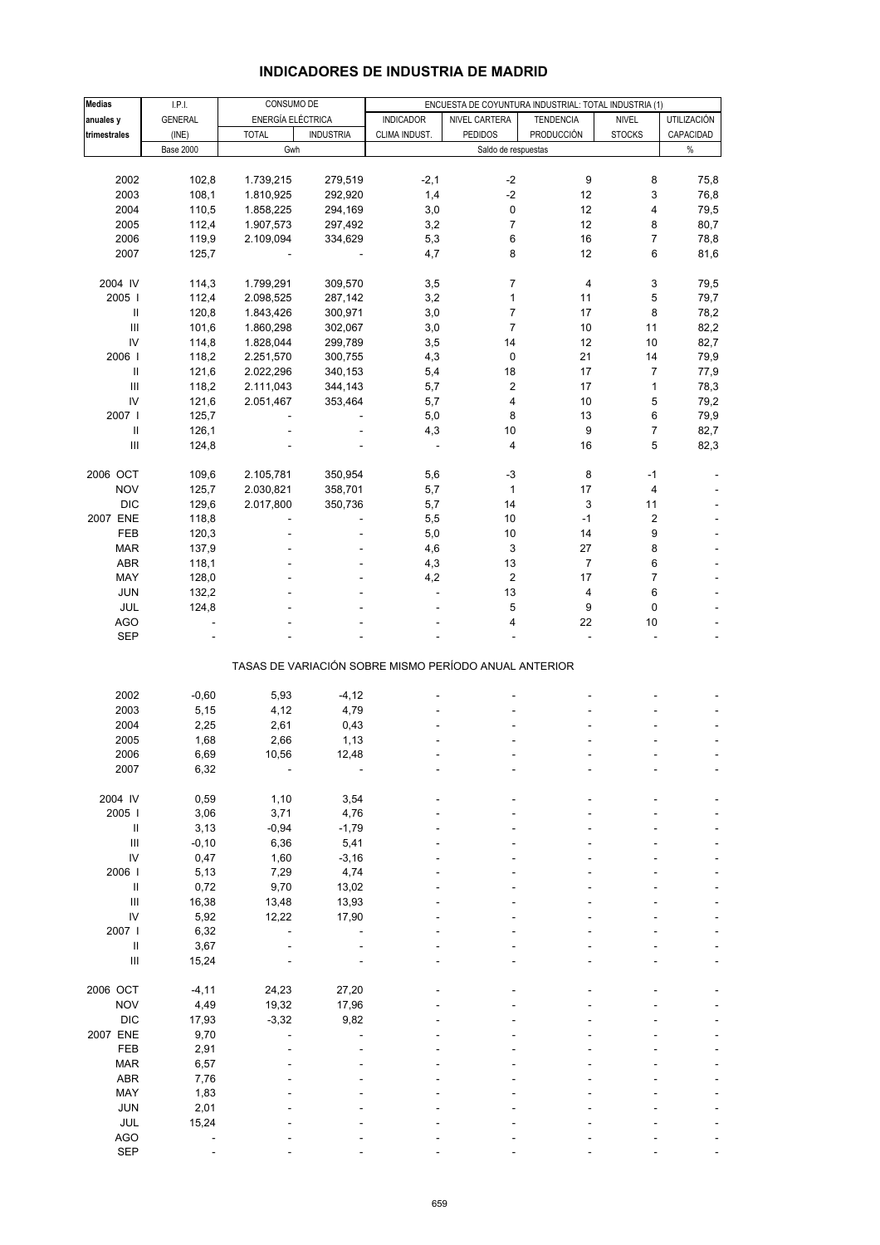| <b>Medias</b>                      | I.P.I.           | CONSUMO DE        |                  |                                                       |                     | ENCUESTA DE COYUNTURA INDUSTRIAL: TOTAL INDUSTRIA (1) |                         |             |
|------------------------------------|------------------|-------------------|------------------|-------------------------------------------------------|---------------------|-------------------------------------------------------|-------------------------|-------------|
| anuales y                          | GENERAL          | ENERGÍA ELÉCTRICA |                  | <b>INDICADOR</b>                                      | NIVEL CARTERA       | <b>TENDENCIA</b>                                      | <b>NIVEL</b>            | UTILIZACIÓN |
| trimestrales                       | (INE)            | <b>TOTAL</b>      | <b>INDUSTRIA</b> | CLIMA INDUST.                                         | <b>PEDIDOS</b>      | <b>PRODUCCIÓN</b>                                     | <b>STOCKS</b>           | CAPACIDAD   |
|                                    | <b>Base 2000</b> | Gwh               |                  |                                                       | Saldo de respuestas |                                                       |                         | $\%$        |
|                                    |                  |                   |                  |                                                       |                     |                                                       |                         |             |
| 2002                               | 102,8            | 1.739,215         | 279,519          | $-2,1$                                                | $-2$                | 9                                                     | 8                       | 75,8        |
| 2003                               | 108,1            |                   |                  |                                                       | $-2$                | 12                                                    |                         |             |
|                                    |                  | 1.810,925         | 292,920          | 1,4                                                   |                     |                                                       | 3                       | 76,8        |
| 2004                               | 110,5            | 1.858,225         | 294,169          | 3,0                                                   | 0                   | 12                                                    | 4                       | 79,5        |
| 2005                               | 112,4            | 1.907,573         | 297,492          | 3,2                                                   | $\overline{7}$      | 12                                                    | 8                       | 80,7        |
| 2006                               | 119,9            | 2.109,094         | 334,629          | 5,3                                                   | 6                   | 16                                                    | $\overline{7}$          | 78,8        |
| 2007                               | 125,7            |                   |                  | 4,7                                                   | 8                   | 12                                                    | 6                       | 81,6        |
|                                    |                  |                   |                  |                                                       |                     |                                                       |                         |             |
| 2004 IV                            | 114,3            | 1.799,291         | 309,570          | 3,5                                                   | 7                   | 4                                                     | 3                       | 79,5        |
|                                    |                  |                   |                  |                                                       |                     |                                                       |                         |             |
| 2005                               | 112,4            | 2.098,525         | 287,142          | 3,2                                                   | $\mathbf{1}$        | 11                                                    | 5                       | 79,7        |
| $\sf II$                           | 120,8            | 1.843,426         | 300,971          | 3,0                                                   | $\overline{7}$      | 17                                                    | 8                       | 78,2        |
| III                                | 101,6            | 1.860,298         | 302,067          | 3,0                                                   | $\overline{7}$      | 10                                                    | 11                      | 82,2        |
| IV                                 | 114,8            | 1.828,044         | 299,789          | 3,5                                                   | 14                  | 12                                                    | 10                      | 82,7        |
| 2006                               | 118,2            | 2.251,570         | 300,755          | 4,3                                                   | 0                   | 21                                                    | 14                      | 79,9        |
|                                    | 121,6            | 2.022,296         | 340,153          | 5,4                                                   | 18                  | 17                                                    | $\overline{7}$          | 77,9        |
| $\ensuremath{\mathsf{III}}\xspace$ | 118,2            | 2.111,043         | 344,143          | 5,7                                                   | 2                   | 17                                                    | $\mathbf{1}$            | 78,3        |
|                                    |                  |                   |                  |                                                       |                     |                                                       |                         |             |
| IV                                 | 121,6            | 2.051,467         | 353,464          | 5,7                                                   | 4                   | 10                                                    | 5                       | 79,2        |
| 2007                               | 125,7            |                   |                  | 5,0                                                   | 8                   | 13                                                    | 6                       | 79,9        |
|                                    | 126,1            |                   |                  | 4,3                                                   | 10                  | 9                                                     | $\overline{7}$          | 82,7        |
| $\ensuremath{\mathsf{III}}\xspace$ | 124,8            |                   |                  | ÷.                                                    | 4                   | 16                                                    | 5                       | 82,3        |
|                                    |                  |                   |                  |                                                       |                     |                                                       |                         |             |
| 2006 OCT                           | 109,6            | 2.105,781         | 350,954          | 5,6                                                   | $-3$                | 8                                                     | $-1$                    |             |
| <b>NOV</b>                         | 125,7            | 2.030,821         | 358,701          | 5,7                                                   | 1                   | 17                                                    | 4                       |             |
| <b>DIC</b>                         | 129,6            | 2.017,800         | 350,736          | 5,7                                                   | 14                  | 3                                                     | 11                      |             |
|                                    |                  |                   |                  |                                                       |                     |                                                       |                         |             |
| 2007 ENE                           | 118,8            |                   |                  | 5,5                                                   | 10                  | $-1$                                                  | $\overline{\mathbf{c}}$ |             |
| FEB                                | 120,3            |                   |                  | 5,0                                                   | 10                  | 14                                                    | 9                       |             |
| <b>MAR</b>                         | 137,9            |                   |                  | 4,6                                                   | 3                   | 27                                                    | 8                       |             |
| <b>ABR</b>                         | 118,1            |                   |                  | 4,3                                                   | 13                  | $\overline{7}$                                        | 6                       |             |
| MAY                                | 128,0            |                   |                  | 4,2                                                   | $\overline{c}$      | 17                                                    | $\overline{7}$          |             |
| <b>JUN</b>                         | 132,2            |                   |                  | ÷,                                                    | 13                  | 4                                                     | 6                       |             |
| JUL                                | 124,8            |                   |                  |                                                       | 5                   | 9                                                     | 0                       |             |
| <b>AGO</b>                         |                  |                   |                  |                                                       | 4                   | 22                                                    | 10                      |             |
|                                    |                  |                   |                  |                                                       |                     |                                                       |                         |             |
| <b>SEP</b>                         |                  |                   |                  |                                                       |                     | $\overline{\phantom{a}}$                              |                         |             |
|                                    |                  |                   |                  |                                                       |                     |                                                       |                         |             |
|                                    |                  |                   |                  | TASAS DE VARIACIÓN SOBRE MISMO PERÍODO ANUAL ANTERIOR |                     |                                                       |                         |             |
|                                    |                  |                   |                  |                                                       |                     |                                                       |                         |             |
| 2002                               | $-0,60$          | 5,93              | $-4, 12$         |                                                       |                     |                                                       |                         |             |
| 2003                               | 5,15             | 4,12              | 4,79             |                                                       |                     |                                                       |                         |             |
| 2004                               | 2,25             | 2,61              | 0,43             |                                                       |                     |                                                       |                         |             |
| 2005                               | 1,68             | 2,66              | 1,13             |                                                       |                     |                                                       |                         |             |
| 2006                               | 6,69             | 10,56             | 12,48            |                                                       |                     |                                                       |                         |             |
| 2007                               | 6,32             |                   |                  |                                                       |                     |                                                       |                         |             |
|                                    |                  |                   |                  |                                                       |                     |                                                       |                         |             |
|                                    |                  |                   |                  |                                                       |                     |                                                       |                         |             |
| 2004 IV                            | 0,59             | 1,10              | 3,54             |                                                       |                     |                                                       |                         |             |
| 2005 l                             | 3,06             | 3,71              | 4,76             |                                                       |                     |                                                       |                         |             |
| $\sf II$                           | 3,13             | $-0,94$           | $-1,79$          |                                                       |                     |                                                       |                         |             |
| $\ensuremath{\mathsf{III}}\xspace$ | $-0, 10$         | 6,36              | 5,41             |                                                       |                     |                                                       |                         |             |
| IV                                 | 0,47             | 1,60              | $-3,16$          |                                                       |                     |                                                       |                         |             |
| 2006                               | 5,13             | 7,29              | 4,74             |                                                       |                     |                                                       |                         |             |
|                                    | 0,72             | 9,70              | 13,02            |                                                       |                     |                                                       |                         |             |
| $\ensuremath{\mathsf{III}}\xspace$ | 16,38            | 13,48             | 13,93            |                                                       |                     |                                                       |                         |             |
|                                    |                  |                   |                  |                                                       |                     |                                                       |                         |             |
| IV                                 | 5,92             | 12,22             | 17,90            |                                                       |                     |                                                       |                         |             |
| 2007 l                             | 6,32             |                   |                  |                                                       |                     |                                                       |                         |             |
| $\, \parallel$                     | 3,67             |                   |                  |                                                       |                     |                                                       |                         |             |
| $\ensuremath{\mathsf{III}}\xspace$ | 15,24            |                   |                  |                                                       |                     |                                                       |                         |             |
|                                    |                  |                   |                  |                                                       |                     |                                                       |                         |             |
| 2006 OCT                           | $-4, 11$         | 24,23             | 27,20            |                                                       |                     |                                                       |                         |             |
| <b>NOV</b>                         | 4,49             | 19,32             | 17,96            |                                                       |                     |                                                       |                         |             |
| <b>DIC</b>                         |                  | $-3,32$           | 9,82             |                                                       |                     |                                                       |                         |             |
|                                    | 17,93            |                   |                  |                                                       |                     |                                                       |                         |             |
| 2007 ENE                           | 9,70             |                   |                  |                                                       |                     |                                                       |                         |             |
| FEB                                | 2,91             |                   |                  |                                                       |                     |                                                       |                         |             |
| <b>MAR</b>                         | 6,57             |                   |                  |                                                       |                     |                                                       |                         |             |
| <b>ABR</b>                         | 7,76             |                   |                  |                                                       |                     |                                                       |                         |             |
| MAY                                | 1,83             |                   |                  |                                                       |                     |                                                       |                         |             |
| <b>JUN</b>                         | 2,01             |                   |                  |                                                       |                     |                                                       |                         |             |
|                                    |                  |                   |                  |                                                       |                     |                                                       |                         |             |
| JUL                                | 15,24            |                   |                  |                                                       |                     |                                                       |                         |             |
| AGO                                |                  |                   |                  |                                                       |                     |                                                       |                         |             |
| <b>SEP</b>                         |                  |                   |                  |                                                       |                     |                                                       |                         |             |

#### **INDICADORES DE INDUSTRIA DE MADRID**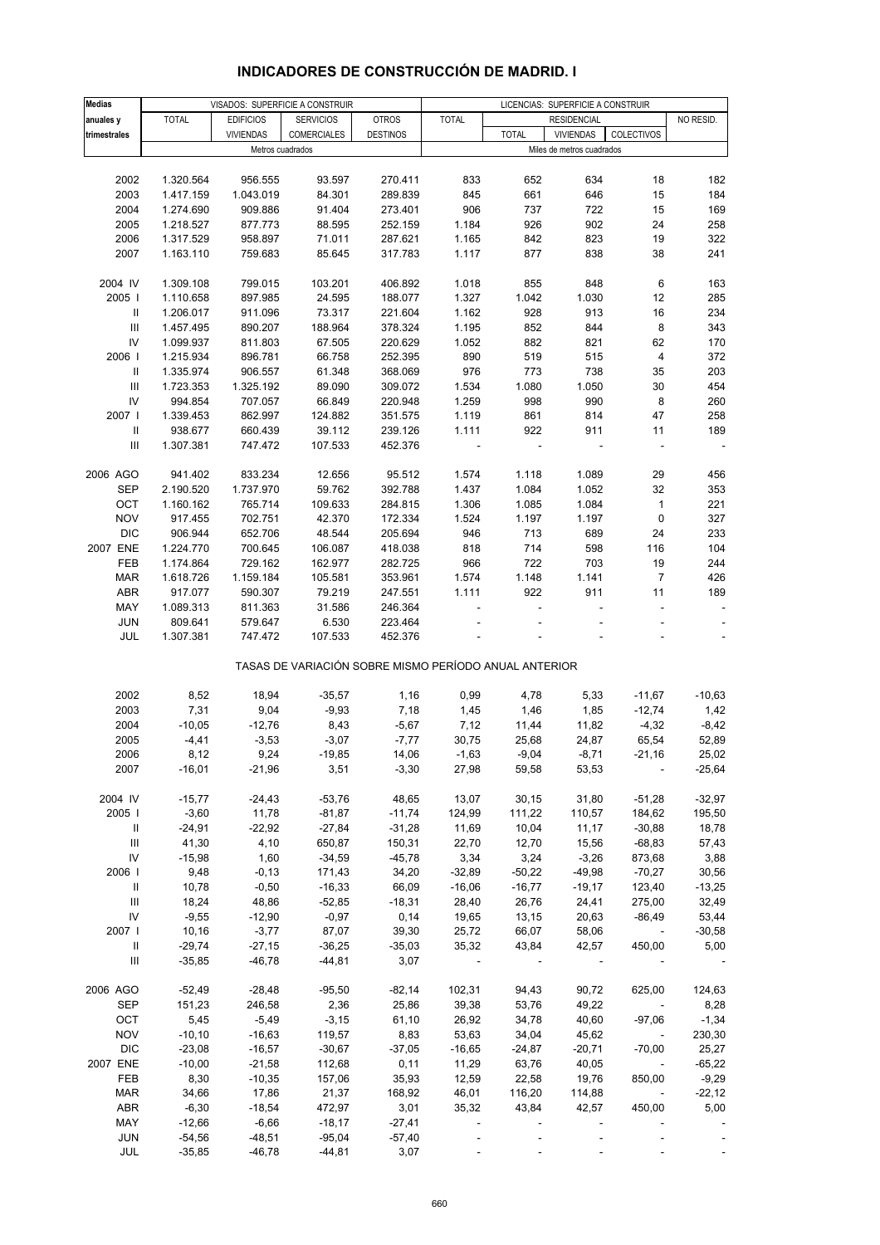| <b>Medias</b>                      |                      | VISADOS: SUPERFICIE A CONSTRUIR |                                                       |                    | LICENCIAS: SUPERFICIE A CONSTRUIR |                   |                           |                                      |                          |
|------------------------------------|----------------------|---------------------------------|-------------------------------------------------------|--------------------|-----------------------------------|-------------------|---------------------------|--------------------------------------|--------------------------|
| anuales y                          | <b>TOTAL</b>         | <b>EDIFICIOS</b>                | <b>SERVICIOS</b>                                      | <b>OTROS</b>       | <b>TOTAL</b>                      |                   | <b>RESIDENCIAL</b>        |                                      | NO RESID.                |
| trimestrales                       |                      | <b>VIVIENDAS</b>                | COMERCIALES                                           | <b>DESTINOS</b>    |                                   | <b>TOTAL</b>      | <b>VIVIENDAS</b>          | COLECTIVOS                           |                          |
|                                    |                      | Metros cuadrados                |                                                       |                    |                                   |                   | Miles de metros cuadrados |                                      |                          |
|                                    |                      |                                 |                                                       |                    |                                   |                   |                           |                                      |                          |
| 2002                               | 1.320.564            | 956.555                         | 93.597                                                | 270.411            | 833                               | 652               | 634                       | 18                                   | 182                      |
| 2003                               | 1.417.159            | 1.043.019                       | 84.301                                                | 289.839            | 845                               | 661               | 646                       | 15                                   | 184                      |
| 2004                               | 1.274.690            | 909.886                         | 91.404                                                | 273.401            | 906                               | 737               | 722                       | 15                                   | 169                      |
| 2005                               | 1.218.527            | 877.773                         | 88.595                                                | 252.159            | 1.184                             | 926               | 902                       | 24                                   | 258                      |
| 2006                               | 1.317.529            | 958.897                         | 71.011                                                | 287.621            | 1.165                             | 842               | 823                       | 19                                   | 322                      |
| 2007                               | 1.163.110            | 759.683                         | 85.645                                                | 317.783            | 1.117                             | 877               | 838                       | 38                                   | 241                      |
|                                    |                      |                                 |                                                       |                    |                                   |                   |                           |                                      |                          |
| 2004 IV                            | 1.309.108            | 799.015                         | 103.201                                               | 406.892            | 1.018                             | 855               | 848                       | 6                                    | 163                      |
| 2005                               | 1.110.658            | 897.985                         | 24.595                                                | 188.077            | 1.327                             | 1.042             | 1.030                     | 12                                   | 285                      |
| Ш                                  | 1.206.017            | 911.096                         | 73.317                                                | 221.604            | 1.162                             | 928               | 913                       | 16                                   | 234                      |
| Ш                                  | 1.457.495            | 890.207                         | 188.964                                               | 378.324            | 1.195                             | 852               | 844                       | 8                                    | 343                      |
| IV                                 | 1.099.937            | 811.803                         | 67.505                                                | 220.629            | 1.052                             | 882               | 821                       | 62                                   | 170                      |
| 2006                               | 1.215.934            | 896.781                         | 66.758                                                | 252.395            | 890                               | 519               | 515                       | $\overline{4}$                       | 372                      |
| Ш                                  | 1.335.974            | 906.557                         | 61.348                                                | 368.069            | 976                               | 773               | 738                       | 35                                   | 203                      |
| Ш                                  | 1.723.353            | 1.325.192                       | 89.090                                                | 309.072            | 1.534                             | 1.080             | 1.050                     | 30                                   | 454                      |
| IV                                 | 994.854              | 707.057                         | 66.849                                                | 220.948            | 1.259                             | 998               | 990                       | 8                                    | 260                      |
| 2007 l                             | 1.339.453            | 862.997                         | 124.882                                               | 351.575            | 1.119                             | 861               | 814                       | 47                                   | 258                      |
| Ш                                  | 938.677              | 660.439                         | 39.112                                                | 239.126            | 1.111                             | 922               | 911                       | 11                                   | 189                      |
| Ш                                  | 1.307.381            | 747.472                         | 107.533                                               | 452.376            |                                   | $\sim$            |                           |                                      | $\sim$                   |
|                                    |                      |                                 |                                                       |                    |                                   |                   |                           |                                      |                          |
| 2006 AGO                           | 941.402              | 833.234                         | 12.656                                                | 95.512             | 1.574                             | 1.118             | 1.089                     | 29                                   | 456                      |
| <b>SEP</b>                         | 2.190.520            | 1.737.970                       | 59.762                                                | 392.788            | 1.437                             | 1.084             | 1.052                     | 32                                   | 353                      |
| OCT                                | 1.160.162            | 765.714                         | 109.633                                               | 284.815            | 1.306                             | 1.085             | 1.084                     | $\mathbf{1}$                         | 221                      |
| <b>NOV</b>                         | 917.455              | 702.751                         | 42.370                                                | 172.334            | 1.524                             | 1.197             | 1.197                     | 0                                    | 327                      |
| <b>DIC</b>                         | 906.944              | 652.706                         | 48.544                                                | 205.694            | 946                               | 713               | 689                       | 24                                   | 233                      |
| 2007 ENE                           | 1.224.770            | 700.645                         | 106.087                                               | 418.038            | 818                               | 714               | 598                       | 116                                  | 104                      |
| FEB                                | 1.174.864            | 729.162                         | 162.977                                               | 282.725            | 966                               | 722               | 703                       | 19                                   | 244                      |
| <b>MAR</b>                         | 1.618.726            | 1.159.184                       | 105.581                                               | 353.961            | 1.574                             | 1.148             | 1.141                     | $\overline{7}$                       | 426                      |
| <b>ABR</b>                         | 917.077              | 590.307                         | 79.219                                                | 247.551            | 1.111                             | 922               | 911                       | 11                                   | 189                      |
| MAY<br><b>JUN</b>                  | 1.089.313<br>809.641 | 811.363<br>579.647              | 31.586<br>6.530                                       | 246.364<br>223.464 |                                   |                   |                           |                                      | $\overline{\phantom{a}}$ |
| JUL                                | 1.307.381            | 747.472                         | 107.533                                               | 452.376            |                                   |                   |                           |                                      | $\blacksquare$           |
|                                    |                      |                                 |                                                       |                    |                                   |                   |                           |                                      |                          |
|                                    |                      |                                 | TASAS DE VARIACIÓN SOBRE MISMO PERÍODO ANUAL ANTERIOR |                    |                                   |                   |                           |                                      |                          |
|                                    |                      |                                 |                                                       |                    |                                   |                   |                           |                                      |                          |
| 2002                               | 8,52                 | 18,94                           | $-35,57$                                              | 1,16               | 0,99                              | 4,78              | 5,33                      | $-11,67$                             | $-10,63$                 |
| 2003                               | 7,31                 | 9,04                            | $-9,93$                                               | 7,18               | 1,45                              | 1,46              | 1,85                      | $-12,74$                             | 1,42                     |
| 2004                               | $-10,05$             | $-12,76$                        | 8,43                                                  | $-5,67$            | 7,12                              | 11,44             | 11,82                     | $-4,32$                              | $-8,42$                  |
| 2005<br>2006                       | $-4,41$              | $-3,53$                         | $-3,07$                                               | $-7,77$            | 30,75                             | 25,68             | 24,87                     | 65,54                                | 52,89                    |
|                                    | 8,12                 | 9,24                            | $-19,85$                                              | 14,06              | $-1,63$                           | $-9,04$           | $-8,71$                   | $-21,16$                             | 25,02                    |
| 2007                               | $-16,01$             | $-21,96$                        | 3,51                                                  | $-3,30$            | 27,98                             | 59,58             | 53,53                     |                                      | $-25,64$                 |
| 2004 IV                            | $-15,77$             | $-24,43$                        | $-53,76$                                              | 48,65              | 13,07                             | 30, 15            | 31,80                     | $-51,28$                             | $-32,97$                 |
| 2005                               | $-3,60$              | 11,78                           | $-81,87$                                              | $-11,74$           | 124,99                            | 111,22            | 110,57                    | 184,62                               | 195,50                   |
| Ш                                  | $-24,91$             | $-22,92$                        | $-27,84$                                              | $-31,28$           | 11,69                             | 10,04             | 11,17                     | $-30,88$                             | 18,78                    |
| Ш                                  | 41,30                | 4,10                            | 650,87                                                | 150,31             | 22,70                             | 12,70             | 15,56                     | $-68,83$                             | 57,43                    |
| IV                                 | $-15,98$             | 1,60                            | $-34,59$                                              | $-45,78$           | 3,34                              | 3,24              | $-3,26$                   | 873,68                               | 3,88                     |
| 2006                               | 9,48                 | $-0,13$                         | 171,43                                                | 34,20              | $-32,89$                          | $-50,22$          | $-49,98$                  | $-70,27$                             | 30,56                    |
| Ш                                  | 10,78                | $-0,50$                         | $-16,33$                                              | 66,09              | $-16,06$                          | $-16,77$          | $-19,17$                  | 123,40                               | $-13,25$                 |
| Ш                                  | 18,24                | 48,86                           | $-52,85$                                              | $-18,31$           | 28,40                             | 26,76             | 24,41                     | 275,00                               | 32,49                    |
| IV                                 | $-9,55$              | $-12,90$                        | $-0,97$                                               | 0,14               | 19,65                             | 13,15             | 20,63                     | $-86,49$                             | 53,44                    |
| 2007                               | 10,16                | $-3,77$                         | 87,07                                                 | 39,30              | 25,72                             | 66,07             | 58,06                     | $\sim$                               | $-30,58$                 |
| Ш                                  | $-29,74$             | $-27,15$                        | $-36,25$                                              | $-35,03$           | 35,32                             | 43,84             | 42,57                     | 450,00                               | 5,00                     |
| $\ensuremath{\mathsf{III}}\xspace$ | $-35,85$             | $-46,78$                        | $-44,81$                                              | 3,07               |                                   |                   |                           |                                      |                          |
| 2006 AGO                           | $-52,49$             | $-28,48$                        | $-95,50$                                              | $-82,14$           | 102,31                            | 94,43             | 90,72                     | 625,00                               | 124,63                   |
| <b>SEP</b>                         |                      | 246,58                          | 2,36                                                  |                    |                                   |                   | 49,22                     |                                      | 8,28                     |
|                                    | 151,23<br>5,45       | $-5,49$                         | $-3,15$                                               | 25,86<br>61,10     | 39,38                             | 53,76             | 40,60                     | $\blacksquare$                       | $-1,34$                  |
| OCT<br><b>NOV</b>                  | $-10, 10$            | $-16,63$                        | 119,57                                                | 8,83               | 26,92<br>53,63                    | 34,78<br>34,04    | 45,62                     | $-97,06$<br>$\overline{\phantom{a}}$ |                          |
| <b>DIC</b>                         |                      |                                 |                                                       |                    |                                   |                   |                           |                                      | 230,30                   |
| 2007 ENE                           | $-23,08$<br>$-10,00$ | $-16,57$<br>$-21,58$            | $-30,67$<br>112,68                                    | $-37,05$<br>0,11   | $-16,65$<br>11,29                 | $-24,87$<br>63,76 | $-20,71$<br>40,05         | $-70,00$<br>$\blacksquare$           | 25,27<br>$-65,22$        |
| FEB                                | 8,30                 | $-10,35$                        | 157,06                                                | 35,93              | 12,59                             | 22,58             | 19,76                     | 850,00                               | $-9,29$                  |
| <b>MAR</b>                         | 34,66                | 17,86                           | 21,37                                                 | 168,92             | 46,01                             | 116,20            | 114,88                    |                                      | $-22,12$                 |
| <b>ABR</b>                         | $-6,30$              | $-18,54$                        | 472,97                                                | 3,01               | 35,32                             | 43,84             | 42,57                     | 450,00                               | 5,00                     |
| MAY                                | $-12,66$             | $-6,66$                         | $-18,17$                                              | $-27,41$           |                                   |                   |                           |                                      |                          |
| <b>JUN</b>                         | $-54,56$             | $-48,51$                        | $-95,04$                                              | $-57,40$           |                                   |                   |                           |                                      |                          |
| JUL                                | $-35,85$             | $-46,78$                        | $-44,81$                                              | 3,07               |                                   |                   |                           |                                      |                          |
|                                    |                      |                                 |                                                       |                    |                                   |                   |                           |                                      |                          |

# **INDICADORES DE CONSTRUCCIÓN DE MADRID. I**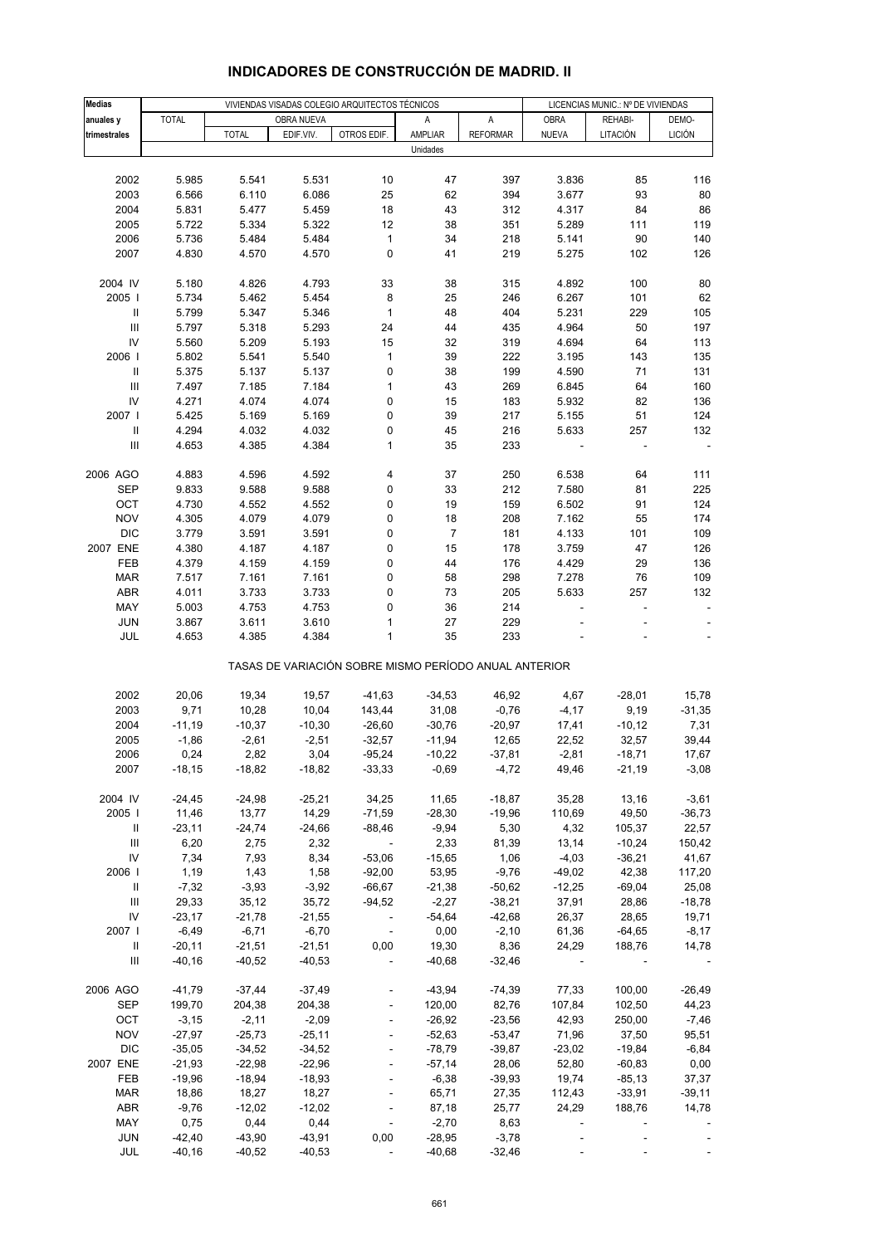| <b>Medias</b>                           |              |              |            | VIVIENDAS VISADAS COLEGIO ARQUITECTOS TÉCNICOS        |                  |                 |                          | LICENCIAS MUNIC.: Nº DE VIVIENDAS |                |
|-----------------------------------------|--------------|--------------|------------|-------------------------------------------------------|------------------|-----------------|--------------------------|-----------------------------------|----------------|
| anuales y                               | <b>TOTAL</b> |              | OBRA NUEVA |                                                       | Α                | Α               | OBRA                     | REHABI-                           | DEMO-          |
| trimestrales                            |              | <b>TOTAL</b> | EDIF.VIV.  | OTROS EDIF.                                           | AMPLIAR          | <b>REFORMAR</b> | <b>NUEVA</b>             | LITACIÓN                          | <b>LICIÓN</b>  |
|                                         |              |              |            |                                                       | Unidades         |                 |                          |                                   |                |
|                                         |              |              |            |                                                       |                  |                 |                          |                                   |                |
| 2002                                    | 5.985        | 5.541        | 5.531      | 10                                                    | 47               | 397             | 3.836                    | 85                                | 116            |
| 2003                                    | 6.566        | 6.110        | 6.086      | 25                                                    | 62               | 394             | 3.677                    | 93                                | 80             |
| 2004                                    | 5.831        | 5.477        | 5.459      | 18                                                    | 43               | 312             | 4.317                    | 84                                | 86             |
| 2005                                    | 5.722        | 5.334        | 5.322      | 12                                                    | 38               | 351             | 5.289                    | 111                               | 119            |
| 2006                                    | 5.736        | 5.484        | 5.484      | $\mathbf{1}$                                          | 34               | 218             | 5.141                    | 90                                | 140            |
| 2007                                    | 4.830        | 4.570        | 4.570      | 0                                                     | 41               | 219             | 5.275                    | 102                               | 126            |
|                                         |              |              |            |                                                       |                  |                 |                          |                                   |                |
| 2004 IV                                 | 5.180        | 4.826        | 4.793      | 33                                                    | 38               | 315             | 4.892                    | 100                               | 80             |
| 2005                                    | 5.734        | 5.462        | 5.454      | 8                                                     | 25               | 246             | 6.267                    | 101                               | 62             |
| $\, \parallel$                          | 5.799        | 5.347        | 5.346      | $\mathbf{1}$                                          | 48               | 404             | 5.231                    | 229                               | 105            |
| $\ensuremath{\mathsf{III}}\xspace$      | 5.797        | 5.318        | 5.293      | 24                                                    | 44               | 435             | 4.964                    | 50                                | 197            |
| IV                                      | 5.560        | 5.209        | 5.193      | 15                                                    | 32               | 319             | 4.694                    | 64                                | 113            |
| 2006                                    | 5.802        | 5.541        | 5.540      | $\mathbf{1}$                                          | 39               | 222             | 3.195                    | 143                               | 135            |
| $\,$ II                                 | 5.375        | 5.137        | 5.137      | 0                                                     | 38               | 199             | 4.590                    | 71                                | 131            |
| $\ensuremath{\mathsf{III}}\xspace$      | 7.497        | 7.185        | 7.184      | 1                                                     | 43               | 269             | 6.845                    | 64                                | 160            |
| IV                                      | 4.271        | 4.074        | 4.074      | 0                                                     | 15               | 183             | 5.932                    | 82                                | 136            |
| 2007 l                                  | 5.425        | 5.169        | 5.169      | 0                                                     | 39               | 217             | 5.155                    | 51                                | 124            |
| Ш<br>$\ensuremath{\mathsf{III}}\xspace$ | 4.294        | 4.032        | 4.032      | 0<br>$\mathbf{1}$                                     | 45               | 216             | 5.633                    | 257                               | 132            |
|                                         | 4.653        | 4.385        | 4.384      |                                                       | 35               | 233             |                          |                                   | $\blacksquare$ |
| 2006 AGO                                | 4.883        | 4.596        | 4.592      | 4                                                     | 37               | 250             | 6.538                    | 64                                | 111            |
| <b>SEP</b>                              | 9.833        | 9.588        | 9.588      | 0                                                     | 33               | 212             | 7.580                    | 81                                | 225            |
| OCT                                     | 4.730        | 4.552        | 4.552      | 0                                                     | 19               | 159             | 6.502                    | 91                                | 124            |
| <b>NOV</b>                              | 4.305        | 4.079        | 4.079      | 0                                                     | 18               | 208             | 7.162                    | 55                                | 174            |
| <b>DIC</b>                              | 3.779        | 3.591        | 3.591      | 0                                                     | $\boldsymbol{7}$ | 181             | 4.133                    | 101                               | 109            |
| 2007 ENE                                | 4.380        | 4.187        | 4.187      | 0                                                     | 15               | 178             | 3.759                    | 47                                | 126            |
| FEB                                     | 4.379        | 4.159        | 4.159      | 0                                                     | 44               | 176             | 4.429                    | 29                                | 136            |
| MAR                                     | 7.517        | 7.161        | 7.161      | 0                                                     | 58               | 298             | 7.278                    | 76                                | 109            |
| ABR                                     | 4.011        | 3.733        | 3.733      | 0                                                     | 73               | 205             | 5.633                    | 257                               | 132            |
| MAY                                     | 5.003        | 4.753        | 4.753      | 0                                                     | 36               | 214             |                          |                                   |                |
| <b>JUN</b>                              | 3.867        | 3.611        | 3.610      | 1                                                     | 27               | 229             |                          |                                   |                |
| JUL                                     | 4.653        | 4.385        | 4.384      | 1                                                     | 35               | 233             |                          |                                   |                |
|                                         |              |              |            | TASAS DE VARIACIÓN SOBRE MISMO PERÍODO ANUAL ANTERIOR |                  |                 |                          |                                   |                |
| 2002                                    | 20,06        | 19,34        | 19,57      | $-41,63$                                              | $-34,53$         | 46,92           | 4,67                     | $-28,01$                          | 15,78          |
| 2003                                    | 9,71         | 10,28        | 10,04      | 143,44                                                | 31,08            | $-0,76$         | $-4, 17$                 | 9,19                              | $-31,35$       |
| 2004                                    | $-11,19$     | $-10,37$     | $-10,30$   | $-26,60$                                              | $-30,76$         | $-20,97$        | 17,41                    | $-10,12$                          | 7,31           |
| 2005                                    | $-1,86$      | $-2,61$      | $-2,51$    | $-32,57$                                              | $-11,94$         | 12,65           | 22,52                    | 32,57                             | 39,44          |
| 2006                                    | 0,24         | 2,82         | 3,04       | $-95,24$                                              | $-10,22$         | -37,81          | -2,81                    | $-18,71$                          | 17,67          |
| 2007                                    | $-18,15$     | $-18,82$     | $-18,82$   | $-33,33$                                              | $-0,69$          | $-4,72$         | 49,46                    | $-21,19$                          | $-3,08$        |
|                                         |              |              |            |                                                       |                  |                 |                          |                                   |                |
| 2004 IV                                 | $-24,45$     | $-24,98$     | $-25,21$   | 34,25                                                 | 11,65            | $-18,87$        | 35,28                    | 13,16                             | $-3,61$        |
| 2005                                    | 11,46        | 13,77        | 14,29      | $-71,59$                                              | $-28,30$         | $-19,96$        | 110,69                   | 49,50                             | $-36,73$       |
| Ш                                       | $-23,11$     | $-24,74$     | $-24,66$   | $-88,46$                                              | $-9,94$          | 5,30            | 4,32                     | 105,37                            | 22,57          |
| $\mathop{\mathsf{III}}\nolimits$        | 6,20         | 2,75         | 2,32       | $\sim$                                                | 2,33             | 81,39           | 13,14                    | $-10,24$                          | 150,42         |
| IV                                      | 7,34         | 7,93         | 8,34       | $-53,06$                                              | $-15,65$         | 1,06            | $-4,03$                  | $-36,21$                          | 41,67          |
| 2006                                    | 1,19         | 1,43         | 1,58       | $-92,00$                                              | 53,95            | $-9,76$         | $-49,02$                 | 42,38                             | 117,20         |
| Ш                                       | $-7,32$      | $-3,93$      | $-3,92$    | $-66,67$                                              | $-21,38$         | $-50,62$        | $-12,25$                 | $-69,04$                          | 25,08          |
| Ш                                       | 29,33        | 35,12        | 35,72      | $-94,52$                                              | $-2,27$          | $-38,21$        | 37,91                    | 28,86                             | $-18,78$       |
| IV                                      | $-23,17$     | $-21,78$     | $-21,55$   | $\sim$                                                | $-54,64$         | $-42,68$        | 26,37                    | 28,65                             | 19,71          |
| 2007                                    | $-6,49$      | $-6,71$      | $-6,70$    | $\sim$ $-$                                            | 0,00             | $-2,10$         | 61,36                    | $-64,65$                          | $-8,17$        |
| Ш                                       | $-20,11$     | $-21,51$     | $-21,51$   | 0,00                                                  | 19,30            | 8,36            | 24,29                    | 188,76                            | 14,78          |
| Ш                                       | $-40,16$     | $-40,52$     | $-40,53$   | $\Box$                                                | $-40,68$         | $-32,46$        |                          |                                   |                |
| 2006 AGO                                | $-41,79$     | $-37,44$     | $-37,49$   |                                                       | $-43,94$         | $-74,39$        | 77,33                    | 100,00                            | $-26,49$       |
| <b>SEP</b>                              | 199,70       | 204,38       | 204,38     | ÷,                                                    | 120,00           | 82,76           | 107,84                   | 102,50                            | 44,23          |
| OCT                                     | $-3,15$      | $-2,11$      | $-2,09$    | $\overline{\phantom{a}}$                              | $-26,92$         | $-23,56$        | 42,93                    | 250,00                            | $-7,46$        |
| <b>NOV</b>                              | $-27,97$     | $-25,73$     | $-25,11$   |                                                       | $-52,63$         | $-53,47$        | 71,96                    | 37,50                             | 95,51          |
| <b>DIC</b>                              | $-35,05$     | $-34,52$     | $-34,52$   |                                                       | $-78,79$         | $-39,87$        | $-23,02$                 | $-19,84$                          | $-6,84$        |
| 2007 ENE                                | $-21,93$     | $-22,98$     | $-22,96$   | $\Box$                                                | $-57,14$         | 28,06           | 52,80                    | $-60,83$                          | 0,00           |
| FEB                                     | $-19,96$     | $-18,94$     | $-18,93$   |                                                       | $-6,38$          | $-39,93$        | 19,74                    | $-85,13$                          | 37,37          |
| MAR                                     | 18,86        | 18,27        | 18,27      |                                                       | 65,71            | 27,35           | 112,43                   | $-33,91$                          | $-39,11$       |
| <b>ABR</b>                              | $-9,76$      | $-12,02$     | $-12,02$   | $\blacksquare$                                        | 87,18            | 25,77           | 24,29                    | 188,76                            | 14,78          |
| MAY                                     | 0,75         | 0,44         | 0,44       | $\blacksquare$                                        | $-2,70$          | 8,63            | $\overline{\phantom{a}}$ |                                   |                |
| <b>JUN</b>                              | $-42,40$     | $-43,90$     | $-43,91$   | 0,00                                                  | $-28,95$         | $-3,78$         |                          |                                   |                |
| JUL                                     | $-40,16$     | $-40,52$     | $-40,53$   | $\sim 10$                                             | -40,68           | $-32,46$        |                          |                                   |                |

# **INDICADORES DE CONSTRUCCIÓN DE MADRID. II**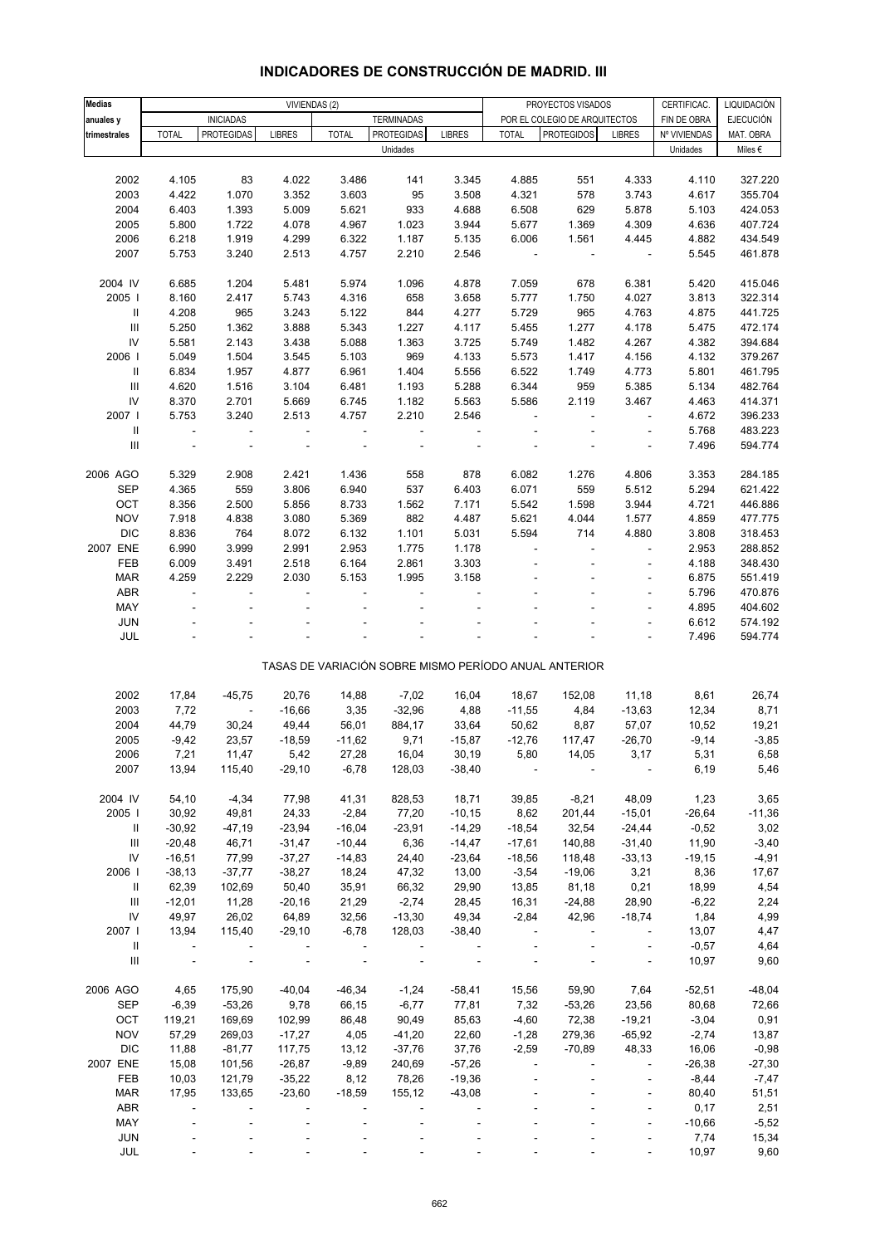| <b>Medias</b>                      |                          | VIVIENDAS (2)     |                          |               |                          |                              |                | PROYECTOS VISADOS                                     |                          | CERTIFICAC.  | LIQUIDACIÓN      |
|------------------------------------|--------------------------|-------------------|--------------------------|---------------|--------------------------|------------------------------|----------------|-------------------------------------------------------|--------------------------|--------------|------------------|
|                                    |                          | <b>INICIADAS</b>  |                          |               | <b>TERMINADAS</b>        |                              |                | POR EL COLEGIO DE ARQUITECTOS                         |                          | FIN DE OBRA  | <b>EJECUCIÓN</b> |
| anuales y                          | <b>TOTAL</b>             | <b>PROTEGIDAS</b> | <b>LIBRES</b>            | <b>TOTAL</b>  | <b>PROTEGIDAS</b>        | <b>LIBRES</b>                | <b>TOTAL</b>   | <b>PROTEGIDOS</b>                                     | <b>LIBRES</b>            | Nº VIVIENDAS | MAT. OBRA        |
| trimestrales                       |                          |                   |                          |               | Unidades                 |                              |                |                                                       |                          | Unidades     | Miles €          |
|                                    |                          |                   |                          |               |                          |                              |                |                                                       |                          |              |                  |
| 2002                               | 4.105                    | 83                | 4.022                    | 3.486         | 141                      | 3.345                        | 4.885          | 551                                                   | 4.333                    | 4.110        | 327.220          |
| 2003                               | 4.422                    | 1.070             | 3.352                    | 3.603         | 95                       | 3.508                        | 4.321          | 578                                                   | 3.743                    | 4.617        | 355.704          |
| 2004                               | 6.403                    | 1.393             | 5.009                    | 5.621         | 933                      | 4.688                        |                |                                                       | 5.878                    |              |                  |
|                                    |                          |                   |                          |               |                          |                              | 6.508          | 629                                                   |                          | 5.103        | 424.053          |
| 2005                               | 5.800                    | 1.722             | 4.078                    | 4.967         | 1.023                    | 3.944                        | 5.677          | 1.369                                                 | 4.309                    | 4.636        | 407.724          |
| 2006                               | 6.218                    | 1.919             | 4.299                    | 6.322         | 1.187                    | 5.135                        | 6.006          | 1.561                                                 | 4.445                    | 4.882        | 434.549          |
| 2007                               | 5.753                    | 3.240             | 2.513                    | 4.757         | 2.210                    | 2.546                        | $\blacksquare$ | $\blacksquare$                                        | $\overline{\phantom{a}}$ | 5.545        | 461.878          |
|                                    |                          |                   |                          |               |                          |                              |                |                                                       |                          |              |                  |
| 2004 IV                            | 6.685                    | 1.204             | 5.481                    | 5.974         | 1.096                    | 4.878                        | 7.059          | 678                                                   | 6.381                    | 5.420        | 415.046          |
| 2005                               | 8.160                    | 2.417             | 5.743                    | 4.316         | 658                      | 3.658                        | 5.777          | 1.750                                                 | 4.027                    | 3.813        | 322.314          |
| Ш                                  | 4.208                    | 965               | 3.243                    | 5.122         | 844                      | 4.277                        | 5.729          | 965                                                   | 4.763                    | 4.875        | 441.725          |
| $\ensuremath{\mathsf{III}}\xspace$ | 5.250                    | 1.362             | 3.888                    | 5.343         | 1.227                    | 4.117                        | 5.455          | 1.277                                                 | 4.178                    | 5.475        | 472.174          |
| IV                                 | 5.581                    | 2.143             | 3.438                    | 5.088         | 1.363                    | 3.725                        | 5.749          | 1.482                                                 | 4.267                    | 4.382        | 394.684          |
| 2006                               | 5.049                    | 1.504             | 3.545                    | 5.103         | 969                      | 4.133                        | 5.573          | 1.417                                                 | 4.156                    | 4.132        | 379.267          |
| $\mathbf{II}$                      | 6.834                    | 1.957             | 4.877                    | 6.961         | 1.404                    | 5.556                        | 6.522          | 1.749                                                 | 4.773                    | 5.801        | 461.795          |
| $\ensuremath{\mathsf{III}}\xspace$ | 4.620                    | 1.516             | 3.104                    | 6.481         | 1.193                    | 5.288                        | 6.344          | 959                                                   | 5.385                    | 5.134        | 482.764          |
| IV                                 | 8.370                    | 2.701             | 5.669                    | 6.745         | 1.182                    | 5.563                        | 5.586          | 2.119                                                 | 3.467                    | 4.463        | 414.371          |
| 2007 l                             | 5.753                    | 3.240             | 2.513                    | 4.757         | 2.210                    | 2.546                        |                |                                                       |                          | 4.672        | 396.233          |
| $\sf II$                           | $\blacksquare$           | $\blacksquare$    | $\overline{\phantom{a}}$ | $\frac{1}{2}$ | $\overline{\phantom{a}}$ | $\qquad \qquad \blacksquare$ |                |                                                       | ÷,                       | 5.768        | 483.223          |
| III                                |                          |                   |                          |               |                          |                              |                |                                                       |                          | 7.496        | 594.774          |
|                                    |                          |                   |                          |               |                          |                              |                |                                                       |                          |              |                  |
| 2006 AGO                           | 5.329                    | 2.908             | 2.421                    | 1.436         | 558                      | 878                          | 6.082          | 1.276                                                 | 4.806                    | 3.353        | 284.185          |
| <b>SEP</b>                         | 4.365                    | 559               | 3.806                    | 6.940         | 537                      | 6.403                        | 6.071          | 559                                                   | 5.512                    | 5.294        | 621.422          |
| OCT                                | 8.356                    | 2.500             | 5.856                    | 8.733         | 1.562                    | 7.171                        | 5.542          | 1.598                                                 | 3.944                    | 4.721        | 446.886          |
| <b>NOV</b>                         | 7.918                    | 4.838             | 3.080                    | 5.369         | 882                      | 4.487                        | 5.621          | 4.044                                                 | 1.577                    | 4.859        | 477.775          |
| <b>DIC</b>                         | 8.836                    | 764               |                          |               |                          |                              |                | 714                                                   |                          |              |                  |
|                                    |                          |                   | 8.072                    | 6.132         | 1.101                    | 5.031                        | 5.594          |                                                       | 4.880                    | 3.808        | 318.453          |
| 2007 ENE                           | 6.990                    | 3.999             | 2.991                    | 2.953         | 1.775                    | 1.178                        |                |                                                       |                          | 2.953        | 288.852          |
| FEB                                | 6.009                    | 3.491             | 2.518                    | 6.164         | 2.861                    | 3.303                        |                |                                                       | $\overline{\phantom{a}}$ | 4.188        | 348.430          |
| <b>MAR</b>                         | 4.259                    | 2.229             | 2.030                    | 5.153         | 1.995                    | 3.158                        |                |                                                       | ÷,                       | 6.875        | 551.419          |
| <b>ABR</b>                         |                          |                   |                          |               |                          |                              |                |                                                       | ÷,                       | 5.796        | 470.876          |
| MAY                                |                          |                   |                          |               |                          |                              |                |                                                       | ÷,                       | 4.895        | 404.602          |
| <b>JUN</b>                         |                          |                   |                          |               |                          |                              |                |                                                       |                          | 6.612        | 574.192          |
| JUL                                |                          |                   |                          |               |                          |                              |                |                                                       |                          | 7.496        | 594.774          |
|                                    |                          |                   |                          |               |                          |                              |                |                                                       |                          |              |                  |
|                                    |                          |                   |                          |               |                          |                              |                | TASAS DE VARIACIÓN SOBRE MISMO PERÍODO ANUAL ANTERIOR |                          |              |                  |
|                                    |                          |                   |                          |               |                          |                              |                |                                                       |                          |              |                  |
| 2002                               | 17,84                    | $-45,75$          | 20,76                    | 14,88         | $-7,02$                  | 16,04                        | 18,67          | 152,08                                                | 11,18                    | 8,61         | 26,74            |
| 2003                               | 7,72                     | $\blacksquare$    | $-16,66$                 | 3,35          | $-32,96$                 | 4,88                         | $-11,55$       | 4,84                                                  | $-13,63$                 | 12,34        | 8,71             |
| 2004                               | 44,79                    | 30,24             | 49,44                    | 56,01         | 884,17                   | 33,64                        | 50,62          | 8,87                                                  | 57,07                    | 10,52        | 19,21            |
| 2005                               | $-9,42$                  | 23,57             | $-18,59$                 | $-11,62$      | 9,71                     | $-15,87$                     | $-12,76$       | 117,47                                                | $-26,70$                 | $-9,14$      | $-3,85$          |
| 2006                               | 7,21                     | 11,47             | 5,42                     | 27,28         | 16,04                    | 30,19                        | 5,80           | 14,05                                                 | 3,17                     | 5,31         | 6,58             |
| 2007                               | 13,94                    | 115,40            | $-29,10$                 | $-6,78$       | 128,03                   | $-38,40$                     |                |                                                       |                          | 6,19         | 5,46             |
|                                    |                          |                   |                          |               |                          |                              |                |                                                       |                          |              |                  |
| 2004 IV                            | 54,10                    | $-4,34$           | 77,98                    | 41,31         | 828,53                   | 18,71                        | 39,85          | $-8,21$                                               | 48,09                    | 1,23         | 3,65             |
| 2005                               | 30,92                    | 49,81             | 24,33                    | $-2,84$       | 77,20                    | $-10,15$                     | 8,62           | 201,44                                                | $-15,01$                 | $-26,64$     | $-11,36$         |
| Ш                                  | $-30,92$                 | $-47,19$          | $-23,94$                 | $-16,04$      | $-23,91$                 | $-14,29$                     | $-18,54$       | 32,54                                                 | $-24,44$                 | $-0,52$      | 3,02             |
| $\mathbf{III}$                     | $-20,48$                 | 46,71             | $-31,47$                 | $-10,44$      | 6,36                     | $-14,47$                     | $-17,61$       | 140,88                                                | $-31,40$                 | 11,90        | $-3,40$          |
| IV                                 | $-16,51$                 | 77,99             | $-37,27$                 | $-14,83$      | 24,40                    | $-23,64$                     | $-18,56$       | 118,48                                                | $-33,13$                 | $-19,15$     | $-4,91$          |
| 2006                               | $-38,13$                 | $-37,77$          | $-38,27$                 | 18,24         | 47,32                    | 13,00                        | $-3,54$        | $-19,06$                                              | 3,21                     | 8,36         | 17,67            |
| Ш                                  | 62,39                    | 102,69            | 50,40                    | 35,91         | 66,32                    | 29,90                        | 13,85          | 81,18                                                 | 0,21                     | 18,99        | 4,54             |
| Ш                                  | $-12,01$                 | 11,28             | $-20,16$                 | 21,29         | $-2,74$                  | 28,45                        | 16,31          | $-24,88$                                              | 28,90                    | $-6,22$      | 2,24             |
| IV                                 | 49,97                    | 26,02             | 64,89                    | 32,56         | $-13,30$                 | 49,34                        | $-2,84$        | 42,96                                                 | $-18,74$                 | 1,84         | 4,99             |
| 2007 l                             | 13,94                    | 115,40            | $-29,10$                 | $-6,78$       | 128,03                   | $-38,40$                     |                |                                                       |                          | 13,07        | 4,47             |
| Ш                                  | $\overline{\phantom{a}}$ |                   |                          |               |                          |                              |                |                                                       | $\overline{\phantom{a}}$ | $-0,57$      | 4,64             |
| $\mathbf{III}$                     |                          |                   |                          |               |                          |                              |                |                                                       | $\blacksquare$           | 10,97        | 9,60             |
|                                    |                          |                   |                          |               |                          |                              |                |                                                       |                          |              |                  |
| 2006 AGO                           | 4,65                     | 175,90            | $-40,04$                 | $-46,34$      | $-1,24$                  | $-58,41$                     | 15,56          | 59,90                                                 | 7,64                     | $-52,51$     | $-48,04$         |
|                                    |                          |                   |                          |               |                          |                              |                |                                                       |                          |              |                  |
| <b>SEP</b>                         | $-6,39$                  | $-53,26$          | 9,78                     | 66,15         | $-6,77$                  | 77,81                        | 7,32           | $-53,26$                                              | 23,56                    | 80,68        | 72,66            |
| OCT                                | 119,21                   | 169,69            | 102,99                   | 86,48         | 90,49                    | 85,63                        | $-4,60$        | 72,38                                                 | $-19,21$                 | $-3,04$      | 0,91             |
| <b>NOV</b>                         | 57,29                    | 269,03            | $-17,27$                 | 4,05          | $-41,20$                 | 22,60                        | $-1,28$        | 279,36                                                | $-65,92$                 | $-2,74$      | 13,87            |
| <b>DIC</b>                         | 11,88                    | $-81,77$          | 117,75                   | 13,12         | $-37,76$                 | 37,76                        | $-2,59$        | $-70,89$                                              | 48,33                    | 16,06        | $-0,98$          |
| 2007 ENE                           | 15,08                    | 101,56            | $-26,87$                 | $-9,89$       | 240,69                   | $-57,26$                     |                |                                                       |                          | $-26,38$     | $-27,30$         |
| FEB                                | 10,03                    | 121,79            | $-35,22$                 | 8,12          | 78,26                    | $-19,36$                     |                |                                                       |                          | $-8,44$      | $-7,47$          |
| <b>MAR</b>                         | 17,95                    | 133,65            | $-23,60$                 | $-18,59$      | 155,12                   | $-43,08$                     |                |                                                       |                          | 80,40        | 51,51            |
| <b>ABR</b>                         |                          |                   |                          |               |                          |                              |                |                                                       |                          | 0,17         | 2,51             |
| MAY                                |                          |                   |                          |               |                          |                              |                |                                                       | ÷,                       | $-10,66$     | $-5,52$          |
| <b>JUN</b>                         |                          |                   |                          |               |                          |                              |                |                                                       |                          | 7,74         | 15,34            |
| JUL                                |                          |                   |                          |               |                          |                              |                |                                                       |                          | 10,97        | 9,60             |

# **INDICADORES DE CONSTRUCCIÓN DE MADRID. III**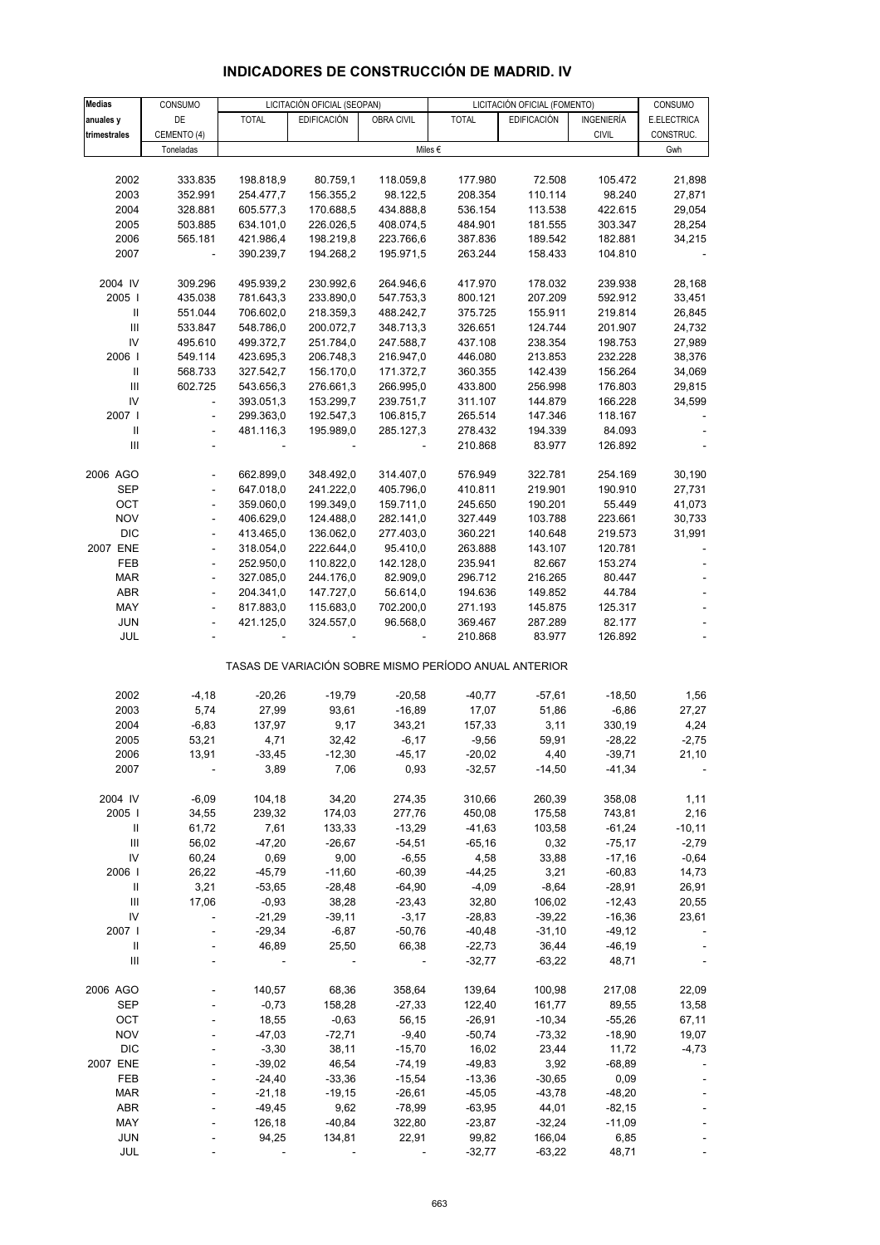#### **Medias** CONSUMO LICITACIÓN OFICIAL (SEOPAN) LICITACIÓN OFICIAL (FOMENTO) CONSUMO **anuales y |** DE | TOTAL | EDIFICACIÓN | OBRA CIVIL | TOTAL | EDIFICACIÓN | INGENIERÍA | E.ELECTRICA **trimestrales |** CEMENTO (4) | | | | | | CIVIL | CONSTRUC.  $\blacksquare$ Toneladas  $\blacksquare$ Gwh 2002 333.835 198.818,9 80.759,1 118.059,8 177.980 72.508 105.472 21,898 2003 352.991 254.477,7 156.355,2 98.122,5 208.354 110.114 98.240 27,871 2004 328.881 605.577,3 170.688,5 434.888,8 536.154 113.538 422.615 29,054 2005 503.885 634.101,0 226.026,5 408.074,5 484.901 181.555 303.347 28,254 2006 565.181 421.986,4 198.219,8 223.766,6 387.836 189.542 182.881 34,215 2007 - 390.239,7 194.268,2 195.971,5 263.244 158.433 104.810 - 2004 IV 309.296 495.939,2 230.992,6 264.946,6 417.970 178.032 239.938 28,168 2005 I 435.038 781.643,3 233.890,0 547.753,3 800.121 207.209 592.912 33,451 II 551.044 706.602,0 218.359,3 488.242,7 375.725 155.911 219.814 26,845 III 533.847 548.786,0 200.072,7 348.713,3 326.651 124.744 201.907 24,732 IV 495.610 499.372,7 251.784,0 247.588,7 437.108 238.354 198.753 27,989 2006 I 549.114 423.695,3 206.748,3 216.947,0 446.080 213.853 232.228 38,376 II 568.733 327.542,7 156.170,0 171.372,7 360.355 142.439 156.264 34,069 III 602.725 543.656,3 276.661,3 266.995,0 433.800 256.998 176.803 29,815 IV - 393.051,3 153.299,7 239.751,7 311.107 144.879 166.228 34,599 2007 I - 299.363,0 192.547,3 106.815,7 265.514 147.346 118.167 - II - 481.116,3 195.989,0 285.127,3 278.432 194.339 84.093 - III - - - - 210.868 83.977 126.892 - 2006 AGO - 662.899,0 348.492,0 314.407,0 576.949 322.781 254.169 30,190 SEP - 647.018,0 241.222,0 405.796,0 410.811 219.901 190.910 27,731 OCT - 359.060,0 199.349,0 159.711,0 245.650 190.201 55.449 41,073 NOV - 406.629,0 124.488,0 282.141,0 327.449 103.788 223.661 30,733 DIC - 413.465,0 136.062,0 277.403,0 360.221 140.648 219.573 31,991 2007 ENE - 318.054,0 222.644,0 95.410,0 263.888 143.107 120.781 - FEB - 252.950,0 110.822,0 142.128,0 235.941 82.667 153.274 - MAR - 327.085,0 244.176,0 82.909,0 296.712 216.265 80.447 - ABR - 204.341,0 147.727,0 56.614,0 194.636 149.852 44.784 - MAY - 817.883,0 115.683,0 702.200,0 271.193 145.875 125.317 - JUN - 421.125,0 324.557,0 96.568,0 369.467 287.289 82.177 - JUL - - - - 210.868 83.977 126.892 - TASAS DE VARIACIÓN SOBRE MISMO PERÍODO ANUAL ANTERIOR 2002 -4,18 -20,26 -19,79 -20,58 -40,77 -57,61 -18,50 1,56 2003 5,74 27,99 93,61 -16,89 17,07 51,86 -6,86 27,27 2004 -6,83 137,97 9,17 343,21 157,33 3,11 330,19 4,24 2005 53,21 4,71 32,42 -6,17 -9,56 59,91 -28,22 -2,75 2006 13,91 -33,45 -12,30 -45,17 -20,02 4,40 -39,71 21,10 2007 - 3,89 7,06 0,93 -32,57 -14,50 -41,34 - 2004 IV -6,09 104,18 34,20 274,35 310,66 260,39 358,08 1,11 2005 I 34,55 239,32 174,03 277,76 450,08 175,58 743,81 2,16 II 61,72 7,61 133,33 -13,29 -41,63 103,58 -61,24 -10,11 III 56,02 -47,20 -26,67 -54,51 -65,16 0,32 -75,17 -2,79 IV 60,24 0,69 9,00 -6,55 4,58 33,88 -17,16 -0,64 2006 I 26,22 -45,79 -11,60 -60,39 -44,25 3,21 -60,83 14,73 II 3,21 -53,65 -28,48 -64,90 -4,09 -8,64 -28,91 26,91 III 17,06 -0,93 38,28 -23,43 32,80 106,02 -12,43 20,55 IV - -21,29 -39,11 -3,17 -28,83 -39,22 -16,36 23,61 2007 I - -29,34 -6,87 -50,76 -40,48 -31,10 -49,12 - II - 46,89 25,50 66,38 -22,73 36,44 -46,19 - III - - - - -32,77 -63,22 48,71 - 2006 AGO - 140,57 68,36 358,64 139,64 100,98 217,08 22,09 SEP - -0,73 158,28 -27,33 122,40 161,77 89,55 13,58 OCT - 18,55 -0,63 56,15 -26,91 -10,34 -55,26 67,11 NOV - -47,03 -72,71 -9,40 -50,74 -73,32 -18,90 19,07 DIC - -3,30 38,11 -15,70 16,02 23,44 11,72 -4,73 2007 ENE - -39,02 46,54 -74,19 -49,83 3,92 -68,89 - FEB - -24,40 -33,36 -15,54 -13,36 -30,65 0,09 - - - -21,18 -19,15 -26,61 -45,05 -43,78 -48,20 ABR - -49,45 9,62 -78,99 -63,95 44,01 -82,15 - Miles €

### **INDICADORES DE CONSTRUCCIÓN DE MADRID. IV**

 MAY - 126,18 -40,84 322,80 -23,87 -32,24 -11,09 - JUN - 94,25 134,81 22,91 99,82 166,04 6,85 - JUL - - - - -32,77 -63,22 48,71 -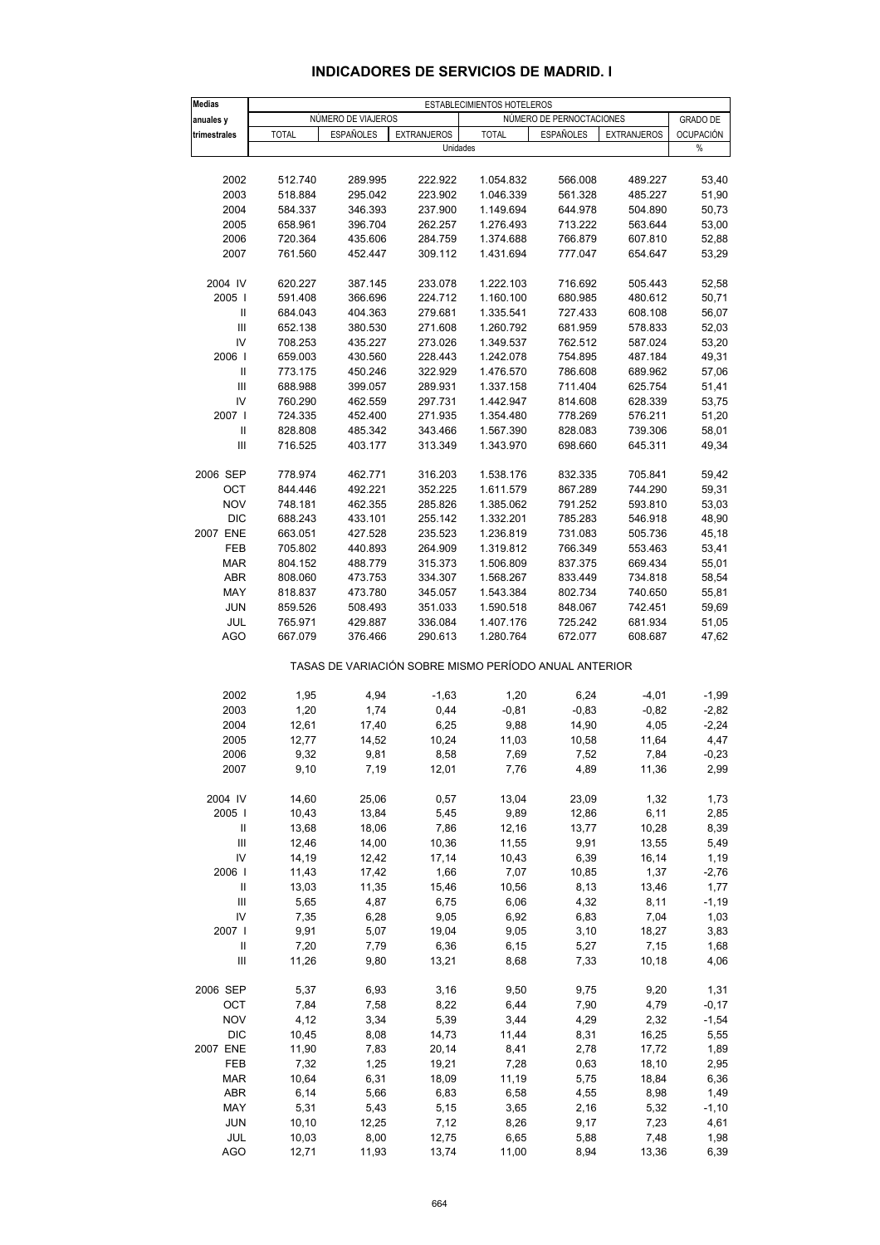#### **INDICADORES DE SERVICIOS DE MADRID. I**

| <b>Medias</b>                        |               | ESTABLECIMIENTOS HOTELEROS |                    |                        |                                                       |                    |                  |  |  |  |  |
|--------------------------------------|---------------|----------------------------|--------------------|------------------------|-------------------------------------------------------|--------------------|------------------|--|--|--|--|
| anuales y                            |               | NÚMERO DE VIAJEROS         |                    |                        | NÚMERO DE PERNOCTACIONES                              |                    | <b>GRADO DE</b>  |  |  |  |  |
| trimestrales                         | <b>TOTAL</b>  | <b>ESPAÑOLES</b>           | <b>EXTRANJEROS</b> | <b>TOTAL</b>           | <b>ESPAÑOLES</b>                                      | <b>EXTRANJEROS</b> | <b>OCUPACIÓN</b> |  |  |  |  |
|                                      |               |                            | Unidades           |                        |                                                       |                    | %                |  |  |  |  |
| 2002                                 | 512.740       | 289.995                    | 222.922            | 1.054.832              | 566.008                                               | 489.227            | 53,40            |  |  |  |  |
| 2003                                 | 518.884       | 295.042                    | 223.902            | 1.046.339              | 561.328                                               | 485.227            | 51,90            |  |  |  |  |
| 2004                                 | 584.337       | 346.393                    | 237.900            | 1.149.694              | 644.978                                               | 504.890            | 50,73            |  |  |  |  |
| 2005                                 | 658.961       | 396.704                    | 262.257            | 1.276.493              | 713.222                                               | 563.644            | 53,00            |  |  |  |  |
| 2006                                 | 720.364       | 435.606                    | 284.759            | 1.374.688              | 766.879                                               | 607.810            | 52,88            |  |  |  |  |
| 2007                                 | 761.560       | 452.447                    | 309.112            | 1.431.694              | 777.047                                               | 654.647            | 53,29            |  |  |  |  |
|                                      | 620.227       |                            |                    |                        |                                                       |                    |                  |  |  |  |  |
| 2004 IV<br>2005                      | 591.408       | 387.145<br>366.696         | 233.078<br>224.712 | 1.222.103<br>1.160.100 | 716.692<br>680.985                                    | 505.443<br>480.612 | 52,58<br>50,71   |  |  |  |  |
| $\ensuremath{\mathsf{II}}$           | 684.043       | 404.363                    | 279.681            | 1.335.541              | 727.433                                               | 608.108            | 56,07            |  |  |  |  |
| $\mathsf{III}$                       | 652.138       | 380.530                    | 271.608            | 1.260.792              | 681.959                                               | 578.833            | 52,03            |  |  |  |  |
| IV                                   | 708.253       | 435.227                    | 273.026            | 1.349.537              | 762.512                                               | 587.024            | 53,20            |  |  |  |  |
| 2006                                 | 659.003       | 430.560                    | 228.443            | 1.242.078              | 754.895                                               | 487.184            | 49,31            |  |  |  |  |
| $\ensuremath{\mathsf{II}}$           | 773.175       | 450.246                    | 322.929            | 1.476.570              | 786.608                                               | 689.962            | 57,06            |  |  |  |  |
| Ш                                    | 688.988       | 399.057                    | 289.931            | 1.337.158              | 711.404                                               | 625.754            | 51,41            |  |  |  |  |
| IV                                   | 760.290       | 462.559                    | 297.731            | 1.442.947              | 814.608                                               | 628.339            | 53,75            |  |  |  |  |
| 2007 l                               | 724.335       | 452.400                    | 271.935            | 1.354.480              | 778.269                                               | 576.211            | 51,20            |  |  |  |  |
| Ш                                    | 828.808       | 485.342                    | 343.466            | 1.567.390              | 828.083                                               | 739.306            | 58,01            |  |  |  |  |
| Ш                                    | 716.525       | 403.177                    | 313.349            | 1.343.970              | 698.660                                               | 645.311            | 49,34            |  |  |  |  |
| 2006 SEP                             | 778.974       | 462.771                    | 316.203            | 1.538.176              | 832.335                                               | 705.841            | 59,42            |  |  |  |  |
| OCT                                  | 844.446       | 492.221                    | 352.225            | 1.611.579              | 867.289                                               | 744.290            | 59,31            |  |  |  |  |
| <b>NOV</b>                           | 748.181       | 462.355                    | 285.826            | 1.385.062              | 791.252                                               | 593.810            | 53,03            |  |  |  |  |
| <b>DIC</b>                           | 688.243       | 433.101                    | 255.142            | 1.332.201              | 785.283                                               | 546.918            | 48,90            |  |  |  |  |
| 2007 ENE                             | 663.051       | 427.528                    | 235.523            | 1.236.819              | 731.083                                               | 505.736            | 45,18            |  |  |  |  |
| FEB                                  | 705.802       | 440.893                    | 264.909            | 1.319.812              | 766.349                                               | 553.463            | 53,41            |  |  |  |  |
| <b>MAR</b>                           | 804.152       | 488.779                    | 315.373            | 1.506.809              | 837.375                                               | 669.434            | 55,01            |  |  |  |  |
| <b>ABR</b>                           | 808.060       | 473.753                    | 334.307            | 1.568.267              | 833.449                                               | 734.818            | 58,54            |  |  |  |  |
| MAY                                  | 818.837       | 473.780                    | 345.057            | 1.543.384              | 802.734                                               | 740.650            | 55,81            |  |  |  |  |
| <b>JUN</b>                           | 859.526       | 508.493                    | 351.033            | 1.590.518              | 848.067                                               | 742.451            | 59,69            |  |  |  |  |
| JUL                                  | 765.971       | 429.887                    | 336.084            | 1.407.176              | 725.242                                               | 681.934            | 51,05            |  |  |  |  |
| AGO                                  | 667.079       | 376.466                    | 290.613            | 1.280.764              | 672.077                                               | 608.687            | 47,62            |  |  |  |  |
|                                      |               |                            |                    |                        | TASAS DE VARIACIÓN SOBRE MISMO PERÍODO ANUAL ANTERIOR |                    |                  |  |  |  |  |
| 2002                                 | 1,95          | 4,94                       | $-1,63$            | 1,20                   | 6,24                                                  | $-4,01$            | $-1,99$          |  |  |  |  |
| 2003                                 | 1,20          | 1,74                       | 0,44               | $-0,81$                | $-0,83$                                               | $-0,82$            | $-2,82$          |  |  |  |  |
| 2004                                 | 12,61         | 17,40                      | 6,25               | 9,88                   | 14,90                                                 | 4,05               | $-2,24$          |  |  |  |  |
| 2005                                 | 12,77         | 14,52                      | 10,24              | 11,03                  | 10,58                                                 | 11,64              | 4,47             |  |  |  |  |
| 2006                                 | 9,32          | 9,81                       | 8,58               | 7,69                   | 7,52                                                  | 7,84               | $-0,23$          |  |  |  |  |
| 2007                                 | 9,10          | 7,19                       | 12,01              | 7,76                   | 4,89                                                  | 11,36              | 2,99             |  |  |  |  |
| 2004 IV                              | 14,60         | 25,06                      | 0,57               | 13,04                  | 23,09                                                 | 1,32               | 1,73             |  |  |  |  |
| 2005                                 | 10,43         | 13,84                      | 5,45               | 9,89                   | 12,86                                                 | 6,11               | 2,85             |  |  |  |  |
| Ш                                    | 13,68         | 18,06                      | 7,86               | 12,16                  | 13,77                                                 | 10,28              | 8,39             |  |  |  |  |
| Ш                                    | 12,46         | 14,00                      | 10,36              | 11,55                  | 9,91                                                  | 13,55              | 5,49             |  |  |  |  |
| IV                                   | 14,19         | 12,42                      | 17,14              | 10,43                  | 6,39                                                  | 16,14              | 1,19             |  |  |  |  |
| 2006                                 | 11,43         | 17,42                      | 1,66               | 7,07                   | 10,85                                                 | 1,37               | $-2,76$          |  |  |  |  |
| Ш                                    | 13,03         | 11,35                      | 15,46              | 10,56                  | 8,13                                                  | 13,46              | 1,77             |  |  |  |  |
| $\mathsf{III}$                       | 5,65          | 4,87                       | 6,75               | 6,06                   | 4,32                                                  | 8,11               | $-1,19$          |  |  |  |  |
| IV                                   | 7,35          | 6,28                       | 9,05               | 6,92                   | 6,83                                                  | 7,04               | 1,03             |  |  |  |  |
| 2007 l<br>$\ensuremath{\mathsf{II}}$ | 9,91          | 5,07                       | 19,04              | 9,05                   | 3,10                                                  | 18,27              | 3,83             |  |  |  |  |
| Ш                                    | 7,20<br>11,26 | 7,79<br>9,80               | 6,36<br>13,21      | 6,15<br>8,68           | 5,27<br>7,33                                          | 7,15<br>10,18      | 1,68<br>4,06     |  |  |  |  |
|                                      |               |                            |                    |                        |                                                       |                    |                  |  |  |  |  |
| 2006 SEP                             | 5,37          | 6,93                       | 3,16               | 9,50                   | 9,75                                                  | 9,20               | 1,31             |  |  |  |  |
| OCT<br><b>NOV</b>                    | 7,84<br>4,12  | 7,58<br>3,34               | 8,22<br>5,39       | 6,44<br>3,44           | 7,90                                                  | 4,79<br>2,32       | $-0,17$          |  |  |  |  |
| <b>DIC</b>                           | 10,45         | 8,08                       | 14,73              | 11,44                  | 4,29<br>8,31                                          | 16,25              | $-1,54$<br>5,55  |  |  |  |  |
| 2007 ENE                             | 11,90         | 7,83                       | 20,14              | 8,41                   | 2,78                                                  | 17,72              | 1,89             |  |  |  |  |
| FEB                                  | 7,32          | 1,25                       | 19,21              | 7,28                   | 0,63                                                  | 18,10              | 2,95             |  |  |  |  |
| <b>MAR</b>                           | 10,64         | 6,31                       | 18,09              | 11,19                  | 5,75                                                  | 18,84              | 6,36             |  |  |  |  |
| ABR                                  | 6,14          | 5,66                       | 6,83               | 6,58                   | 4,55                                                  | 8,98               | 1,49             |  |  |  |  |
| MAY                                  | 5,31          | 5,43                       | 5,15               | 3,65                   | 2,16                                                  | 5,32               | $-1,10$          |  |  |  |  |
| <b>JUN</b>                           | 10, 10        | 12,25                      | 7,12               | 8,26                   | 9,17                                                  | 7,23               | 4,61             |  |  |  |  |
| JUL                                  | 10,03         | 8,00                       | 12,75              | 6,65                   | 5,88                                                  | 7,48               | 1,98             |  |  |  |  |
| <b>AGO</b>                           | 12,71         | 11,93                      | 13,74              | 11,00                  | 8,94                                                  | 13,36              | 6,39             |  |  |  |  |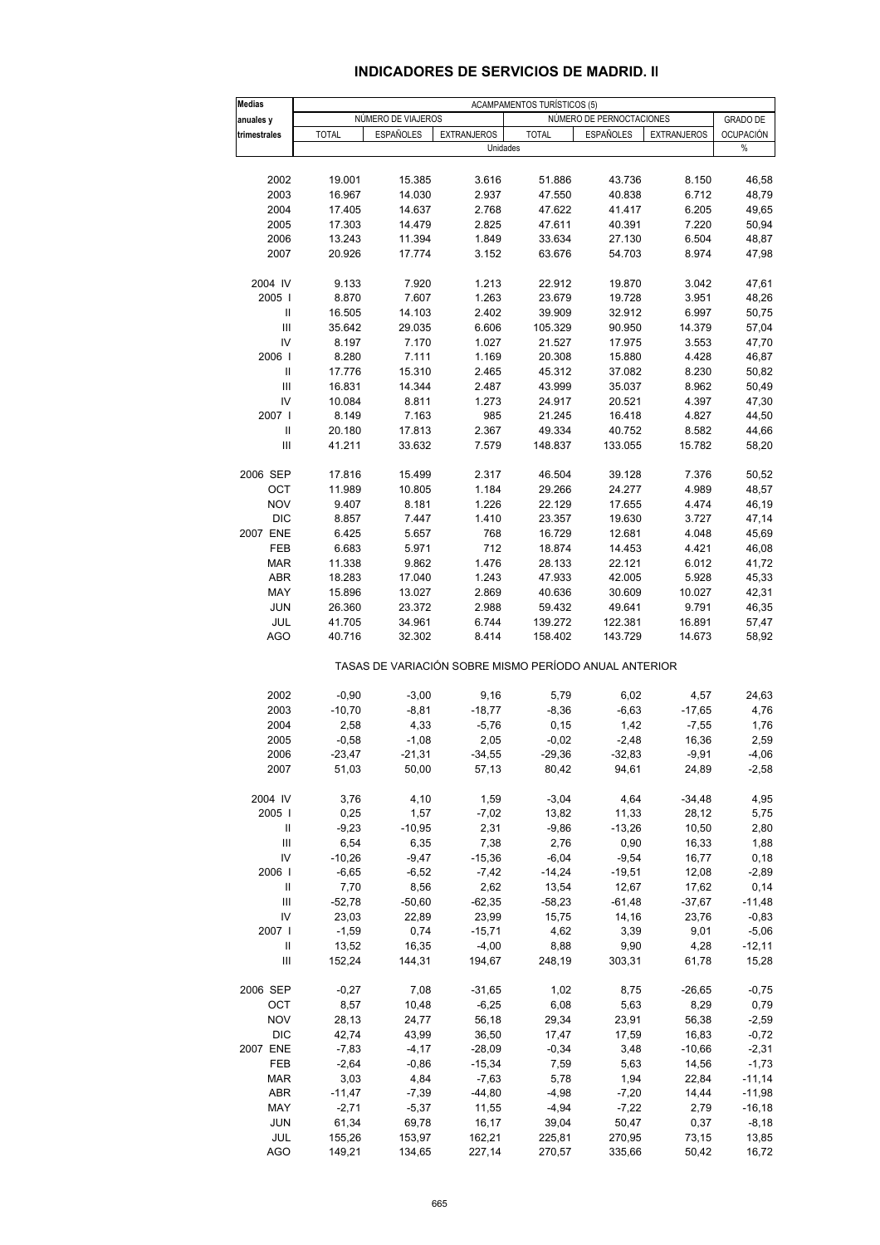| Medias        |              |                    |                    | <b>ACAMPAMENTOS TURÍSTICOS (5)</b>                    |                          |                    |                  |
|---------------|--------------|--------------------|--------------------|-------------------------------------------------------|--------------------------|--------------------|------------------|
| anuales y     |              | NÚMERO DE VIAJEROS |                    |                                                       | NÚMERO DE PERNOCTACIONES |                    | <b>GRADO DE</b>  |
| trimestrales  | <b>TOTAL</b> | <b>ESPAÑOLES</b>   | <b>EXTRANJEROS</b> | <b>TOTAL</b>                                          | <b>ESPAÑOLES</b>         | <b>EXTRANJEROS</b> | <b>OCUPACIÓN</b> |
|               |              |                    | Unidades           |                                                       |                          |                    | %                |
|               |              |                    |                    |                                                       |                          |                    |                  |
| 2002          | 19.001       | 15.385             | 3.616              | 51.886                                                | 43.736                   | 8.150              | 46,58            |
| 2003          | 16.967       | 14.030             | 2.937              | 47.550                                                | 40.838                   | 6.712              | 48,79            |
| 2004          | 17.405       | 14.637             | 2.768              | 47.622                                                | 41.417                   | 6.205              | 49,65            |
| 2005          | 17.303       | 14.479             | 2.825              | 47.611                                                | 40.391                   | 7.220              | 50,94            |
| 2006          | 13.243       | 11.394             | 1.849              | 33.634                                                | 27.130                   | 6.504              | 48,87            |
| 2007          | 20.926       | 17.774             | 3.152              | 63.676                                                | 54.703                   | 8.974              | 47,98            |
|               |              |                    |                    |                                                       |                          |                    |                  |
| 2004 IV       | 9.133        | 7.920              | 1.213              | 22.912                                                | 19.870                   | 3.042              | 47,61            |
| 2005          | 8.870        | 7.607              | 1.263              | 23.679                                                | 19.728                   | 3.951              | 48,26            |
| Ш             | 16.505       | 14.103             | 2.402              | 39.909                                                | 32.912                   | 6.997              | 50,75            |
| III           | 35.642       | 29.035             | 6.606              | 105.329                                               | 90.950                   | 14.379             | 57,04            |
| IV            | 8.197        | 7.170              | 1.027              | 21.527                                                | 17.975                   | 3.553              | 47,70            |
| 2006          | 8.280        | 7.111              | 1.169              | 20.308                                                | 15.880                   | 4.428              | 46,87            |
| Ш             | 17.776       | 15.310             | 2.465              | 45.312                                                | 37.082                   | 8.230              | 50,82            |
| III           | 16.831       | 14.344             | 2.487              | 43.999                                                | 35.037                   | 8.962              | 50,49            |
| IV            | 10.084       | 8.811              | 1.273              | 24.917                                                | 20.521                   | 4.397              | 47,30            |
| 2007 l        | 8.149        | 7.163              | 985                | 21.245                                                | 16.418                   | 4.827              | 44,50            |
| $\mathbf{II}$ | 20.180       | 17.813             | 2.367              | 49.334                                                | 40.752                   | 8.582              | 44,66            |
| III           | 41.211       | 33.632             | 7.579              | 148.837                                               | 133.055                  | 15.782             | 58,20            |
|               |              |                    |                    |                                                       |                          |                    |                  |
| 2006 SEP      | 17.816       | 15.499             | 2.317              | 46.504                                                | 39.128                   | 7.376              | 50,52            |
| OCT           | 11.989       | 10.805             | 1.184              | 29.266                                                | 24.277                   | 4.989              | 48,57            |
| <b>NOV</b>    | 9.407        | 8.181              | 1.226              | 22.129                                                | 17.655                   | 4.474              | 46,19            |
| <b>DIC</b>    | 8.857        | 7.447              | 1.410              | 23.357                                                | 19.630                   | 3.727              | 47,14            |
| 2007 ENE      | 6.425        | 5.657              | 768                | 16.729                                                | 12.681                   | 4.048              | 45,69            |
| FEB           | 6.683        | 5.971              | 712                | 18.874                                                | 14.453                   | 4.421              | 46,08            |
| <b>MAR</b>    | 11.338       | 9.862              | 1.476              | 28.133                                                | 22.121                   | 6.012              | 41,72            |
| <b>ABR</b>    | 18.283       | 17.040             | 1.243              | 47.933                                                | 42.005                   | 5.928              | 45,33            |
| MAY           | 15.896       | 13.027             | 2.869              | 40.636                                                | 30.609                   | 10.027             | 42,31            |
| <b>JUN</b>    | 26.360       | 23.372             | 2.988              | 59.432                                                | 49.641                   | 9.791              | 46,35            |
| JUL           | 41.705       | 34.961             | 6.744              | 139.272                                               | 122.381                  | 16.891             | 57,47            |
| AGO           | 40.716       | 32.302             | 8.414              | 158.402                                               | 143.729                  | 14.673             | 58,92            |
|               |              |                    |                    | TASAS DE VARIACIÓN SOBRE MISMO PERÍODO ANUAL ANTERIOR |                          |                    |                  |
|               |              |                    |                    |                                                       |                          |                    |                  |
| 2002          | $-0,90$      | $-3,00$            | 9,16               | 5,79                                                  | 6,02                     | 4,57               | 24,63            |
| 2003          | $-10,70$     | $-8, 81$           | $-18,77$           | $-8,36$                                               | $-6,63$                  | $-17,65$           | 4,76             |
| 2004          | 2,58         | 4,33               | $-5,76$            | 0, 15                                                 | 1,42                     | $-7,55$            | 1,76             |
| 2005          | $-0,58$      | $-1,08$            | 2,05               | $-0,02$                                               | $-2,48$                  | 16,36              | 2,59             |
| 2006          | $-23,47$     | $-21,31$           | $-34,55$           | $-29,36$                                              | $-32,83$                 | $-9,91$            | $-4,06$          |
| 2007          | 51,03        | 50,00              | 57,13              | 80,42                                                 | 94,61                    | 24,89              | $-2,58$          |
| 2004 IV       |              |                    |                    |                                                       |                          |                    |                  |
|               | 3,76         | 4,10               | 1,59               | $-3,04$                                               | 4,64                     | $-34,48$           | 4,95             |
| 2005          | 0,25         | 1,57               | $-7,02$            | 13,82                                                 | 11,33                    | 28,12              | 5,75             |
| Ш             | $-9,23$      | $-10,95$           | 2,31               | $-9,86$                                               | $-13,26$                 | 10,50              | 2,80             |

#### **INDICADORES DE SERVICIOS DE MADRID. II**

| 2002           | $-0.90$  | $-3,00$  | 9,16     | 5,79     | 6,02     | 4,57     | 24,63     |
|----------------|----------|----------|----------|----------|----------|----------|-----------|
| 2003           | $-10,70$ | $-8,81$  | $-18,77$ | $-8,36$  | $-6,63$  | $-17,65$ | 4,76      |
| 2004           | 2,58     | 4,33     | $-5,76$  | 0,15     | 1,42     | $-7,55$  | 1,76      |
| 2005           | $-0.58$  | $-1,08$  | 2,05     | $-0.02$  | $-2,48$  | 16,36    | 2,59      |
| 2006           | $-23,47$ | $-21,31$ | $-34,55$ | $-29,36$ | $-32,83$ | $-9,91$  | $-4,06$   |
| 2007           | 51,03    | 50,00    | 57,13    | 80,42    | 94,61    | 24,89    | $-2,58$   |
| 2004 IV        | 3,76     | 4,10     | 1,59     | $-3,04$  | 4,64     | $-34,48$ | 4,95      |
| 2005           | 0,25     | 1,57     | $-7,02$  | 13,82    | 11,33    | 28,12    | 5,75      |
| $\mathbf{H}$   | $-9,23$  | $-10,95$ | 2,31     | $-9,86$  | $-13,26$ | 10,50    | 2,80      |
| III            | 6,54     | 6,35     | 7,38     | 2,76     | 0,90     | 16,33    | 1,88      |
| IV             | $-10,26$ | $-9,47$  | $-15,36$ | $-6,04$  | $-9,54$  | 16,77    | 0,18      |
| 2006           | $-6,65$  | $-6,52$  | $-7,42$  | $-14,24$ | $-19,51$ | 12,08    | $-2,89$   |
| $\mathbf{H}$   | 7,70     | 8,56     | 2,62     | 13,54    | 12,67    | 17,62    | 0,14      |
| $\mathbf{III}$ | $-52,78$ | $-50,60$ | $-62,35$ | $-58,23$ | $-61,48$ | $-37,67$ | $-11,48$  |
| IV             | 23,03    | 22,89    | 23,99    | 15,75    | 14,16    | 23,76    | $-0,83$   |
| 2007           | $-1,59$  | 0,74     | $-15,71$ | 4,62     | 3,39     | 9,01     | $-5,06$   |
| Ш              | 13,52    | 16,35    | $-4,00$  | 8,88     | 9,90     | 4,28     | $-12,11$  |
| Ш              | 152,24   | 144,31   | 194,67   | 248,19   | 303,31   | 61,78    | 15,28     |
| 2006 SEP       | $-0.27$  | 7,08     | $-31,65$ | 1,02     | 8,75     | $-26,65$ | $-0,75$   |
| OCT            | 8,57     | 10,48    | $-6,25$  | 6,08     | 5,63     | 8,29     | 0,79      |
| <b>NOV</b>     | 28,13    | 24,77    | 56,18    | 29,34    | 23,91    | 56,38    | $-2,59$   |
| <b>DIC</b>     | 42,74    | 43,99    | 36,50    | 17,47    | 17,59    | 16,83    | $-0,72$   |
| 2007 ENE       | $-7,83$  | $-4,17$  | $-28,09$ | $-0,34$  | 3,48     | $-10,66$ | $-2,31$   |
| FEB            | $-2,64$  | $-0,86$  | $-15,34$ | 7,59     | 5,63     | 14,56    | $-1,73$   |
| <b>MAR</b>     | 3,03     | 4,84     | $-7,63$  | 5,78     | 1,94     | 22,84    | $-11,14$  |
| ABR            | $-11,47$ | $-7,39$  | $-44,80$ | $-4,98$  | $-7,20$  | 14,44    | $-11,98$  |
| MAY            | $-2,71$  | $-5,37$  | 11,55    | $-4,94$  | $-7,22$  | 2,79     | $-16, 18$ |
| <b>JUN</b>     | 61,34    | 69,78    | 16,17    | 39,04    | 50,47    | 0,37     | $-8,18$   |
| JUL            | 155,26   | 153,97   | 162,21   | 225,81   | 270,95   | 73,15    | 13,85     |
| <b>AGO</b>     | 149.21   | 134,65   | 227,14   | 270,57   | 335,66   | 50,42    | 16,72     |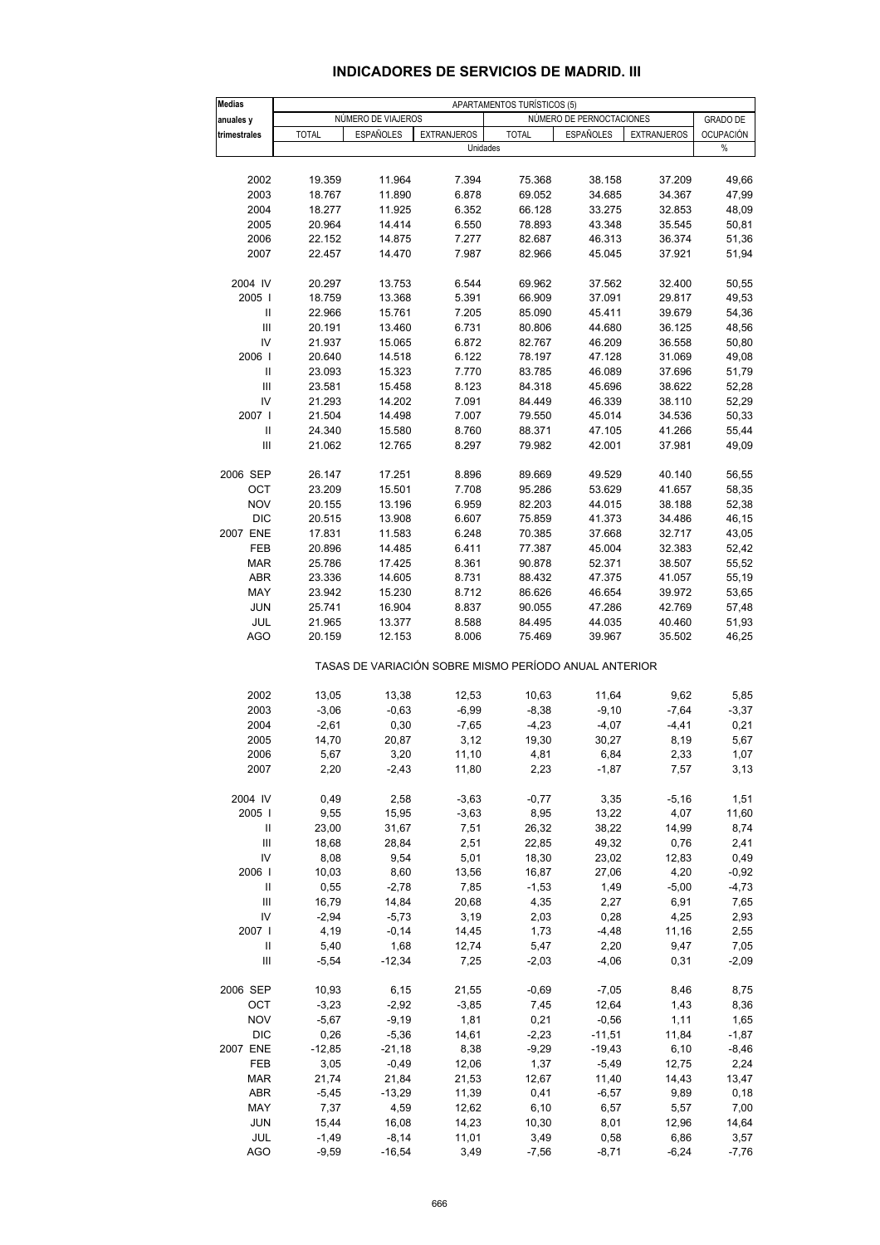#### **INDICADORES DE SERVICIOS DE MADRID. III**

| <b>Medias</b>                      |               |                    |                    | APARTAMENTOS TURÍSTICOS (5) |                                                       |                    |                  |
|------------------------------------|---------------|--------------------|--------------------|-----------------------------|-------------------------------------------------------|--------------------|------------------|
| anuales y                          |               | NÚMERO DE VIAJEROS |                    |                             | NÚMERO DE PERNOCTACIONES                              |                    | <b>GRADO DE</b>  |
| trimestrales                       | <b>TOTAL</b>  | <b>ESPAÑOLES</b>   | <b>EXTRANJEROS</b> | <b>TOTAL</b>                | <b>ESPAÑOLES</b>                                      | <b>EXTRANJEROS</b> | <b>OCUPACIÓN</b> |
|                                    |               |                    | Unidades           |                             |                                                       |                    | %                |
| 2002                               | 19.359        | 11.964             | 7.394              | 75.368                      | 38.158                                                | 37.209             | 49,66            |
| 2003                               | 18.767        | 11.890             | 6.878              | 69.052                      | 34.685                                                | 34.367             | 47,99            |
| 2004                               | 18.277        | 11.925             | 6.352              | 66.128                      | 33.275                                                |                    | 48,09            |
|                                    |               |                    |                    |                             |                                                       | 32.853             |                  |
| 2005                               | 20.964        | 14.414             | 6.550              | 78.893                      | 43.348                                                | 35.545             | 50,81            |
| 2006                               | 22.152        | 14.875             | 7.277              | 82.687                      | 46.313                                                | 36.374             | 51,36            |
| 2007                               | 22.457        | 14.470             | 7.987              | 82.966                      | 45.045                                                | 37.921             | 51,94            |
| 2004 IV                            | 20.297        | 13.753             | 6.544              | 69.962                      | 37.562                                                | 32.400             | 50,55            |
| 2005                               | 18.759        | 13.368             | 5.391              | 66.909                      | 37.091                                                | 29.817             | 49,53            |
| $\mathbf{I}$                       | 22.966        | 15.761             | 7.205              | 85.090                      | 45.411                                                | 39.679             | 54,36            |
| $\ensuremath{\mathsf{III}}\xspace$ | 20.191        | 13.460             | 6.731              | 80.806                      | 44.680                                                | 36.125             | 48,56            |
| IV                                 | 21.937        | 15.065             | 6.872              | 82.767                      | 46.209                                                | 36.558             | 50,80            |
| 2006                               | 20.640        | 14.518             | 6.122              | 78.197                      | 47.128                                                | 31.069             | 49,08            |
|                                    | 23.093        | 15.323             | 7.770              | 83.785                      | 46.089                                                | 37.696             | 51,79            |
| III                                | 23.581        | 15.458             | 8.123              | 84.318                      | 45.696                                                | 38.622             | 52,28            |
| IV                                 | 21.293        | 14.202             | 7.091              | 84.449                      | 46.339                                                | 38.110             | 52,29            |
| 2007                               | 21.504        | 14.498             | 7.007              | 79.550                      | 45.014                                                | 34.536             | 50,33            |
| $\mathbf{I}$                       | 24.340        | 15.580             | 8.760              | 88.371                      | 47.105                                                | 41.266             | 55,44            |
| Ш                                  | 21.062        | 12.765             | 8.297              | 79.982                      | 42.001                                                | 37.981             | 49,09            |
| 2006 SEP                           | 26.147        | 17.251             | 8.896              | 89.669                      | 49.529                                                | 40.140             | 56,55            |
| OCT                                | 23.209        | 15.501             | 7.708              | 95.286                      | 53.629                                                | 41.657             | 58,35            |
| <b>NOV</b>                         | 20.155        | 13.196             | 6.959              | 82.203                      | 44.015                                                | 38.188             | 52,38            |
| <b>DIC</b>                         | 20.515        | 13.908             | 6.607              | 75.859                      | 41.373                                                | 34.486             | 46,15            |
| 2007 ENE                           | 17.831        | 11.583             | 6.248              | 70.385                      | 37.668                                                | 32.717             | 43,05            |
| FEB                                | 20.896        | 14.485             | 6.411              | 77.387                      | 45.004                                                | 32.383             | 52,42            |
| <b>MAR</b>                         | 25.786        | 17.425             | 8.361              | 90.878                      | 52.371                                                | 38.507             | 55,52            |
| <b>ABR</b>                         | 23.336        | 14.605             | 8.731              | 88.432                      | 47.375                                                | 41.057             | 55,19            |
| MAY                                | 23.942        | 15.230             | 8.712              | 86.626                      | 46.654                                                | 39.972             | 53,65            |
| <b>JUN</b>                         | 25.741        | 16.904             | 8.837              | 90.055                      | 47.286                                                | 42.769             | 57,48            |
| JUL                                | 21.965        | 13.377             | 8.588              | 84.495                      | 44.035                                                | 40.460             | 51,93            |
| AGO                                | 20.159        | 12.153             | 8.006              | 75.469                      | 39.967                                                | 35.502             | 46,25            |
|                                    |               |                    |                    |                             | TASAS DE VARIACIÓN SOBRE MISMO PERÍODO ANUAL ANTERIOR |                    |                  |
| 2002                               | 13,05         | 13,38              | 12,53              | 10,63                       | 11,64                                                 | 9,62               | 5,85             |
| 2003                               | $-3,06$       | $-0,63$            | $-6,99$            | $-8,38$                     | $-9,10$                                               | $-7,64$            | $-3,37$          |
| 2004                               | $-2,61$       | 0,30               | $-7,65$            | $-4,23$                     | $-4,07$                                               | -4,41              | 0,21             |
| 2005                               | 14,70         | 20,87              | 3,12               | 19,30                       | 30,27                                                 | 8,19               | 5,67             |
| 2006                               | 5,67          | 3,20               | 11,10              | 4,81                        | 6,84                                                  | 2,33               | 1,07             |
| 2007                               | 2,20          | $-2,43$            | 11,80              | 2,23                        | $-1,87$                                               | 7,57               | 3,13             |
|                                    |               |                    |                    |                             |                                                       |                    |                  |
| 2004 IV                            | 0,49          | 2,58               | $-3,63$            | $-0,77$                     | 3,35                                                  | $-5,16$            | 1,51             |
| 2005                               | 9,55          | 15,95              | $-3,63$            | 8,95                        | 13,22                                                 | 4,07               | 11,60            |
| Ш                                  | 23,00         | 31,67              | 7,51               | 26,32                       | 38,22                                                 | 14,99              | 8,74             |
| Ш<br>IV                            | 18,68<br>8,08 | 28,84<br>9,54      | 2,51<br>5,01       | 22,85<br>18,30              | 49,32<br>23,02                                        | 0,76<br>12,83      | 2,41<br>0,49     |
| 2006                               | 10,03         | 8,60               | 13,56              | 16,87                       | 27,06                                                 | 4,20               | $-0,92$          |
| Ш                                  | 0,55          | $-2,78$            | 7,85               | $-1,53$                     | 1,49                                                  | $-5,00$            | $-4,73$          |
| Ш                                  | 16,79         | 14,84              | 20,68              | 4,35                        | 2,27                                                  | 6,91               | 7,65             |
| IV                                 | $-2,94$       | $-5,73$            | 3,19               | 2,03                        | 0,28                                                  | 4,25               | 2,93             |
| 2007 l                             | 4,19          | $-0,14$            | 14,45              |                             |                                                       |                    | 2,55             |
| Ш                                  | 5,40          | 1,68               | 12,74              | 1,73<br>5,47                | -4,48<br>2,20                                         | 11,16<br>9,47      | 7,05             |
| $\ensuremath{\mathsf{III}}\xspace$ | $-5,54$       | $-12,34$           | 7,25               | $-2,03$                     | $-4,06$                                               | 0,31               | $-2,09$          |
|                                    |               |                    |                    |                             |                                                       |                    |                  |
| 2006 SEP                           | 10,93         | 6,15               | 21,55              | $-0,69$                     | $-7,05$                                               | 8,46               | 8,75             |
| OCT                                | $-3,23$       | $-2,92$            | $-3,85$            | 7,45                        | 12,64                                                 | 1,43               | 8,36             |
| <b>NOV</b>                         | $-5,67$       | $-9,19$            | 1,81               | 0,21                        | $-0,56$                                               | 1,11               | 1,65             |
| <b>DIC</b>                         | 0,26          | $-5,36$            | 14,61              | $-2,23$                     | $-11,51$                                              | 11,84              | $-1,87$          |
| 2007 ENE                           | $-12,85$      | $-21,18$           | 8,38               | $-9,29$                     | $-19,43$                                              | 6, 10              | $-8,46$          |
| FEB                                | 3,05          | $-0,49$            | 12,06              | 1,37                        | $-5,49$                                               | 12,75              | 2,24             |
| <b>MAR</b>                         | 21,74         | 21,84              | 21,53              | 12,67                       | 11,40                                                 | 14,43              | 13,47            |
| ABR                                | $-5,45$       | $-13,29$           | 11,39              | 0,41                        | $-6,57$                                               | 9,89               | 0, 18            |
| MAY                                | 7,37          | 4,59               | 12,62              | 6, 10                       | 6,57                                                  | 5,57               | 7,00             |
| <b>JUN</b>                         | 15,44         | 16,08              | 14,23              | 10,30                       | 8,01                                                  | 12,96              | 14,64            |
| JUL                                | $-1,49$       | $-8,14$            | 11,01              | 3,49                        | 0,58                                                  | 6,86               | 3,57             |
| AGO                                | $-9,59$       | $-16,54$           | 3,49               | $-7,56$                     | $-8,71$                                               | $-6,24$            | $-7,76$          |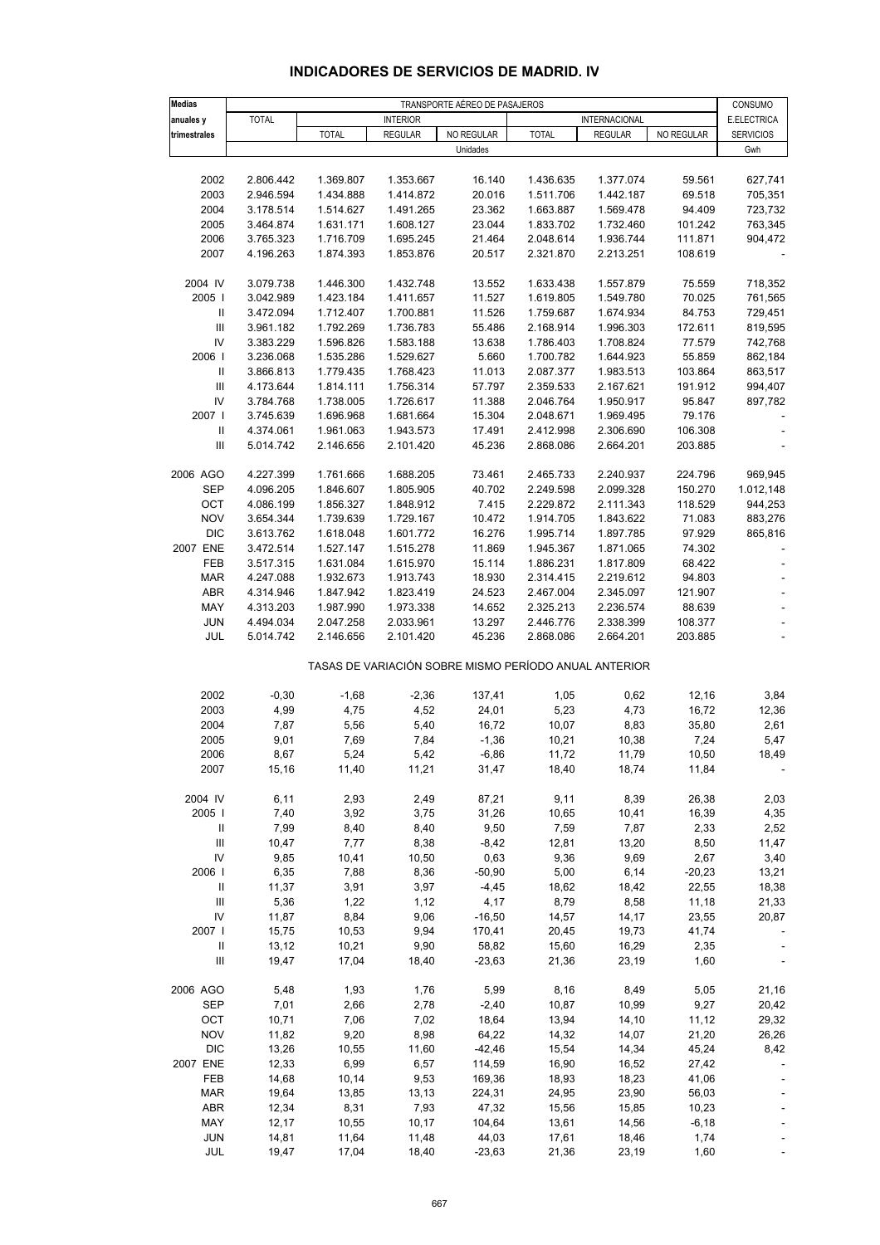#### **INDICADORES DE SERVICIOS DE MADRID. IV**

| <b>Medias</b>                      | TRANSPORTE AÉREO DE PASAJEROS |                        |                        |                                                       |                        |                        |                  |                        |
|------------------------------------|-------------------------------|------------------------|------------------------|-------------------------------------------------------|------------------------|------------------------|------------------|------------------------|
| anuales y                          | <b>TOTAL</b>                  |                        | <b>INTERIOR</b>        |                                                       |                        | INTERNACIONAL          |                  | CONSUMO<br>E.ELECTRICA |
| trimestrales                       |                               | <b>TOTAL</b>           | <b>REGULAR</b>         | NO REGULAR                                            | <b>TOTAL</b>           | <b>REGULAR</b>         | NO REGULAR       | <b>SERVICIOS</b>       |
|                                    |                               |                        |                        | Unidades                                              |                        |                        |                  | Gwh                    |
|                                    |                               |                        |                        |                                                       |                        |                        |                  |                        |
| 2002                               | 2.806.442                     | 1.369.807              | 1.353.667              | 16.140                                                | 1.436.635              | 1.377.074              | 59.561           | 627,741                |
| 2003                               | 2.946.594                     | 1.434.888              | 1.414.872              | 20.016                                                | 1.511.706              | 1.442.187              | 69.518           | 705,351                |
| 2004                               | 3.178.514                     | 1.514.627              | 1.491.265              | 23.362                                                | 1.663.887              | 1.569.478              | 94.409           | 723,732                |
| 2005                               | 3.464.874                     | 1.631.171              | 1.608.127              | 23.044                                                | 1.833.702              | 1.732.460              | 101.242          | 763,345                |
| 2006                               | 3.765.323                     | 1.716.709              | 1.695.245              | 21.464                                                | 2.048.614              | 1.936.744              | 111.871          | 904,472                |
| 2007                               | 4.196.263                     | 1.874.393              | 1.853.876              | 20.517                                                | 2.321.870              | 2.213.251              | 108.619          |                        |
| 2004 IV                            | 3.079.738                     | 1.446.300              | 1.432.748              | 13.552                                                | 1.633.438              | 1.557.879              | 75.559           | 718,352                |
| 2005                               | 3.042.989                     | 1.423.184              | 1.411.657              | 11.527                                                | 1.619.805              | 1.549.780              | 70.025           | 761,565                |
| Ш                                  | 3.472.094                     | 1.712.407              | 1.700.881              | 11.526                                                | 1.759.687              | 1.674.934              | 84.753           | 729,451                |
| $\ensuremath{\mathsf{III}}\xspace$ | 3.961.182                     | 1.792.269              | 1.736.783              | 55.486                                                | 2.168.914              | 1.996.303              | 172.611          | 819,595                |
| IV                                 | 3.383.229                     | 1.596.826              | 1.583.188              | 13.638                                                | 1.786.403              | 1.708.824              | 77.579           | 742,768                |
| 2006                               | 3.236.068                     | 1.535.286              | 1.529.627              | 5.660                                                 | 1.700.782              | 1.644.923              | 55.859           | 862,184                |
| Ш                                  | 3.866.813                     | 1.779.435              | 1.768.423              | 11.013                                                | 2.087.377              | 1.983.513              | 103.864          | 863,517                |
| Ш                                  | 4.173.644                     | 1.814.111              | 1.756.314              | 57.797                                                | 2.359.533              | 2.167.621              | 191.912          | 994,407                |
| IV                                 | 3.784.768                     | 1.738.005              | 1.726.617              | 11.388                                                | 2.046.764              | 1.950.917              | 95.847           | 897,782                |
| 2007                               | 3.745.639                     | 1.696.968              | 1.681.664              | 15.304                                                | 2.048.671              | 1.969.495              | 79.176           |                        |
| Ш                                  | 4.374.061                     | 1.961.063              | 1.943.573              | 17.491                                                | 2.412.998              | 2.306.690              | 106.308          |                        |
| $\mathop{\rm III}$                 | 5.014.742                     | 2.146.656              | 2.101.420              | 45.236                                                | 2.868.086              | 2.664.201              | 203.885          |                        |
|                                    |                               |                        |                        |                                                       |                        |                        |                  |                        |
| 2006 AGO                           | 4.227.399                     | 1.761.666              | 1.688.205              | 73.461                                                | 2.465.733              | 2.240.937              | 224.796          | 969,945                |
| <b>SEP</b>                         | 4.096.205                     | 1.846.607              | 1.805.905              | 40.702                                                | 2.249.598              | 2.099.328              | 150.270          | 1.012,148              |
| OCT<br><b>NOV</b>                  | 4.086.199                     | 1.856.327              | 1.848.912              | 7.415                                                 | 2.229.872              | 2.111.343<br>1.843.622 | 118.529          | 944,253                |
| <b>DIC</b>                         | 3.654.344                     | 1.739.639              | 1.729.167              | 10.472                                                | 1.914.705              |                        | 71.083           | 883,276                |
| 2007 ENE                           | 3.613.762<br>3.472.514        | 1.618.048<br>1.527.147 | 1.601.772<br>1.515.278 | 16.276<br>11.869                                      | 1.995.714<br>1.945.367 | 1.897.785<br>1.871.065 | 97.929<br>74.302 | 865,816                |
| FEB                                | 3.517.315                     | 1.631.084              | 1.615.970              | 15.114                                                | 1.886.231              | 1.817.809              | 68.422           |                        |
| <b>MAR</b>                         | 4.247.088                     | 1.932.673              | 1.913.743              | 18.930                                                | 2.314.415              | 2.219.612              | 94.803           |                        |
| ABR                                | 4.314.946                     | 1.847.942              | 1.823.419              | 24.523                                                | 2.467.004              | 2.345.097              | 121.907          |                        |
| MAY                                | 4.313.203                     | 1.987.990              | 1.973.338              | 14.652                                                | 2.325.213              | 2.236.574              | 88.639           |                        |
| <b>JUN</b>                         | 4.494.034                     | 2.047.258              | 2.033.961              | 13.297                                                | 2.446.776              | 2.338.399              | 108.377          |                        |
| JUL                                | 5.014.742                     | 2.146.656              | 2.101.420              | 45.236                                                | 2.868.086              | 2.664.201              | 203.885          |                        |
|                                    |                               |                        |                        | TASAS DE VARIACIÓN SOBRE MISMO PERÍODO ANUAL ANTERIOR |                        |                        |                  |                        |
| 2002                               | $-0,30$                       |                        |                        |                                                       | 1,05                   |                        | 12,16            | 3,84                   |
| 2003                               | 4,99                          | $-1,68$<br>4,75        | $-2,36$<br>4,52        | 137,41<br>24,01                                       | 5,23                   | 0,62<br>4,73           | 16,72            | 12,36                  |
| 2004                               | 7,87                          | 5,56                   | 5,40                   | 16,72                                                 | 10,07                  | 8,83                   | 35,80            | 2,61                   |
| 2005                               | 9,01                          | 7,69                   | 7,84                   | $-1,36$                                               | 10,21                  | 10,38                  | 7,24             | 5,47                   |
| 2006                               | 8,67                          | 5,24                   | 5,42                   | $-6,86$                                               | 11,72                  | 11,79                  | 10,50            | 18,49                  |
| 2007                               | 15,16                         | 11,40                  | 11,21                  | 31,47                                                 | 18,40                  | 18,74                  | 11,84            |                        |
|                                    |                               |                        |                        |                                                       |                        |                        |                  |                        |
| 2004 IV                            | 6,11                          | 2,93                   | 2,49                   | 87,21                                                 | 9,11                   | 8,39                   | 26,38            | 2,03                   |
| 2005                               | 7,40                          | 3,92                   | 3,75                   | 31,26                                                 | 10,65                  | 10,41                  | 16,39            | 4,35                   |
| Ш                                  | 7,99                          | 8,40                   | 8,40                   | 9,50                                                  | 7,59                   | 7,87                   | 2,33             | 2,52                   |
| III<br>IV                          | 10,47<br>9,85                 | 7,77<br>10,41          | 8,38<br>10,50          | $-8,42$<br>0,63                                       | 12,81<br>9,36          | 13,20<br>9,69          | 8,50<br>2,67     | 11,47<br>3,40          |
| 2006                               | 6,35                          | 7,88                   | 8,36                   | $-50,90$                                              | 5,00                   | 6,14                   | $-20,23$         | 13,21                  |
| $\mathbf{H}$                       | 11,37                         | 3,91                   | 3,97                   | $-4,45$                                               | 18,62                  | 18,42                  | 22,55            | 18,38                  |
| Ш                                  | 5,36                          | 1,22                   | 1,12                   | 4,17                                                  | 8,79                   | 8,58                   | 11,18            | 21,33                  |
| IV                                 | 11,87                         | 8,84                   | 9,06                   | $-16,50$                                              | 14,57                  | 14,17                  | 23,55            | 20,87                  |
| 2007                               | 15,75                         | 10,53                  | 9,94                   | 170,41                                                | 20,45                  | 19,73                  | 41,74            |                        |
| $\mathbf{H}$                       | 13,12                         | 10,21                  | 9,90                   | 58,82                                                 | 15,60                  | 16,29                  | 2,35             |                        |
| III                                | 19,47                         | 17,04                  | 18,40                  | $-23,63$                                              | 21,36                  | 23,19                  | 1,60             |                        |
|                                    |                               |                        |                        |                                                       |                        |                        |                  |                        |
| 2006 AGO                           | 5,48                          | 1,93                   | 1,76                   | 5,99                                                  | 8,16                   | 8,49                   | 5,05             | 21,16                  |
| <b>SEP</b>                         | 7,01                          | 2,66                   | 2,78                   | $-2,40$                                               | 10,87                  | 10,99                  | 9,27             | 20,42                  |
| OCT                                | 10,71                         | 7,06                   | 7,02                   | 18,64                                                 | 13,94                  | 14, 10                 | 11,12            | 29,32                  |
| <b>NOV</b>                         | 11,82                         | 9,20                   | 8,98                   | 64,22                                                 | 14,32                  | 14,07                  | 21,20            | 26,26                  |
| <b>DIC</b>                         | 13,26                         | 10,55                  | 11,60                  | $-42,46$                                              | 15,54                  | 14,34                  | 45,24            | 8,42                   |
| 2007 ENE                           | 12,33                         | 6,99                   | 6,57                   | 114,59                                                | 16,90                  | 16,52                  | 27,42            |                        |
| FEB                                | 14,68                         | 10,14                  | 9,53                   | 169,36                                                | 18,93                  | 18,23                  | 41,06            |                        |
| <b>MAR</b><br><b>ABR</b>           | 19,64                         | 13,85<br>8,31          | 13,13<br>7,93          | 224,31                                                | 24,95                  | 23,90                  | 56,03            |                        |
| MAY                                | 12,34<br>12, 17               | 10,55                  | 10,17                  | 47,32<br>104,64                                       | 15,56<br>13,61         | 15,85<br>14,56         | 10,23<br>$-6,18$ |                        |
| <b>JUN</b>                         | 14,81                         | 11,64                  | 11,48                  | 44,03                                                 | 17,61                  | 18,46                  | 1,74             |                        |
| JUL                                | 19,47                         | 17,04                  | 18,40                  | $-23,63$                                              | 21,36                  | 23,19                  | 1,60             |                        |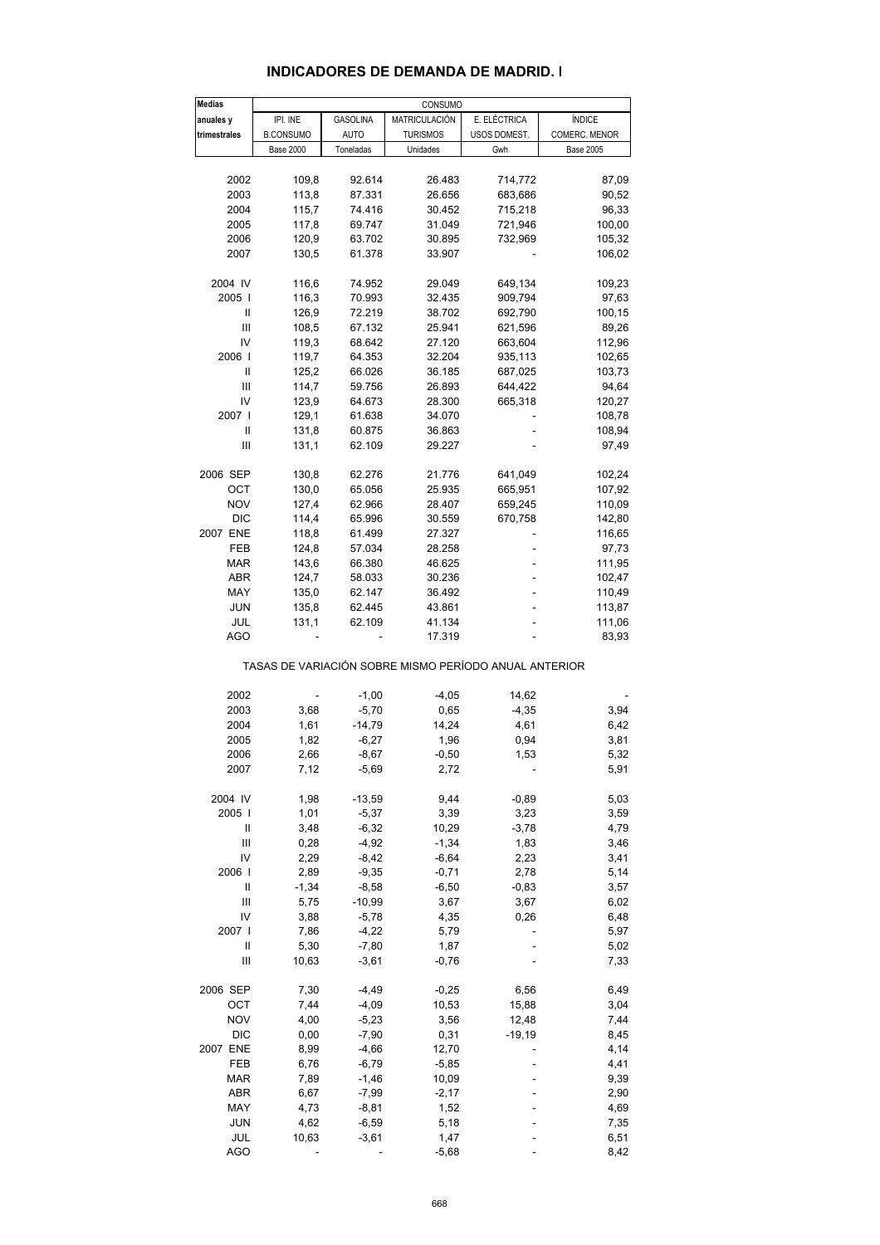#### **INDICADORES DE DEMANDA DE MADRID. I**

| <b>Medias</b> |                  | CONSUMO         |                                                       |              |                  |  |  |  |  |  |
|---------------|------------------|-----------------|-------------------------------------------------------|--------------|------------------|--|--|--|--|--|
| anuales y     | IPI. INE         | <b>GASOLINA</b> | MATRICULACIÓN                                         | E. ELÉCTRICA | <b>ÍNDICE</b>    |  |  |  |  |  |
| trimestrales  | <b>B.CONSUMO</b> | <b>AUTO</b>     | <b>TURISMOS</b>                                       | USOS DOMEST. | COMERC. MENOR    |  |  |  |  |  |
|               | <b>Base 2000</b> | Toneladas       | Unidades                                              | Gwh          | <b>Base 2005</b> |  |  |  |  |  |
|               |                  |                 |                                                       |              |                  |  |  |  |  |  |
| 2002          | 109,8            | 92.614          | 26.483                                                | 714,772      | 87,09            |  |  |  |  |  |
| 2003          | 113,8            | 87.331          | 26.656                                                | 683,686      | 90,52            |  |  |  |  |  |
| 2004          | 115,7            | 74.416          | 30.452                                                | 715,218      | 96,33            |  |  |  |  |  |
|               |                  |                 |                                                       |              |                  |  |  |  |  |  |
| 2005          | 117,8            | 69.747          | 31.049                                                | 721,946      | 100,00           |  |  |  |  |  |
| 2006          | 120,9            | 63.702          | 30.895                                                | 732,969      | 105,32           |  |  |  |  |  |
| 2007          | 130,5            | 61.378          | 33.907                                                |              | 106,02           |  |  |  |  |  |
| 2004 IV       | 116,6            | 74.952          | 29.049                                                | 649,134      | 109,23           |  |  |  |  |  |
|               |                  |                 |                                                       |              |                  |  |  |  |  |  |
| 2005          | 116,3            | 70.993          | 32.435                                                | 909,794      | 97,63            |  |  |  |  |  |
| Ш             | 126,9            | 72.219          | 38.702                                                | 692,790      | 100,15           |  |  |  |  |  |
| Ш             | 108,5            | 67.132          | 25.941                                                | 621,596      | 89,26            |  |  |  |  |  |
| IV            | 119,3            | 68.642          | 27.120                                                | 663,604      | 112,96           |  |  |  |  |  |
| 2006          | 119,7            | 64.353          | 32.204                                                | 935,113      | 102,65           |  |  |  |  |  |
| Ш             | 125,2            | 66.026          | 36.185                                                | 687,025      | 103,73           |  |  |  |  |  |
| Ш             | 114,7            | 59.756          | 26.893                                                | 644,422      | 94,64            |  |  |  |  |  |
| IV            | 123,9            | 64.673          | 28.300                                                | 665,318      | 120,27           |  |  |  |  |  |
| 2007 l        | 129,1            | 61.638          | 34.070                                                |              | 108,78           |  |  |  |  |  |
| Ш             | 131,8            | 60.875          | 36.863                                                |              | 108,94           |  |  |  |  |  |
| Ш             |                  | 62.109          |                                                       |              | 97,49            |  |  |  |  |  |
|               | 131,1            |                 | 29.227                                                |              |                  |  |  |  |  |  |
| 2006 SEP      | 130,8            | 62.276          | 21.776                                                | 641,049      | 102,24           |  |  |  |  |  |
| OCT           | 130,0            | 65.056          | 25.935                                                | 665,951      | 107,92           |  |  |  |  |  |
| <b>NOV</b>    |                  |                 |                                                       |              |                  |  |  |  |  |  |
|               | 127,4            | 62.966          | 28.407                                                | 659,245      | 110,09           |  |  |  |  |  |
| <b>DIC</b>    | 114,4            | 65.996          | 30.559                                                | 670,758      | 142,80           |  |  |  |  |  |
| 2007 ENE      | 118,8            | 61.499          | 27.327                                                |              | 116,65           |  |  |  |  |  |
| FEB           | 124,8            | 57.034          | 28.258                                                |              | 97,73            |  |  |  |  |  |
| <b>MAR</b>    | 143,6            | 66.380          | 46.625                                                | ٠            | 111,95           |  |  |  |  |  |
| ABR           | 124,7            | 58.033          | 30.236                                                |              | 102,47           |  |  |  |  |  |
| MAY           | 135,0            | 62.147          | 36.492                                                |              | 110,49           |  |  |  |  |  |
| <b>JUN</b>    | 135,8            | 62.445          | 43.861                                                |              | 113,87           |  |  |  |  |  |
|               |                  |                 |                                                       |              |                  |  |  |  |  |  |
| JUL           | 131,1            | 62.109          | 41.134                                                |              | 111,06           |  |  |  |  |  |
| AGO           |                  |                 | 17.319                                                |              | 83,93            |  |  |  |  |  |
|               |                  |                 | TASAS DE VARIACIÓN SOBRE MISMO PERÍODO ANUAL ANTERIOR |              |                  |  |  |  |  |  |
| 2002          |                  | $-1,00$         | $-4,05$                                               |              |                  |  |  |  |  |  |
|               |                  |                 |                                                       | 14,62        |                  |  |  |  |  |  |
| 2003          | 3,68             | $-5,70$         | 0,65                                                  | $-4,35$      | 3,94             |  |  |  |  |  |
| 2004          | 1,61             | $-14,79$        | 14,24                                                 | 4,61         | 6,42             |  |  |  |  |  |
| 2005          | 1,82             | $-6,27$         | 1,96                                                  | 0,94         | 3,81             |  |  |  |  |  |
| 2006          | 2,66             | $-8,67$         | $-0,50$                                               | 1,53         | 5,32             |  |  |  |  |  |
| 2007          | 7,12             | $-5,69$         | 2,72                                                  |              | 5,91             |  |  |  |  |  |
|               |                  |                 |                                                       |              |                  |  |  |  |  |  |
| 2004 IV       | 1,98             | $-13,59$        | 9,44                                                  | $-0,89$      | 5,03             |  |  |  |  |  |
| 2005          | 1,01             | $-5,37$         | 3,39                                                  | 3,23         | 3,59             |  |  |  |  |  |
| Ш             | 3,48             | $-6,32$         | 10,29                                                 | $-3,78$      | 4,79             |  |  |  |  |  |
| Ш             | 0,28             | $-4,92$         | $-1,34$                                               | 1,83         | 3,46             |  |  |  |  |  |
| IV            | 2,29             | $-8,42$         | $-6,64$                                               | 2,23         | 3,41             |  |  |  |  |  |
| 2006          | 2,89             | $-9,35$         | $-0,71$                                               | 2,78         | 5,14             |  |  |  |  |  |
| Ш             | $-1,34$          | $-8,58$         | $-6,50$                                               | $-0,83$      | 3,57             |  |  |  |  |  |
| Ш             | 5,75             | $-10,99$        | 3,67                                                  | 3,67         | 6,02             |  |  |  |  |  |
| IV            | 3,88             | $-5,78$         |                                                       |              |                  |  |  |  |  |  |
|               |                  |                 | 4,35                                                  | 0,26         | 6,48             |  |  |  |  |  |
| 2007 l        | 7,86             | $-4,22$         | 5,79                                                  |              | 5,97             |  |  |  |  |  |
| Ш             | 5,30             | $-7,80$         | 1,87                                                  |              | 5,02             |  |  |  |  |  |
| Ш             | 10,63            | $-3,61$         | $-0,76$                                               |              | 7,33             |  |  |  |  |  |
| 2006 SEP      | 7,30             | -4,49           | $-0,25$                                               | 6,56         | 6,49             |  |  |  |  |  |
| ост           | 7,44             | $-4,09$         | 10,53                                                 | 15,88        | 3,04             |  |  |  |  |  |
|               |                  |                 | 3,56                                                  |              |                  |  |  |  |  |  |
| <b>NOV</b>    | 4,00             | $-5,23$         |                                                       | 12,48        | 7,44             |  |  |  |  |  |
| <b>DIC</b>    | 0,00             | $-7,90$         | 0,31                                                  | $-19,19$     | 8,45             |  |  |  |  |  |
| 2007 ENE      | 8,99             | $-4,66$         | 12,70                                                 |              | 4,14             |  |  |  |  |  |
| FEB           | 6,76             | $-6,79$         | $-5,85$                                               |              | 4,41             |  |  |  |  |  |
| <b>MAR</b>    | 7,89             | $-1,46$         | 10,09                                                 |              | 9,39             |  |  |  |  |  |
| ABR           | 6,67             | $-7,99$         | $-2,17$                                               |              | 2,90             |  |  |  |  |  |
| MAY           | 4,73             | $-8,81$         | 1,52                                                  |              | 4,69             |  |  |  |  |  |
| <b>JUN</b>    | 4,62             | $-6,59$         |                                                       |              |                  |  |  |  |  |  |
|               |                  |                 | 5,18                                                  |              | 7,35             |  |  |  |  |  |
| JUL           | 10,63            | $-3,61$         | 1,47                                                  |              | 6,51             |  |  |  |  |  |
| AGO           |                  |                 | $-5,68$                                               |              | 8,42             |  |  |  |  |  |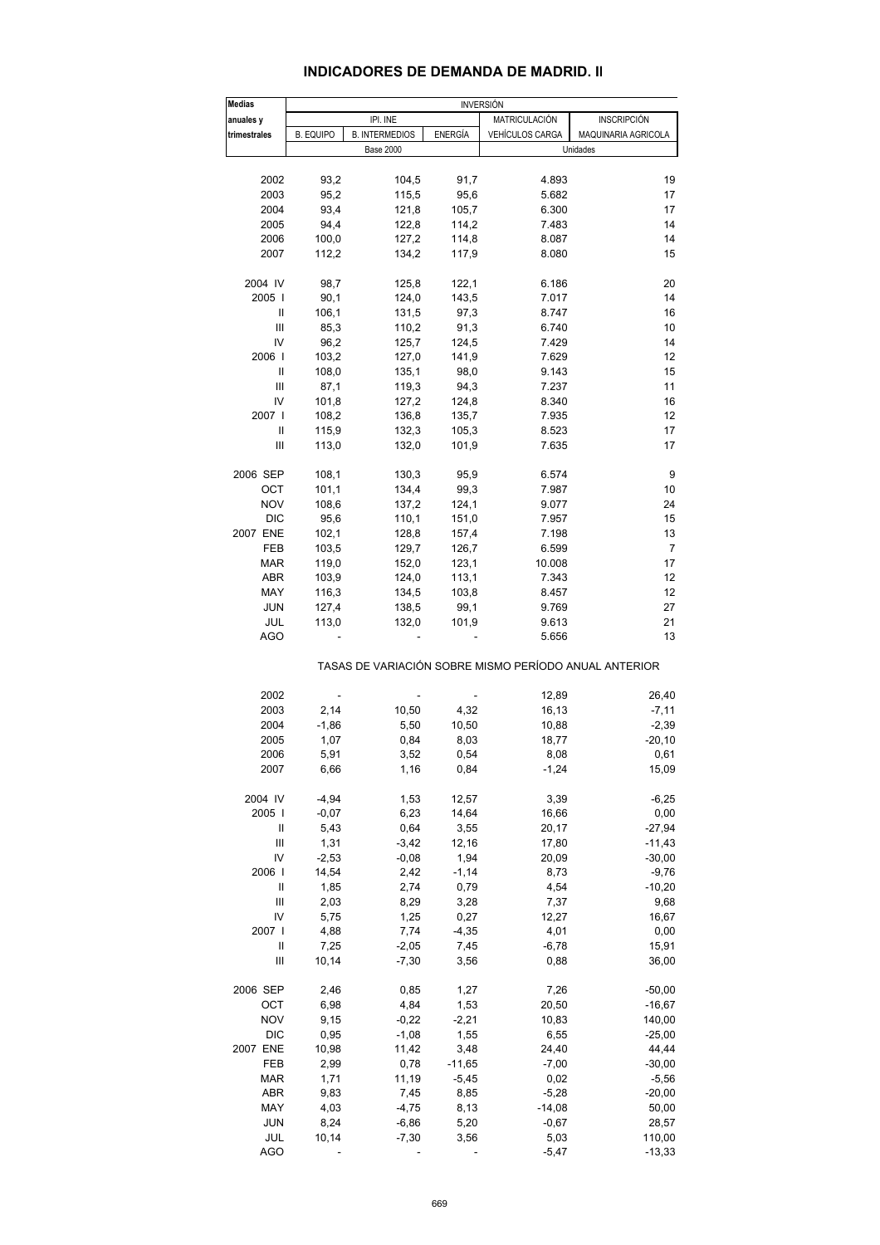#### **INDICADORES DE DEMANDA DE MADRID. II**

| Medias                                |                  |                       |                | <b>INVERSIÓN</b>       |                                                       |  |  |  |
|---------------------------------------|------------------|-----------------------|----------------|------------------------|-------------------------------------------------------|--|--|--|
| anuales y                             |                  | IPI. INE              |                | <b>MATRICULACIÓN</b>   | <b>INSCRIPCIÓN</b>                                    |  |  |  |
| trimestrales                          | <b>B. EQUIPO</b> | <b>B. INTERMEDIOS</b> | <b>ENERGÍA</b> | <b>VEHÍCULOS CARGA</b> | MAQUINARIA AGRICOLA                                   |  |  |  |
|                                       |                  | <b>Base 2000</b>      |                |                        | Unidades                                              |  |  |  |
|                                       |                  |                       |                |                        |                                                       |  |  |  |
| 2002                                  | 93,2             | 104,5                 | 91,7           | 4.893                  | 19                                                    |  |  |  |
| 2003                                  | 95,2             | 115,5                 | 95,6           | 5.682                  | 17                                                    |  |  |  |
| 2004                                  | 93,4             | 121,8                 | 105,7          | 6.300                  | 17                                                    |  |  |  |
| 2005                                  | 94,4             | 122,8                 | 114,2          | 7.483                  | 14                                                    |  |  |  |
| 2006                                  | 100,0            | 127,2                 | 114,8          | 8.087                  | 14                                                    |  |  |  |
| 2007                                  | 112,2            | 134,2                 | 117,9          | 8.080                  | 15                                                    |  |  |  |
|                                       |                  |                       |                |                        |                                                       |  |  |  |
| 2004 IV                               | 98,7             | 125,8                 | 122,1          | 6.186                  | 20                                                    |  |  |  |
| 2005                                  | 90,1             | 124,0                 | 143,5          | 7.017                  | 14                                                    |  |  |  |
| Ш                                     | 106,1            | 131,5                 | 97,3           | 8.747                  | 16                                                    |  |  |  |
| Ш                                     | 85,3             | 110,2                 | 91,3           | 6.740                  | 10                                                    |  |  |  |
| IV                                    | 96,2             | 125,7                 | 124,5          | 7.429                  | 14                                                    |  |  |  |
| 2006                                  | 103,2            | 127,0                 | 141,9          | 7.629                  | 12                                                    |  |  |  |
| Ш                                     | 108,0            | 135,1                 | 98,0           | 9.143                  | 15                                                    |  |  |  |
| Ш                                     | 87,1             | 119,3                 | 94,3           | 7.237                  | 11                                                    |  |  |  |
| IV                                    | 101,8            | 127,2                 | 124,8          | 8.340                  | 16                                                    |  |  |  |
| 2007                                  | 108,2            | 136,8                 | 135,7          | 7.935                  | 12 <sup>2</sup>                                       |  |  |  |
| Ш                                     | 115,9            | 132,3                 | 105,3          | 8.523                  | 17                                                    |  |  |  |
| Ш                                     | 113,0            | 132,0                 | 101,9          | 7.635                  | 17                                                    |  |  |  |
|                                       |                  |                       |                |                        |                                                       |  |  |  |
| 2006 SEP                              | 108,1            | 130,3                 | 95,9           | 6.574                  | 9                                                     |  |  |  |
| ОСТ                                   | 101,1            | 134,4                 | 99,3           | 7.987                  | 10                                                    |  |  |  |
| <b>NOV</b>                            | 108,6            | 137,2                 | 124,1          | 9.077                  | 24                                                    |  |  |  |
| <b>DIC</b>                            | 95,6             | 110,1                 | 151,0          | 7.957                  | 15                                                    |  |  |  |
| 2007 ENE                              | 102,1            | 128,8                 | 157,4          | 7.198                  | 13                                                    |  |  |  |
| FEB                                   | 103,5            | 129,7                 | 126,7          | 6.599                  | $\overline{7}$                                        |  |  |  |
| MAR                                   | 119,0            | 152,0                 | 123,1          | 10.008                 | 17                                                    |  |  |  |
| ABR                                   | 103,9            | 124,0                 | 113,1          | 7.343                  | 12                                                    |  |  |  |
| MAY                                   | 116,3            | 134,5                 | 103,8          | 8.457                  | 12                                                    |  |  |  |
| <b>JUN</b>                            | 127,4            | 138,5                 | 99,1           | 9.769                  | 27                                                    |  |  |  |
| JUL                                   | 113,0            | 132,0                 | 101,9          | 9.613                  | 21                                                    |  |  |  |
| AGO                                   |                  |                       |                | 5.656                  | 13                                                    |  |  |  |
|                                       |                  |                       |                |                        |                                                       |  |  |  |
|                                       |                  |                       |                |                        | TASAS DE VARIACIÓN SOBRE MISMO PERÍODO ANUAL ANTERIOR |  |  |  |
|                                       |                  |                       |                |                        |                                                       |  |  |  |
| 2002                                  |                  |                       |                | 12,89                  | 26,40                                                 |  |  |  |
| 2003                                  | 2,14             | 10,50                 | 4,32           | 16,13                  | $-7,11$                                               |  |  |  |
| 2004                                  | $-1,86$          | 5,50                  | 10,50          | 10,88                  | $-2,39$                                               |  |  |  |
| 2005                                  | 1,07             | 0,84                  | 8,03           | 18,77                  | $-20,10$                                              |  |  |  |
| 2006                                  | 5,91             | 3,52                  | 0,54           | 8,08                   | 0,61                                                  |  |  |  |
| 2007                                  | 6,66             | 1,16                  | 0,84           | $-1,24$                | 15,09                                                 |  |  |  |
| 2004 IV                               |                  |                       |                |                        |                                                       |  |  |  |
|                                       | $-4,94$          | 1,53                  | 12,57          | 3,39                   | $-6,25$                                               |  |  |  |
| 2005                                  | $-0,07$          | 6,23                  | 14,64          | 16,66                  | 0,00<br>$-27,94$                                      |  |  |  |
| $\mathop{  }$                         | 5,43             | 0,64                  | 3,55           | 20,17                  |                                                       |  |  |  |
| Ш                                     | 1,31             | $-3,42$               | 12,16          | 17,80                  | $-11,43$                                              |  |  |  |
| IV                                    | $-2,53$          | $-0,08$               | 1,94           | 20,09                  | $-30,00$                                              |  |  |  |
| 2006                                  | 14,54            | 2,42                  | $-1,14$        | 8,73                   | $-9,76$                                               |  |  |  |
| $\begin{array}{c} \hline \end{array}$ | 1,85             | 2,74                  | 0,79           | 4,54                   | $-10,20$                                              |  |  |  |
| Ш                                     | 2,03             | 8,29                  | 3,28           | 7,37                   | 9,68                                                  |  |  |  |
| IV                                    | 5,75             | 1,25                  | 0,27           | 12,27                  | 16,67                                                 |  |  |  |
| 2007                                  | 4,88             | 7,74                  | $-4,35$        | 4,01                   | 0,00                                                  |  |  |  |
| Ш                                     | 7,25             | $-2,05$               | 7,45           | $-6,78$                | 15,91                                                 |  |  |  |
| Ш                                     | 10,14            | $-7,30$               | 3,56           | 0,88                   | 36,00                                                 |  |  |  |
| 2006 SEP                              | 2,46             | 0,85                  | 1,27           | 7,26                   | $-50,00$                                              |  |  |  |
| ОСТ                                   | 6,98             | 4,84                  | 1,53           | 20,50                  | $-16,67$                                              |  |  |  |
| <b>NOV</b>                            | 9,15             | $-0,22$               | $-2,21$        | 10,83                  | 140,00                                                |  |  |  |
| <b>DIC</b>                            | 0,95             | $-1,08$               | 1,55           | 6,55                   | $-25,00$                                              |  |  |  |
| 2007 ENE                              | 10,98            | 11,42                 | 3,48           | 24,40                  | 44,44                                                 |  |  |  |
| FEB                                   | 2,99             | 0,78                  | $-11,65$       | $-7,00$                | $-30,00$                                              |  |  |  |
| <b>MAR</b>                            | 1,71             | 11,19                 | $-5,45$        | 0,02                   | $-5,56$                                               |  |  |  |
| ABR                                   | 9,83             | 7,45                  | 8,85           | $-5,28$                | $-20,00$                                              |  |  |  |
| MAY                                   | 4,03             | $-4,75$               | 8,13           | $-14,08$               | 50,00                                                 |  |  |  |
| <b>JUN</b>                            | 8,24             | $-6,86$               | 5,20           | $-0,67$                |                                                       |  |  |  |
| JUL                                   | 10,14            | $-7,30$               | 3,56           | 5,03                   | 28,57<br>110,00                                       |  |  |  |
| <b>AGO</b>                            |                  |                       |                | $-5,47$                | $-13,33$                                              |  |  |  |
|                                       |                  |                       |                |                        |                                                       |  |  |  |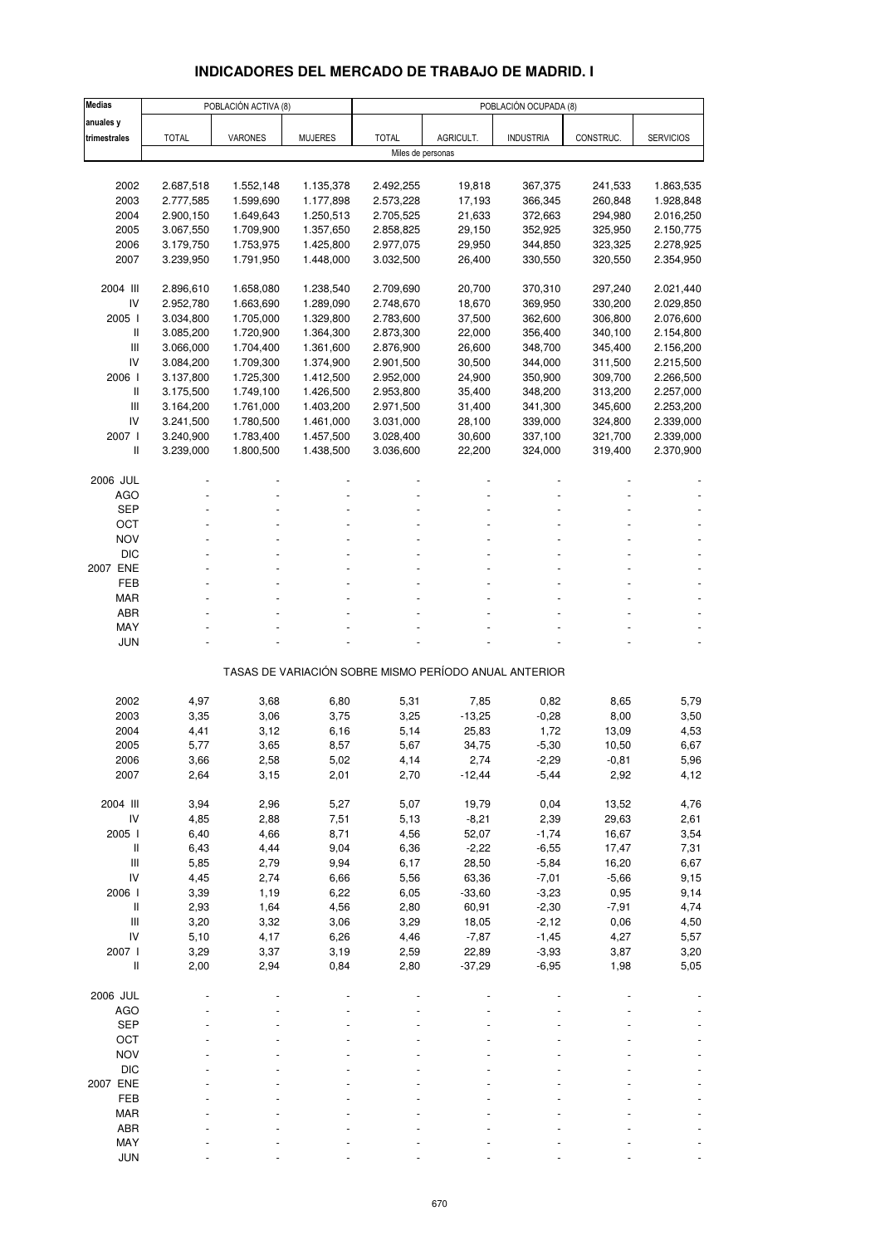# **INDICADORES DEL MERCADO DE TRABAJO DE MADRID. I**

| <b>Medias</b>                      |                        | POBLACIÓN ACTIVA (8)   |                        |                        |                   | POBLACIÓN OCUPADA (8)                                 |                    |                        |
|------------------------------------|------------------------|------------------------|------------------------|------------------------|-------------------|-------------------------------------------------------|--------------------|------------------------|
| anuales y                          |                        |                        |                        |                        |                   |                                                       |                    |                        |
| trimestrales                       | <b>TOTAL</b>           | VARONES                | <b>MUJERES</b>         | <b>TOTAL</b>           | AGRICULT.         | <b>INDUSTRIA</b>                                      | CONSTRUC.          | <b>SERVICIOS</b>       |
|                                    |                        |                        |                        | Miles de personas      |                   |                                                       |                    |                        |
|                                    |                        |                        |                        |                        | 19,818            | 367,375                                               | 241,533            |                        |
| 2002<br>2003                       | 2.687,518<br>2.777,585 | 1.552,148<br>1.599,690 | 1.135,378<br>1.177,898 | 2.492,255<br>2.573,228 | 17,193            | 366,345                                               | 260,848            | 1.863,535<br>1.928,848 |
| 2004                               | 2.900,150              | 1.649,643              | 1.250,513              | 2.705,525              | 21,633            | 372,663                                               | 294,980            | 2.016,250              |
| 2005                               | 3.067,550              | 1.709,900              | 1.357,650              | 2.858,825              | 29,150            | 352,925                                               | 325,950            | 2.150,775              |
| 2006                               | 3.179,750              | 1.753,975              | 1.425,800              | 2.977,075              | 29,950            | 344,850                                               | 323,325            | 2.278,925              |
| 2007                               | 3.239,950              | 1.791,950              | 1.448,000              | 3.032,500              | 26,400            | 330,550                                               | 320,550            | 2.354,950              |
|                                    |                        |                        |                        |                        |                   |                                                       |                    |                        |
| 2004 III                           | 2.896,610              | 1.658,080              | 1.238,540              | 2.709,690              | 20,700            | 370,310                                               | 297,240            | 2.021,440              |
| IV                                 | 2.952,780              | 1.663,690              | 1.289,090              | 2.748,670              | 18,670            | 369,950                                               | 330,200            | 2.029,850              |
| 2005 l                             | 3.034,800              | 1.705,000              | 1.329,800              | 2.783,600              | 37,500            | 362,600                                               | 306,800            | 2.076,600              |
| Ш                                  | 3.085,200              | 1.720,900              | 1.364,300              | 2.873,300              | 22,000            | 356,400                                               | 340,100            | 2.154,800              |
| III<br>IV                          | 3.066,000              | 1.704,400              | 1.361,600              | 2.876,900              | 26,600            | 348,700                                               | 345,400            | 2.156,200              |
| 2006                               | 3.084,200<br>3.137,800 | 1.709,300<br>1.725,300 | 1.374,900<br>1.412,500 | 2.901,500<br>2.952,000 | 30,500<br>24,900  | 344,000<br>350,900                                    | 311,500<br>309,700 | 2.215,500<br>2.266,500 |
| $\mathsf{I}$                       | 3.175,500              | 1.749,100              | 1.426,500              | 2.953,800              | 35,400            | 348,200                                               | 313,200            | 2.257,000              |
| Ш                                  | 3.164,200              | 1.761,000              | 1.403,200              | 2.971,500              | 31,400            | 341,300                                               | 345,600            | 2.253,200              |
| IV                                 | 3.241,500              | 1.780,500              | 1.461,000              | 3.031,000              | 28,100            | 339,000                                               | 324,800            | 2.339,000              |
| 2007 l                             | 3.240,900              | 1.783,400              | 1.457,500              | 3.028,400              | 30,600            | 337,100                                               | 321,700            | 2.339,000              |
| $\mathbf{I}$                       | 3.239,000              | 1.800,500              | 1.438,500              | 3.036,600              | 22,200            | 324,000                                               | 319,400            | 2.370,900              |
|                                    |                        |                        |                        |                        |                   |                                                       |                    |                        |
| 2006 JUL                           |                        |                        |                        |                        |                   |                                                       |                    |                        |
| AGO                                |                        |                        |                        |                        |                   |                                                       |                    |                        |
| <b>SEP</b>                         |                        |                        |                        |                        |                   |                                                       |                    |                        |
| ОСТ                                |                        |                        |                        |                        |                   |                                                       |                    |                        |
| <b>NOV</b><br><b>DIC</b>           |                        |                        |                        |                        |                   |                                                       |                    |                        |
| 2007 ENE                           |                        |                        |                        |                        |                   |                                                       |                    |                        |
| FEB                                |                        |                        |                        |                        |                   |                                                       |                    |                        |
| <b>MAR</b>                         |                        |                        |                        |                        |                   |                                                       |                    |                        |
| ABR                                |                        |                        |                        |                        |                   |                                                       |                    |                        |
| MAY                                |                        |                        |                        |                        |                   |                                                       |                    |                        |
| <b>JUN</b>                         |                        |                        |                        |                        |                   |                                                       |                    |                        |
|                                    |                        |                        |                        |                        |                   | TASAS DE VARIACIÓN SOBRE MISMO PERÍODO ANUAL ANTERIOR |                    |                        |
|                                    |                        |                        |                        |                        |                   |                                                       |                    |                        |
| 2002                               | 4,97                   | 3,68                   | 6,80                   | 5,31                   | 7,85              | 0,82                                                  | 8,65               | 5,79                   |
| 2003                               | 3,35                   | 3,06                   | 3,75                   | 3,25                   | $-13,25$          | $-0,28$                                               | 8,00               | 3,50                   |
| 2004                               | 4,41                   | 3,12                   | 6,16                   | 5,14                   | 25,83             | 1,72                                                  | 13,09              | 4,53                   |
| 2005                               | 5,77                   | 3,65                   | 8,57                   | 5,67                   | 34,75             | $-5,30$                                               | 10,50              | 6,67                   |
| 2006                               | 3,66                   | 2,58                   | 5,02                   | 4,14                   | 2,74              | $-2,29$                                               | -0,81              | 5,96                   |
| 2007                               | 2,64                   | 3,15                   | 2,01                   | 2,70                   | $-12,44$          | $-5,44$                                               | 2,92               | 4,12                   |
| 2004 III                           | 3,94                   | 2,96                   | 5,27                   | 5,07                   | 19,79             | 0,04                                                  | 13,52              | 4,76                   |
| ${\sf IV}$                         | 4,85                   | 2,88                   | 7,51                   | 5,13                   | $-8,21$           | 2,39                                                  | 29,63              | 2,61                   |
| 2005 l                             | 6,40                   | 4,66                   | 8,71                   | 4,56                   | 52,07             | $-1,74$                                               | 16,67              | 3,54                   |
| $\, \parallel$                     | 6,43                   | 4,44                   | 9,04                   | 6,36                   | $-2,22$           | $-6,55$                                               | 17,47              | 7,31                   |
| III                                | 5,85                   | 2,79                   | 9,94                   | 6,17                   | 28,50             | $-5,84$                                               | 16,20              | 6,67                   |
| IV                                 | 4,45                   | 2,74                   | 6,66                   | 5,56                   | 63,36             | $-7,01$                                               | $-5,66$            | 9,15                   |
| 2006 l                             | 3,39                   | 1,19                   | 6,22                   | 6,05                   | $-33,60$          | $-3,23$                                               | 0,95               | 9,14                   |
| $\mathsf{I}$                       | 2,93                   | 1,64                   | 4,56                   | 2,80                   | 60,91             | $-2,30$                                               | $-7,91$            | 4,74                   |
| $\ensuremath{\mathsf{III}}\xspace$ | 3,20                   | 3,32                   | 3,06                   | 3,29                   | 18,05             | $-2,12$                                               | 0,06               | 4,50                   |
| IV                                 | 5,10                   | 4,17                   | 6,26                   | 4,46                   | $-7,87$           | $-1,45$                                               | 4,27               | 5,57                   |
| 2007 l<br>$\sf II$                 | 3,29<br>2,00           | 3,37<br>2,94           | 3,19<br>0,84           | 2,59<br>2,80           | 22,89<br>$-37,29$ | $-3,93$<br>$-6,95$                                    | 3,87<br>1,98       | 3,20<br>5,05           |
|                                    |                        |                        |                        |                        |                   |                                                       |                    |                        |
| 2006 JUL                           |                        |                        |                        |                        |                   |                                                       |                    |                        |
| <b>AGO</b>                         |                        |                        |                        |                        |                   |                                                       |                    |                        |
| <b>SEP</b>                         |                        |                        |                        |                        |                   |                                                       |                    |                        |
| OCT                                |                        |                        |                        |                        |                   |                                                       |                    |                        |
| <b>NOV</b>                         |                        |                        |                        |                        |                   |                                                       |                    |                        |
| <b>DIC</b>                         |                        |                        |                        |                        |                   |                                                       |                    |                        |
| 2007 ENE                           |                        |                        |                        |                        |                   |                                                       |                    |                        |
| FEB                                |                        |                        |                        |                        |                   |                                                       |                    |                        |
| <b>MAR</b><br>ABR                  |                        |                        |                        |                        |                   |                                                       |                    |                        |
| MAY                                |                        |                        |                        |                        |                   |                                                       |                    |                        |
| <b>JUN</b>                         |                        |                        |                        |                        |                   |                                                       |                    |                        |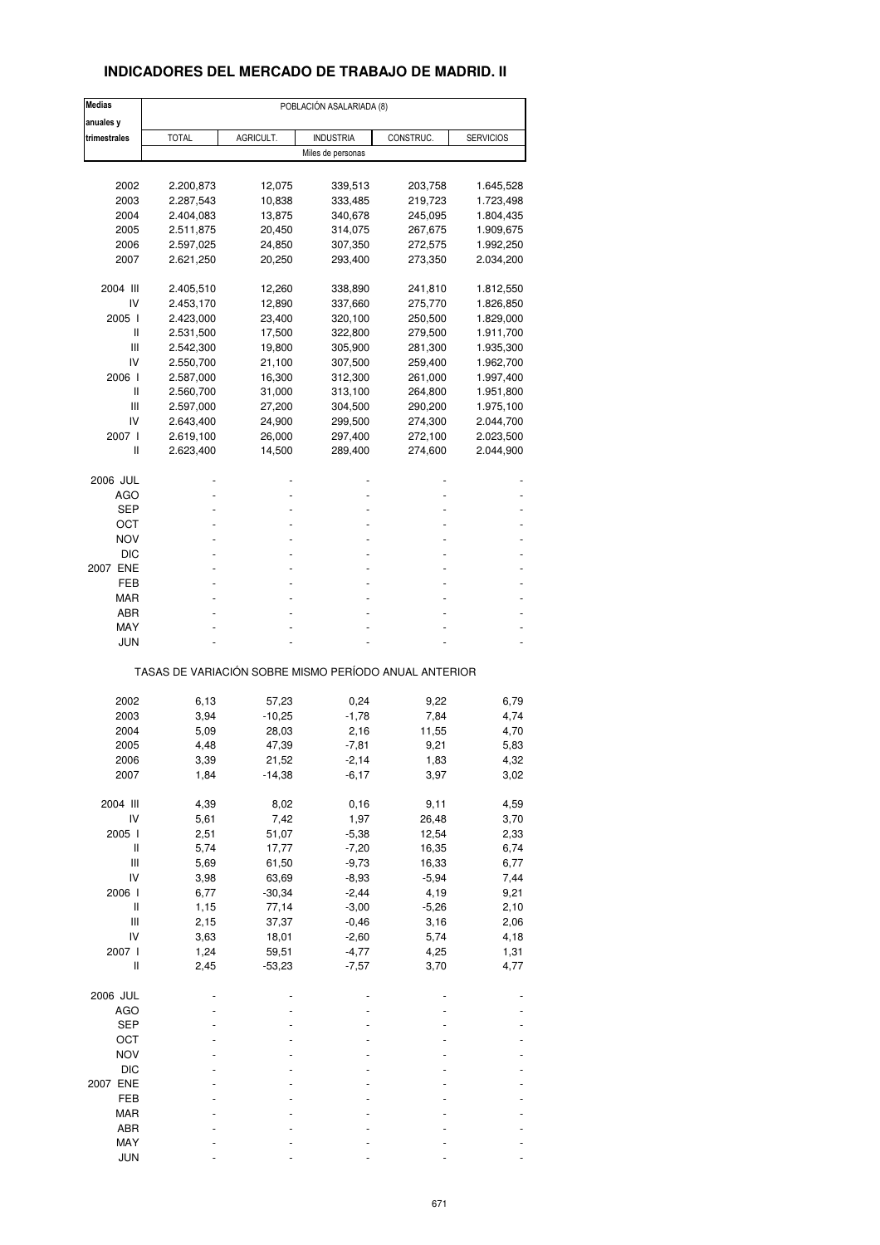### **INDICADORES DEL MERCADO DE TRABAJO DE MADRID. II**

| <b>Medias</b>                      | POBLACIÓN ASALARIADA (8)                              |           |                   |           |                  |  |  |  |
|------------------------------------|-------------------------------------------------------|-----------|-------------------|-----------|------------------|--|--|--|
| anuales y                          |                                                       |           |                   |           |                  |  |  |  |
| trimestrales                       | <b>TOTAL</b>                                          | AGRICULT. | <b>INDUSTRIA</b>  | CONSTRUC. | <b>SERVICIOS</b> |  |  |  |
|                                    |                                                       |           | Miles de personas |           |                  |  |  |  |
|                                    |                                                       |           |                   |           |                  |  |  |  |
| 2002                               | 2.200,873                                             | 12,075    | 339,513           | 203,758   | 1.645,528        |  |  |  |
| 2003                               | 2.287,543                                             | 10,838    | 333,485           | 219,723   | 1.723,498        |  |  |  |
| 2004                               | 2.404,083                                             | 13,875    | 340,678           | 245,095   | 1.804,435        |  |  |  |
| 2005                               | 2.511,875                                             | 20,450    | 314,075           | 267,675   | 1.909,675        |  |  |  |
| 2006                               | 2.597,025                                             | 24,850    | 307,350           | 272,575   | 1.992,250        |  |  |  |
| 2007                               | 2.621,250                                             | 20,250    | 293,400           | 273,350   | 2.034,200        |  |  |  |
| 2004 III                           | 2.405,510                                             | 12,260    | 338,890           | 241,810   | 1.812,550        |  |  |  |
| IV                                 | 2.453,170                                             | 12,890    | 337,660           | 275,770   | 1.826,850        |  |  |  |
| 2005 l                             | 2.423,000                                             | 23,400    | 320,100           | 250,500   | 1.829,000        |  |  |  |
| Ш                                  | 2.531,500                                             | 17,500    | 322,800           | 279,500   | 1.911,700        |  |  |  |
| Ш                                  |                                                       |           |                   |           |                  |  |  |  |
|                                    | 2.542,300                                             | 19,800    | 305,900           | 281,300   | 1.935,300        |  |  |  |
| IV                                 | 2.550,700                                             | 21,100    | 307,500           | 259,400   | 1.962,700        |  |  |  |
| 2006 l                             | 2.587,000                                             | 16,300    | 312,300           | 261,000   | 1.997,400        |  |  |  |
| Ш                                  | 2.560,700                                             | 31,000    | 313,100           | 264,800   | 1.951,800        |  |  |  |
| Ш                                  | 2.597,000                                             | 27,200    | 304,500           | 290,200   | 1.975,100        |  |  |  |
| IV                                 | 2.643,400                                             | 24,900    | 299,500           | 274,300   | 2.044,700        |  |  |  |
|                                    |                                                       |           |                   |           |                  |  |  |  |
| 2007 l                             | 2.619,100                                             | 26,000    | 297,400           | 272,100   | 2.023,500        |  |  |  |
| Ш                                  | 2.623,400                                             | 14,500    | 289,400           | 274,600   | 2.044,900        |  |  |  |
| 2006 JUL                           |                                                       |           |                   |           |                  |  |  |  |
| AGO                                |                                                       |           |                   |           |                  |  |  |  |
| SEP                                |                                                       |           |                   |           |                  |  |  |  |
| ост                                |                                                       |           | ٠                 |           |                  |  |  |  |
| <b>NOV</b>                         |                                                       |           |                   |           |                  |  |  |  |
|                                    |                                                       |           |                   |           |                  |  |  |  |
| DIC                                |                                                       |           |                   |           |                  |  |  |  |
| 2007 ENE                           |                                                       |           | ٠                 |           |                  |  |  |  |
| FEB                                |                                                       |           |                   |           |                  |  |  |  |
| MAR                                |                                                       |           |                   |           |                  |  |  |  |
| ABR                                |                                                       |           |                   |           |                  |  |  |  |
| MAY                                |                                                       |           |                   |           |                  |  |  |  |
| <b>JUN</b>                         |                                                       |           |                   |           |                  |  |  |  |
|                                    | TASAS DE VARIACIÓN SOBRE MISMO PERÍODO ANUAL ANTERIOR |           |                   |           |                  |  |  |  |
|                                    |                                                       |           |                   |           |                  |  |  |  |
| 2002                               | 6,13                                                  | 57,23     | 0,24              | 9,22      | 6,79             |  |  |  |
| 2003                               | 3,94                                                  | $-10,25$  | $-1,78$           | 7,84      | 4,74             |  |  |  |
| 2004                               | 5,09                                                  | 28,03     | 2,16              | 11,55     | 4,70             |  |  |  |
| 2005                               | 4,48                                                  | 47,39     | $-7,81$           | 9,21      | 5,83             |  |  |  |
|                                    |                                                       |           |                   |           |                  |  |  |  |
| 2006                               | 3,39                                                  | 21,52     | -2,14             | 1,83      | 4,32             |  |  |  |
| 2007                               | 1,84                                                  | $-14,38$  | $-6,17$           | 3,97      | 3,02             |  |  |  |
| 2004 III                           | 4,39                                                  | 8,02      | 0, 16             | 9,11      | 4,59             |  |  |  |
| IV                                 | 5,61                                                  | 7,42      | 1,97              | 26,48     | 3,70             |  |  |  |
| 2005 l                             | 2,51                                                  | 51,07     | $-5,38$           | 12,54     | 2,33             |  |  |  |
| Ш                                  | 5,74                                                  | 17,77     | $-7,20$           | 16,35     | 6,74             |  |  |  |
| $\ensuremath{\mathsf{III}}\xspace$ | 5,69                                                  | 61,50     | $-9,73$           | 16,33     | 6,77             |  |  |  |
|                                    |                                                       |           |                   |           |                  |  |  |  |
| IV                                 | 3,98                                                  | 63,69     | $-8,93$           | $-5,94$   | 7,44             |  |  |  |
| 2006 l                             | 6,77                                                  | $-30,34$  | $-2,44$           | 4,19      | 9,21             |  |  |  |
| $\sf II$                           | 1,15                                                  | 77,14     | $-3,00$           | $-5,26$   | 2,10             |  |  |  |
| Ш                                  | 2,15                                                  | 37,37     | $-0,46$           | 3,16      | 2,06             |  |  |  |
| IV                                 | 3,63                                                  | 18,01     | $-2,60$           | 5,74      | 4,18             |  |  |  |
| 2007 l                             | 1,24                                                  | 59,51     | $-4,77$           | 4,25      | 1,31             |  |  |  |
|                                    |                                                       |           |                   |           |                  |  |  |  |
| Ш                                  | 2,45                                                  | $-53,23$  | $-7,57$           | 3,70      | 4,77             |  |  |  |
| 2006 JUL                           |                                                       |           |                   |           |                  |  |  |  |
| <b>AGO</b>                         |                                                       |           |                   |           |                  |  |  |  |
| <b>SEP</b>                         |                                                       |           |                   |           |                  |  |  |  |
| OCT                                |                                                       |           |                   |           |                  |  |  |  |
| <b>NOV</b>                         |                                                       |           |                   |           |                  |  |  |  |
|                                    |                                                       |           |                   |           |                  |  |  |  |
| <b>DIC</b>                         |                                                       |           |                   |           |                  |  |  |  |
| 2007 ENE                           |                                                       |           |                   |           |                  |  |  |  |
| FEB                                |                                                       |           |                   |           |                  |  |  |  |
| <b>MAR</b>                         |                                                       |           |                   |           |                  |  |  |  |
| ABR                                |                                                       |           |                   |           |                  |  |  |  |
| MAY                                |                                                       |           |                   |           |                  |  |  |  |
| <b>JUN</b>                         |                                                       |           |                   |           |                  |  |  |  |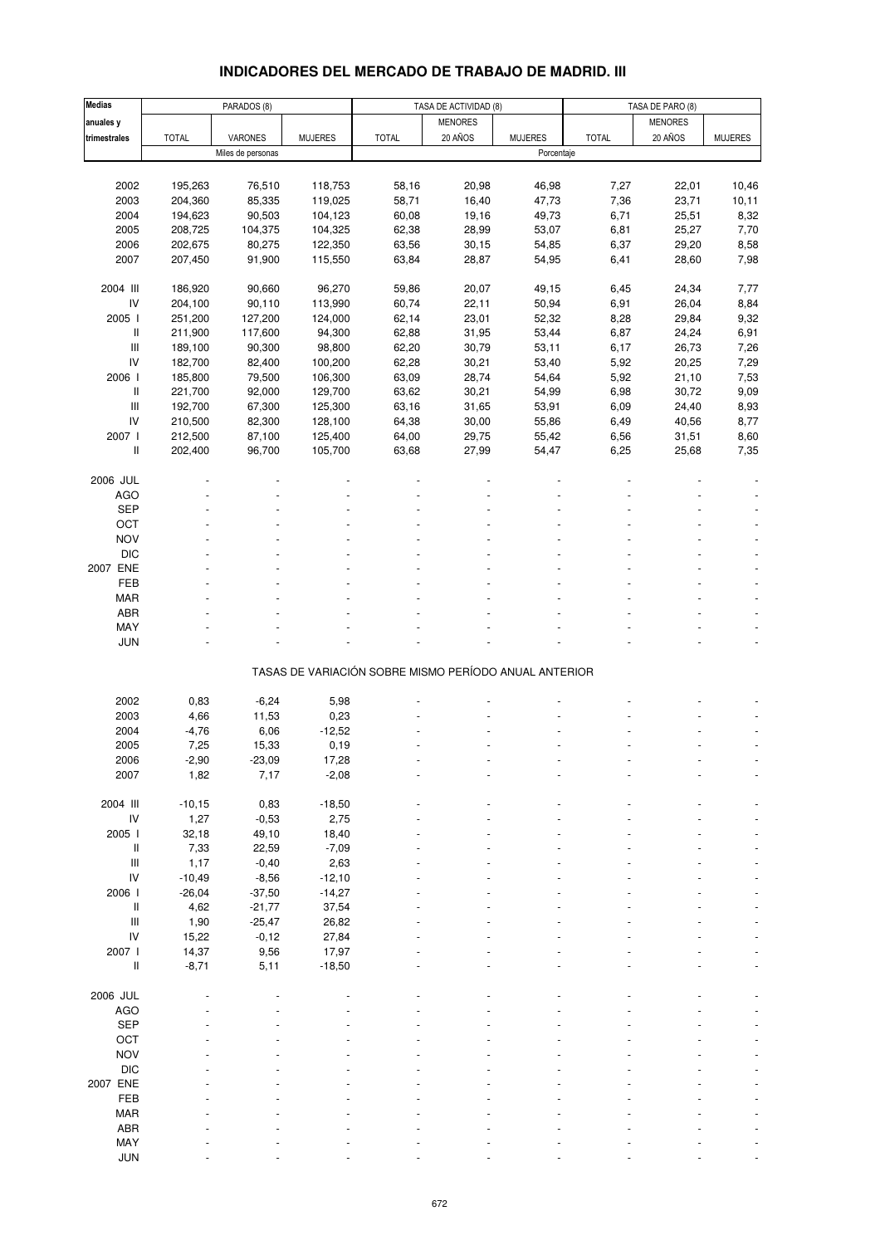# **INDICADORES DEL MERCADO DE TRABAJO DE MADRID. III**

| <b>Medias</b>                                                             |              | PARADOS (8)       |                      |                                                       | TASA DE ACTIVIDAD (8) |                | TASA DE PARO (8) |                |                |
|---------------------------------------------------------------------------|--------------|-------------------|----------------------|-------------------------------------------------------|-----------------------|----------------|------------------|----------------|----------------|
| anuales y                                                                 |              |                   |                      |                                                       | <b>MENORES</b>        |                |                  | <b>MENORES</b> |                |
| trimestrales                                                              | <b>TOTAL</b> | VARONES           | <b>MUJERES</b>       | <b>TOTAL</b>                                          | 20 AÑOS               | <b>MUJERES</b> | <b>TOTAL</b>     | 20 AÑOS        | <b>MUJERES</b> |
|                                                                           |              | Miles de personas |                      |                                                       |                       | Porcentaje     |                  |                |                |
|                                                                           |              |                   |                      |                                                       |                       |                |                  |                |                |
| 2002                                                                      | 195,263      | 76,510            | 118,753              | 58,16                                                 | 20,98                 | 46,98          | 7,27             | 22,01          | 10,46          |
| 2003                                                                      | 204,360      | 85,335            | 119,025              | 58,71                                                 | 16,40                 | 47,73          | 7,36             | 23,71          | 10, 11         |
| 2004                                                                      | 194,623      | 90,503            | 104,123              | 60,08                                                 | 19,16                 | 49,73          | 6,71             | 25,51          | 8,32           |
| 2005                                                                      | 208,725      | 104,375           | 104,325              | 62,38                                                 | 28,99                 | 53,07          | 6,81             | 25,27          | 7,70           |
| 2006                                                                      | 202,675      | 80,275            | 122,350              | 63,56                                                 | 30, 15                | 54,85          | 6,37             | 29,20          | 8,58           |
| 2007                                                                      | 207,450      | 91,900            | 115,550              | 63,84                                                 | 28,87                 | 54,95          | 6,41             | 28,60          | 7,98           |
|                                                                           |              |                   |                      |                                                       |                       |                |                  |                |                |
| 2004 III                                                                  | 186,920      | 90,660            | 96,270               | 59,86                                                 | 20,07                 | 49,15          | 6,45             | 24,34          | 7,77           |
| IV                                                                        | 204,100      | 90,110            | 113,990              | 60,74                                                 | 22,11                 | 50,94          | 6,91             | 26,04          | 8,84           |
| 2005 l                                                                    | 251,200      | 127,200           | 124,000              | 62,14                                                 | 23,01                 | 52,32          | 8,28             | 29,84          | 9,32           |
| Ш                                                                         | 211,900      | 117,600           | 94,300               | 62,88                                                 | 31,95                 | 53,44          | 6,87             | 24,24          | 6,91           |
| $\ensuremath{\mathsf{III}}\xspace$                                        | 189,100      | 90,300            | 98,800               | 62,20                                                 | 30,79                 | 53,11          | 6,17             | 26,73          | 7,26           |
| IV                                                                        | 182,700      | 82,400            | 100,200              | 62,28                                                 | 30,21                 | 53,40          | 5,92             | 20,25          | 7,29           |
| 2006 l                                                                    | 185,800      | 79,500            | 106,300              | 63,09                                                 | 28,74                 | 54,64          | 5,92             | 21,10          | 7,53           |
| Ш                                                                         | 221,700      | 92,000            | 129,700              | 63,62                                                 | 30,21                 | 54,99          | 6,98             | 30,72          | 9,09           |
| $\ensuremath{\mathsf{III}}\xspace$                                        | 192,700      | 67,300            | 125,300              | 63,16                                                 | 31,65                 | 53,91          | 6,09             | 24,40          | 8,93           |
| IV                                                                        | 210,500      | 82,300            | 128,100              | 64,38                                                 | 30,00                 | 55,86          | 6,49             | 40,56          | 8,77           |
| 2007 l                                                                    | 212,500      | 87,100            | 125,400              | 64,00                                                 | 29,75                 | 55,42          | 6,56             | 31,51          | 8,60           |
| Ш                                                                         | 202,400      | 96,700            | 105,700              | 63,68                                                 | 27,99                 | 54,47          | 6,25             | 25,68          | 7,35           |
|                                                                           |              |                   |                      |                                                       |                       |                |                  |                |                |
| 2006 JUL                                                                  |              |                   |                      |                                                       |                       |                |                  |                |                |
| <b>AGO</b>                                                                |              |                   |                      |                                                       |                       |                |                  |                |                |
| <b>SEP</b>                                                                |              |                   |                      |                                                       |                       |                |                  |                |                |
| OCT                                                                       |              |                   |                      |                                                       |                       |                |                  |                |                |
| <b>NOV</b>                                                                |              |                   |                      |                                                       |                       |                |                  |                |                |
| <b>DIC</b>                                                                |              |                   |                      |                                                       |                       |                |                  |                |                |
| 2007 ENE                                                                  |              |                   |                      |                                                       |                       |                |                  |                |                |
| FEB                                                                       |              |                   |                      |                                                       |                       |                |                  |                |                |
| <b>MAR</b>                                                                |              |                   |                      |                                                       |                       |                |                  |                |                |
| <b>ABR</b>                                                                |              |                   |                      |                                                       |                       |                |                  |                |                |
| MAY                                                                       |              |                   |                      |                                                       |                       |                |                  |                |                |
| <b>JUN</b>                                                                |              |                   |                      |                                                       |                       |                |                  |                |                |
|                                                                           |              |                   |                      |                                                       |                       |                |                  |                |                |
|                                                                           |              |                   |                      | TASAS DE VARIACIÓN SOBRE MISMO PERÍODO ANUAL ANTERIOR |                       |                |                  |                |                |
|                                                                           |              |                   |                      |                                                       |                       |                |                  |                |                |
| 2002                                                                      | 0,83         | $-6,24$           | 5,98                 |                                                       |                       |                |                  |                |                |
| 2003                                                                      | 4,66         | 11,53             | 0,23                 |                                                       |                       |                |                  |                |                |
| 2004                                                                      | $-4,76$      | 6,06              | $-12,52$             |                                                       |                       |                |                  |                |                |
| 2005                                                                      | 7,25         | 15,33             | 0, 19                |                                                       |                       |                |                  |                |                |
| 2006                                                                      | -2,90        | -23,09            | 17,28                |                                                       |                       |                |                  |                |                |
| 2007                                                                      | 1,82         | 7,17              | $-2,08$              |                                                       |                       |                |                  |                |                |
| 2004 III                                                                  |              |                   |                      |                                                       |                       |                |                  |                |                |
|                                                                           | $-10,15$     | 0,83              | $-18,50$             |                                                       |                       |                |                  |                |                |
| IV<br>2005 l                                                              | 1,27         | $-0,53$           | 2,75                 |                                                       |                       |                |                  |                |                |
|                                                                           | 32,18        | 49,10             | 18,40                |                                                       |                       |                |                  |                |                |
| $\mathop{  }$<br>$\ensuremath{\mathsf{III}}\xspace$                       | 7,33         | 22,59             | $-7,09$              |                                                       |                       |                |                  |                |                |
| IV                                                                        | 1,17         | $-0,40$           | 2,63                 |                                                       |                       |                |                  |                |                |
| 2006 l                                                                    | $-10,49$     | $-8,56$           | $-12,10$<br>$-14,27$ |                                                       |                       |                |                  |                |                |
|                                                                           | $-26,04$     | $-37,50$          |                      |                                                       |                       |                |                  |                |                |
| $\mathop{  }$<br>$\ensuremath{\mathsf{III}}\xspace$                       | 4,62         | $-21,77$          | 37,54                |                                                       |                       |                |                  |                |                |
| IV                                                                        | 1,90         | $-25,47$          | 26,82                |                                                       |                       |                |                  |                |                |
|                                                                           | 15,22        | $-0,12$           | 27,84                |                                                       |                       |                |                  |                |                |
| 2007 l                                                                    | 14,37        | 9,56              | 17,97                |                                                       |                       |                |                  |                |                |
| $\label{eq:1} \prod_{i=1}^n \left\{ \prod_{i=1}^n \frac{1}{n_i} \right\}$ | $-8,71$      | 5,11              | $-18,50$             |                                                       |                       |                |                  |                |                |
| 2006 JUL                                                                  |              |                   |                      |                                                       |                       |                |                  |                |                |
|                                                                           |              |                   |                      |                                                       |                       |                |                  |                |                |
| <b>AGO</b><br><b>SEP</b>                                                  |              |                   |                      |                                                       |                       |                |                  |                |                |
| OCT                                                                       |              |                   |                      |                                                       |                       |                |                  |                |                |
|                                                                           |              |                   |                      |                                                       |                       |                |                  |                |                |
| <b>NOV</b><br><b>DIC</b>                                                  |              |                   |                      |                                                       |                       |                |                  |                |                |
|                                                                           |              |                   |                      |                                                       |                       |                |                  |                |                |
| 2007 ENE                                                                  |              |                   |                      |                                                       |                       |                |                  |                |                |
| FEB                                                                       |              |                   |                      |                                                       |                       |                |                  |                |                |
| <b>MAR</b>                                                                |              |                   |                      |                                                       |                       |                |                  |                |                |
| ABR                                                                       |              |                   |                      |                                                       |                       |                |                  |                |                |
| MAY<br><b>JUN</b>                                                         |              |                   |                      |                                                       |                       |                |                  |                |                |
|                                                                           |              |                   |                      |                                                       |                       |                |                  |                |                |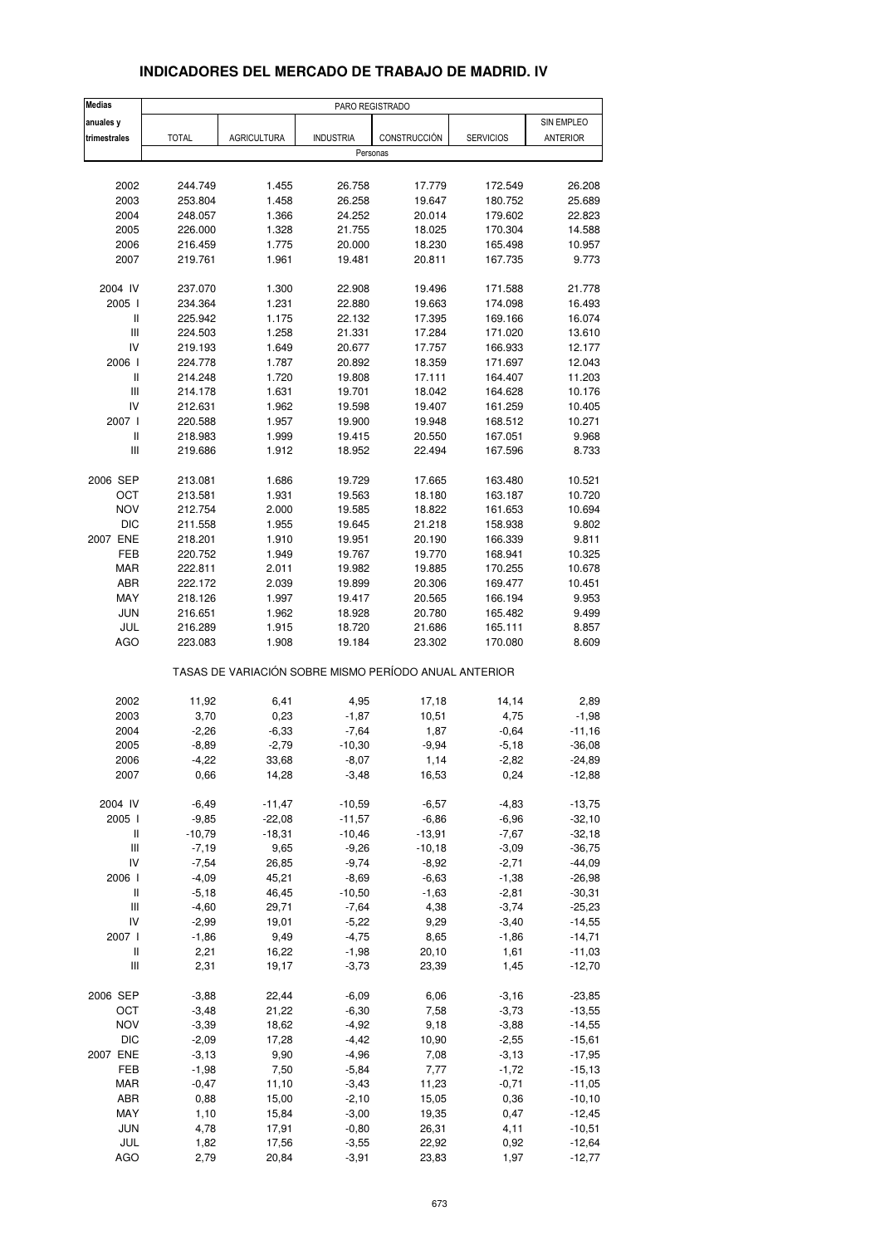| <b>Medias</b>                      |              |                    | PARO REGISTRADO    |                                                       |                  |                      |
|------------------------------------|--------------|--------------------|--------------------|-------------------------------------------------------|------------------|----------------------|
| anuales y                          |              |                    |                    |                                                       |                  | SIN EMPLEO           |
| trimestrales                       | <b>TOTAL</b> | <b>AGRICULTURA</b> | <b>INDUSTRIA</b>   | CONSTRUCCIÓN                                          | <b>SERVICIOS</b> | <b>ANTERIOR</b>      |
|                                    |              |                    |                    | Personas                                              |                  |                      |
|                                    |              |                    |                    |                                                       |                  |                      |
| 2002                               | 244.749      | 1.455              | 26.758             | 17.779                                                | 172.549          | 26.208               |
| 2003                               | 253.804      | 1.458              | 26.258             | 19.647                                                | 180.752          | 25.689               |
| 2004                               | 248.057      | 1.366              | 24.252             | 20.014                                                | 179.602          | 22.823               |
| 2005                               | 226.000      | 1.328              | 21.755             | 18.025                                                | 170.304          | 14.588               |
| 2006                               | 216.459      | 1.775              | 20.000             | 18.230                                                | 165.498          | 10.957               |
| 2007                               | 219.761      | 1.961              | 19.481             | 20.811                                                | 167.735          | 9.773                |
| 2004 IV                            | 237.070      | 1.300              | 22.908             | 19.496                                                | 171.588          | 21.778               |
| 2005                               | 234.364      | 1.231              | 22.880             | 19.663                                                | 174.098          | 16.493               |
| Ш                                  | 225.942      | 1.175              | 22.132             | 17.395                                                | 169.166          | 16.074               |
| $\ensuremath{\mathsf{III}}\xspace$ | 224.503      | 1.258              | 21.331             | 17.284                                                | 171.020          | 13.610               |
| IV                                 | 219.193      | 1.649              | 20.677             | 17.757                                                | 166.933          | 12.177               |
| 2006 l                             | 224.778      | 1.787              | 20.892             | 18.359                                                | 171.697          | 12.043               |
| Ш                                  | 214.248      | 1.720              | 19.808             | 17.111                                                | 164.407          | 11.203               |
| Ш                                  | 214.178      | 1.631              | 19.701             | 18.042                                                | 164.628          | 10.176               |
| IV                                 | 212.631      | 1.962              | 19.598             | 19.407                                                | 161.259          | 10.405               |
| 2007 l                             | 220.588      | 1.957              | 19.900             | 19.948                                                | 168.512          | 10.271               |
| Ш                                  | 218.983      | 1.999              | 19.415             | 20.550                                                | 167.051          | 9.968                |
| Ш                                  | 219.686      | 1.912              | 18.952             | 22.494                                                | 167.596          | 8.733                |
| 2006 SEP                           | 213.081      | 1.686              | 19.729             | 17.665                                                | 163.480          | 10.521               |
| ОСТ                                | 213.581      | 1.931              | 19.563             | 18.180                                                | 163.187          | 10.720               |
| <b>NOV</b>                         | 212.754      | 2.000              | 19.585             | 18.822                                                | 161.653          | 10.694               |
| <b>DIC</b>                         | 211.558      | 1.955              |                    | 21.218                                                | 158.938          | 9.802                |
| 2007 ENE                           |              |                    | 19.645             | 20.190                                                |                  | 9.811                |
|                                    | 218.201      | 1.910              | 19.951             |                                                       | 166.339          |                      |
| FEB                                | 220.752      | 1.949              | 19.767             | 19.770                                                | 168.941          | 10.325               |
| <b>MAR</b>                         | 222.811      | 2.011              | 19.982             | 19.885                                                | 170.255          | 10.678               |
| <b>ABR</b>                         | 222.172      | 2.039              | 19.899             | 20.306                                                | 169.477          | 10.451               |
| MAY                                | 218.126      | 1.997              | 19.417             | 20.565                                                | 166.194          | 9.953                |
| <b>JUN</b>                         | 216.651      | 1.962              | 18.928             | 20.780                                                | 165.482          | 9.499                |
| JUL                                | 216.289      | 1.915              | 18.720             | 21.686                                                | 165.111          | 8.857                |
| AGO                                | 223.083      | 1.908              | 19.184             | 23.302                                                | 170.080          | 8.609                |
|                                    |              |                    |                    | TASAS DE VARIACIÓN SOBRE MISMO PERÍODO ANUAL ANTERIOR |                  |                      |
| 2002                               | 11,92        | 6,41               | 4,95               | 17,18                                                 | 14,14            | 2,89                 |
| 2003                               | 3,70         | 0,23               | $-1,87$            | 10,51                                                 | 4,75             | $-1,98$              |
| 2004                               | $-2,26$      | $-6,33$            | $-7,64$            | 1,87                                                  | $-0,64$          | $-11,16$             |
| 2005                               | $-8,89$      | $-2,79$            | $-10,30$           | $-9,94$                                               | $-5,18$          | $-36,08$             |
| 2006                               | -4,22        | 33,68              | $-8,07$            | 1,14                                                  | -2,82            | -24,89               |
| 2007                               | 0,66         | 14,28              | $-3,48$            | 16,53                                                 | 0,24             | $-12,88$             |
| 2004 IV                            | $-6,49$      | $-11,47$           | $-10,59$           | $-6,57$                                               | $-4,83$          | $-13,75$             |
| 2005 l                             | $-9,85$      | $-22,08$           | $-11,57$           | $-6,86$                                               | $-6,96$          | $-32,10$             |
| $\mathop{  }$                      | $-10,79$     | $-18,31$           | $-10,46$           | $-13,91$                                              | $-7,67$          | $-32,18$             |
| $\ensuremath{\mathsf{III}}\xspace$ | $-7,19$      | 9,65               | $-9,26$            | $-10,18$                                              | $-3,09$          | $-36,75$             |
| IV                                 | $-7,54$      | 26,85              | $-9,74$            | $-8,92$                                               | $-2,71$          | $-44,09$             |
| 2006                               | $-4,09$      | 45,21              | $-8,69$            | $-6,63$                                               | $-1,38$          | $-26,98$             |
| $\mathop{  }$                      |              |                    | $-10,50$           |                                                       |                  |                      |
|                                    | $-5,18$      | 46,45              |                    | $-1,63$                                               | $-2,81$          | $-30,31$             |
| Ш                                  | $-4,60$      | 29,71              | $-7,64$            | 4,38                                                  | $-3,74$          | $-25,23$             |
| IV                                 | $-2,99$      | 19,01              | $-5,22$            | 9,29                                                  | $-3,40$          | $-14,55$             |
| 2007 l                             | $-1,86$      | 9,49               | $-4,75$            | 8,65                                                  | $-1,86$          | $-14,71$             |
| Ш<br>Ш                             | 2,21<br>2,31 | 16,22<br>19,17     | $-1,98$<br>$-3,73$ | 20,10<br>23,39                                        | 1,61<br>1,45     | $-11,03$<br>$-12,70$ |
|                                    |              |                    |                    |                                                       |                  |                      |
| 2006 SEP                           | $-3,88$      | 22,44              | $-6,09$            | 6,06                                                  | $-3,16$          | $-23,85$             |
| OCT                                | $-3,48$      | 21,22              | $-6,30$            | 7,58                                                  | $-3,73$          | $-13,55$             |
| <b>NOV</b>                         | $-3,39$      | 18,62              | $-4,92$            | 9,18                                                  | $-3,88$          | $-14,55$             |
| <b>DIC</b>                         | $-2,09$      | 17,28              | $-4,42$            | 10,90                                                 | $-2,55$          | $-15,61$             |
| 2007 ENE                           | $-3, 13$     | 9,90               | $-4,96$            | 7,08                                                  | $-3, 13$         | $-17,95$             |
| FEB                                | $-1,98$      | 7,50               | $-5,84$            | 7,77                                                  | $-1,72$          | $-15, 13$            |
| MAR                                | $-0,47$      | 11,10              | $-3,43$            | 11,23                                                 | $-0,71$          | $-11,05$             |
| ABR                                | 0,88         | 15,00              | $-2,10$            | 15,05                                                 | 0,36             | $-10, 10$            |
| MAY                                | 1,10         | 15,84              | $-3,00$            | 19,35                                                 | 0,47             | $-12,45$             |
| JUN                                | 4,78         | 17,91              | $-0,80$            | 26,31                                                 | 4,11             | $-10,51$             |
| JUL                                | 1,82         | 17,56              | $-3,55$            | 22,92                                                 | 0,92             | $-12,64$             |

### **INDICADORES DEL MERCADO DE TRABAJO DE MADRID. IV**

AGO 2,79 20,84 -3,91 23,83 1,97 -12,77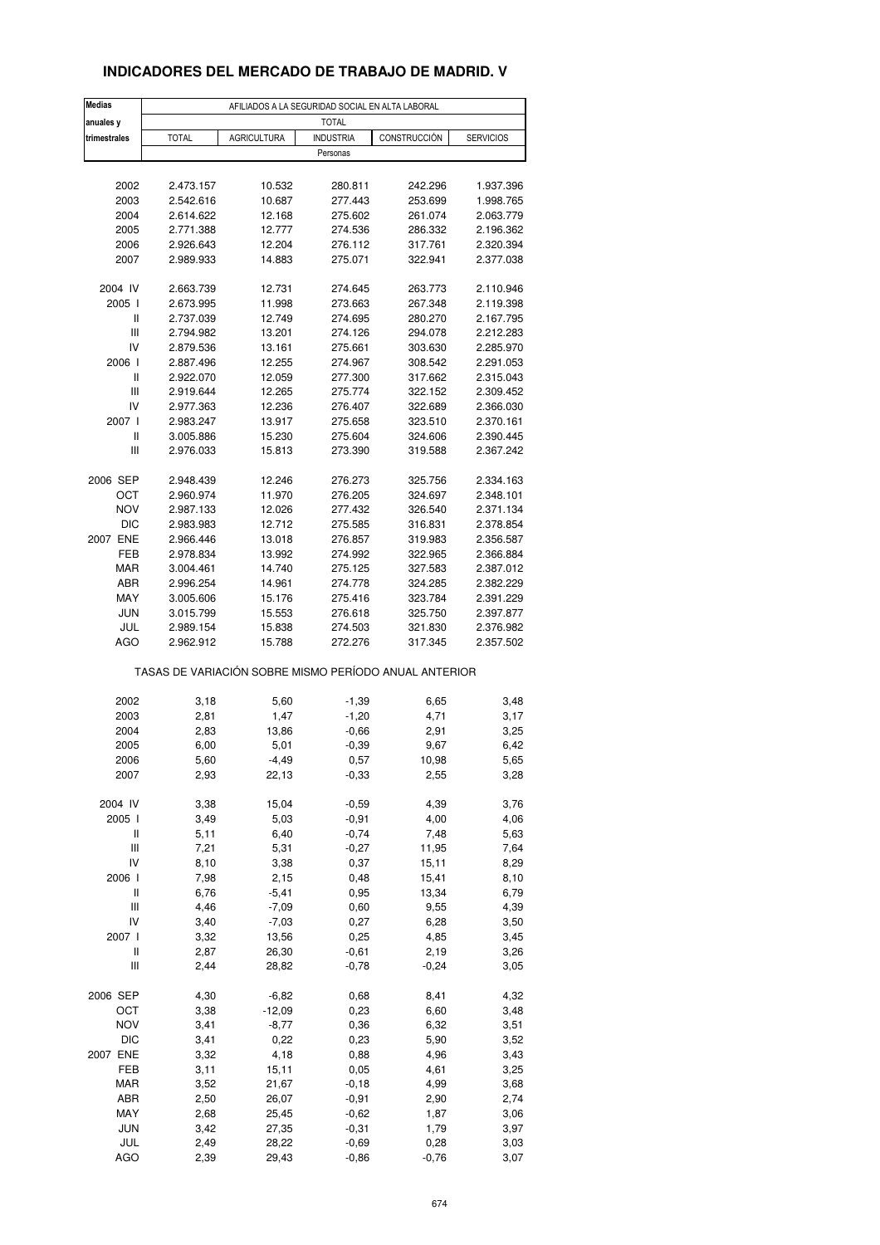### **INDICADORES DEL MERCADO DE TRABAJO DE MADRID. V**

| <b>Medias</b>   | AFILIADOS A LA SEGURIDAD SOCIAL EN ALTA LABORAL       |                    |                    |                    |                        |  |  |  |
|-----------------|-------------------------------------------------------|--------------------|--------------------|--------------------|------------------------|--|--|--|
| anuales y       | <b>TOTAL</b>                                          |                    |                    |                    |                        |  |  |  |
| trimestrales    | <b>TOTAL</b>                                          | <b>AGRICULTURA</b> | <b>INDUSTRIA</b>   | CONSTRUCCIÓN       | <b>SERVICIOS</b>       |  |  |  |
|                 |                                                       |                    | Personas           |                    |                        |  |  |  |
|                 |                                                       |                    |                    |                    |                        |  |  |  |
| 2002            | 2.473.157                                             | 10.532             | 280.811            | 242.296            | 1.937.396              |  |  |  |
| 2003            | 2.542.616                                             | 10.687             | 277.443            | 253.699            | 1.998.765              |  |  |  |
| 2004            | 2.614.622                                             | 12.168             | 275.602            | 261.074            | 2.063.779              |  |  |  |
| 2005            | 2.771.388                                             | 12.777             | 274.536            | 286.332            | 2.196.362              |  |  |  |
| 2006            | 2.926.643                                             | 12.204             | 276.112            | 317.761            | 2.320.394              |  |  |  |
| 2007            | 2.989.933                                             | 14.883             | 275.071            | 322.941            | 2.377.038              |  |  |  |
|                 |                                                       |                    |                    |                    |                        |  |  |  |
| 2004 IV         | 2.663.739                                             | 12.731             | 274.645            | 263.773            | 2.110.946              |  |  |  |
| 2005 l<br>Ш     | 2.673.995<br>2.737.039                                | 11.998<br>12.749   | 273.663<br>274.695 | 267.348<br>280.270 | 2.119.398<br>2.167.795 |  |  |  |
| Ш               | 2.794.982                                             | 13.201             | 274.126            | 294.078            | 2.212.283              |  |  |  |
| IV              | 2.879.536                                             | 13.161             | 275.661            | 303.630            | 2.285.970              |  |  |  |
| 2006            | 2.887.496                                             | 12.255             | 274.967            | 308.542            | 2.291.053              |  |  |  |
| Ш               | 2.922.070                                             | 12.059             | 277.300            | 317.662            | 2.315.043              |  |  |  |
| Ш               | 2.919.644                                             | 12.265             | 275.774            | 322.152            | 2.309.452              |  |  |  |
| IV              | 2.977.363                                             | 12.236             | 276.407            | 322.689            | 2.366.030              |  |  |  |
| 2007 l          | 2.983.247                                             | 13.917             | 275.658            | 323.510            | 2.370.161              |  |  |  |
| Ш               | 3.005.886                                             | 15.230             | 275.604            | 324.606            | 2.390.445              |  |  |  |
| Ш               | 2.976.033                                             | 15.813             | 273.390            | 319.588            | 2.367.242              |  |  |  |
|                 |                                                       |                    |                    |                    |                        |  |  |  |
| 2006 SEP        | 2.948.439                                             | 12.246             | 276.273            | 325.756            | 2.334.163              |  |  |  |
| OCT             | 2.960.974                                             | 11.970             | 276.205            | 324.697            | 2.348.101              |  |  |  |
| <b>NOV</b>      | 2.987.133                                             | 12.026             | 277.432            | 326.540            | 2.371.134              |  |  |  |
| <b>DIC</b>      | 2.983.983                                             | 12.712             | 275.585            | 316.831            | 2.378.854              |  |  |  |
| 2007 ENE<br>FEB | 2.966.446                                             | 13.018             | 276.857            | 319.983            | 2.356.587              |  |  |  |
| MAR             | 2.978.834<br>3.004.461                                | 13.992<br>14.740   | 274.992<br>275.125 | 322.965<br>327.583 | 2.366.884<br>2.387.012 |  |  |  |
| ABR             | 2.996.254                                             | 14.961             | 274.778            | 324.285            | 2.382.229              |  |  |  |
| MAY             | 3.005.606                                             | 15.176             | 275.416            | 323.784            | 2.391.229              |  |  |  |
| <b>JUN</b>      | 3.015.799                                             | 15.553             | 276.618            | 325.750            | 2.397.877              |  |  |  |
| JUL             | 2.989.154                                             | 15.838             | 274.503            | 321.830            | 2.376.982              |  |  |  |
| AGO             | 2.962.912                                             | 15.788             | 272.276            | 317.345            | 2.357.502              |  |  |  |
|                 | TASAS DE VARIACIÓN SOBRE MISMO PERÍODO ANUAL ANTERIOR |                    |                    |                    |                        |  |  |  |
|                 |                                                       |                    |                    |                    |                        |  |  |  |
| 2002            | 3,18                                                  | 5,60               | $-1,39$            | 6,65               | 3,48                   |  |  |  |
| 2003<br>2004    | 2,81                                                  | 1,47               | $-1,20$            | 4,71               | 3,17                   |  |  |  |
| 2005            | 2,83<br>6,00                                          | 13,86<br>5,01      | $-0,66$<br>$-0,39$ | 2,91<br>9,67       | 3,25<br>6,42           |  |  |  |
| 2006            | 5,60                                                  | -4,49              | 0,57               | 10,98              | 5,65                   |  |  |  |
| 2007            | 2,93                                                  | 22,13              | $-0,33$            | 2,55               | 3,28                   |  |  |  |
|                 |                                                       |                    |                    |                    |                        |  |  |  |
| 2004 IV         | 3,38                                                  | 15,04              | $-0,59$            | 4,39               | 3,76                   |  |  |  |
| 2005 l          | 3,49                                                  | 5,03               | $-0,91$            | 4,00               | 4,06                   |  |  |  |
| Ш               | 5,11                                                  | 6,40               | $-0,74$            | 7,48               | 5,63                   |  |  |  |
| Ш               | 7,21                                                  | 5,31               | $-0,27$            | 11,95              | 7,64                   |  |  |  |
| IV              | 8,10                                                  | 3,38               | 0,37               | 15,11              | 8,29                   |  |  |  |
| 2006 l          | 7,98                                                  | 2,15               | 0,48               | 15,41              | 8,10                   |  |  |  |
| Ш               | 6,76                                                  | $-5,41$            | 0,95               | 13,34              | 6,79                   |  |  |  |
| Ш               | 4,46                                                  | $-7,09$            | 0,60               | 9,55               | 4,39                   |  |  |  |
| IV              | 3,40                                                  | $-7,03$            | 0,27               | 6,28               | 3,50                   |  |  |  |
| 2007 l          | 3,32                                                  | 13,56              | 0,25               | 4,85               | 3,45                   |  |  |  |
| Ш<br>Ш          | 2,87<br>2,44                                          | 26,30              | $-0,61$<br>$-0,78$ | 2,19<br>$-0,24$    | 3,26                   |  |  |  |
|                 |                                                       | 28,82              |                    |                    | 3,05                   |  |  |  |
| 2006 SEP        | 4,30                                                  | $-6,82$            | 0,68               | 8,41               | 4,32                   |  |  |  |
| OCT             | 3,38                                                  | $-12,09$           | 0,23               | 6,60               | 3,48                   |  |  |  |
| <b>NOV</b>      | 3,41                                                  | $-8,77$            | 0,36               | 6,32               | 3,51                   |  |  |  |
| DIC             | 3,41                                                  | 0,22               | 0,23               | 5,90               | 3,52                   |  |  |  |
| 2007 ENE        | 3,32                                                  | 4,18               | 0,88               | 4,96               | 3,43                   |  |  |  |
| FEB             | 3,11                                                  | 15,11              | 0,05               | 4,61               | 3,25                   |  |  |  |
| MAR             | 3,52                                                  | 21,67              | $-0,18$            | 4,99               | 3,68                   |  |  |  |
| ABR             | 2,50                                                  | 26,07              | $-0,91$            | 2,90               | 2,74                   |  |  |  |
| MAY             | 2,68                                                  | 25,45              | $-0,62$            | 1,87               | 3,06                   |  |  |  |
| <b>JUN</b>      | 3,42                                                  | 27,35              | $-0,31$            | 1,79               | 3,97                   |  |  |  |
| JUL<br>AGO      | 2,49<br>2,39                                          | 28,22<br>29,43     | $-0,69$<br>$-0,86$ | 0,28<br>$-0,76$    | 3,03<br>3,07           |  |  |  |
|                 |                                                       |                    |                    |                    |                        |  |  |  |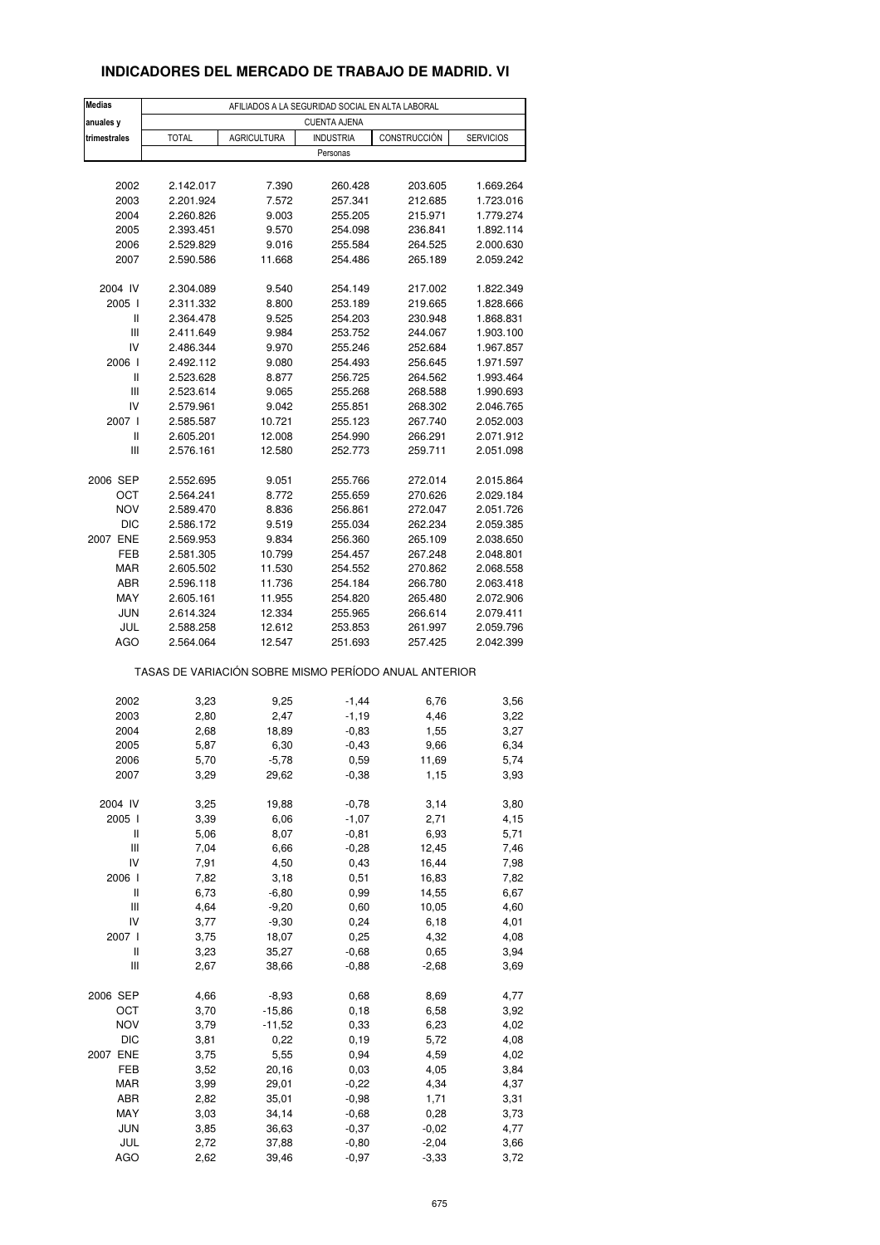### **INDICADORES DEL MERCADO DE TRABAJO DE MADRID. VI**

| <b>Medias</b>                      | AFILIADOS A LA SEGURIDAD SOCIAL EN ALTA LABORAL       |                    |                  |               |                  |  |  |  |
|------------------------------------|-------------------------------------------------------|--------------------|------------------|---------------|------------------|--|--|--|
| anuales y                          | <b>CUENTA AJENA</b>                                   |                    |                  |               |                  |  |  |  |
| trimestrales                       | <b>TOTAL</b>                                          | <b>AGRICULTURA</b> | <b>INDUSTRIA</b> | CONSTRUCCIÓN  | <b>SERVICIOS</b> |  |  |  |
|                                    |                                                       |                    | Personas         |               |                  |  |  |  |
|                                    |                                                       |                    |                  |               |                  |  |  |  |
| 2002                               | 2.142.017                                             | 7.390              | 260.428          | 203.605       | 1.669.264        |  |  |  |
| 2003                               | 2.201.924                                             | 7.572              | 257.341          | 212.685       | 1.723.016        |  |  |  |
| 2004                               | 2.260.826                                             | 9.003              | 255.205          | 215.971       | 1.779.274        |  |  |  |
| 2005                               | 2.393.451                                             | 9.570              | 254.098          | 236.841       | 1.892.114        |  |  |  |
| 2006                               | 2.529.829                                             | 9.016              | 255.584          | 264.525       | 2.000.630        |  |  |  |
| 2007                               | 2.590.586                                             | 11.668             | 254.486          | 265.189       | 2.059.242        |  |  |  |
|                                    |                                                       |                    |                  |               |                  |  |  |  |
| 2004 IV                            | 2.304.089                                             | 9.540              | 254.149          | 217.002       | 1.822.349        |  |  |  |
| 2005 l                             | 2.311.332                                             | 8.800              | 253.189          | 219.665       | 1.828.666        |  |  |  |
| Ш                                  | 2.364.478                                             | 9.525              | 254.203          | 230.948       | 1.868.831        |  |  |  |
| $\ensuremath{\mathsf{III}}\xspace$ | 2.411.649                                             | 9.984              | 253.752          | 244.067       | 1.903.100        |  |  |  |
| IV                                 | 2.486.344                                             | 9.970              | 255.246          | 252.684       | 1.967.857        |  |  |  |
| 2006                               | 2.492.112                                             | 9.080              | 254.493          | 256.645       | 1.971.597        |  |  |  |
| Ш                                  | 2.523.628                                             | 8.877              | 256.725          | 264.562       | 1.993.464        |  |  |  |
| Ш                                  | 2.523.614                                             | 9.065              | 255.268          | 268.588       | 1.990.693        |  |  |  |
| IV                                 | 2.579.961                                             | 9.042              | 255.851          | 268.302       | 2.046.765        |  |  |  |
| 2007 l                             | 2.585.587                                             | 10.721             | 255.123          | 267.740       | 2.052.003        |  |  |  |
| $\sf II$                           | 2.605.201                                             | 12.008             | 254.990          | 266.291       | 2.071.912        |  |  |  |
| Ш                                  | 2.576.161                                             | 12.580             | 252.773          | 259.711       | 2.051.098        |  |  |  |
|                                    |                                                       |                    |                  |               |                  |  |  |  |
| 2006 SEP                           | 2.552.695                                             | 9.051              | 255.766          | 272.014       | 2.015.864        |  |  |  |
| ОСТ                                | 2.564.241                                             | 8.772              | 255.659          | 270.626       | 2.029.184        |  |  |  |
| NOV                                | 2.589.470                                             | 8.836              | 256.861          | 272.047       | 2.051.726        |  |  |  |
| <b>DIC</b>                         | 2.586.172                                             | 9.519              | 255.034          | 262.234       | 2.059.385        |  |  |  |
| 2007 ENE                           | 2.569.953                                             | 9.834              | 256.360          | 265.109       | 2.038.650        |  |  |  |
| FEB                                | 2.581.305                                             | 10.799             | 254.457          | 267.248       | 2.048.801        |  |  |  |
| MAR                                | 2.605.502                                             | 11.530             | 254.552          | 270.862       | 2.068.558        |  |  |  |
| ABR                                | 2.596.118                                             | 11.736             | 254.184          | 266.780       | 2.063.418        |  |  |  |
| MAY                                | 2.605.161                                             | 11.955             | 254.820          | 265.480       | 2.072.906        |  |  |  |
| <b>JUN</b>                         | 2.614.324                                             | 12.334             | 255.965          | 266.614       | 2.079.411        |  |  |  |
| JUL                                | 2.588.258                                             | 12.612             | 253.853          | 261.997       | 2.059.796        |  |  |  |
| AGO                                | 2.564.064                                             | 12.547             | 251.693          | 257.425       | 2.042.399        |  |  |  |
|                                    | TASAS DE VARIACIÓN SOBRE MISMO PERÍODO ANUAL ANTERIOR |                    |                  |               |                  |  |  |  |
| 2002                               | 3,23                                                  | 9,25               | $-1,44$          | 6,76          | 3,56             |  |  |  |
| 2003                               | 2,80                                                  | 2,47               | $-1,19$          | 4,46          | 3,22             |  |  |  |
| 2004                               | 2,68                                                  | 18,89              | $-0,83$          | 1,55          | 3,27             |  |  |  |
| 2005                               | 5,87                                                  | 6,30               | $-0,43$          | 9,66          | 6,34             |  |  |  |
|                                    |                                                       | -5,78              |                  |               |                  |  |  |  |
| 2006<br>2007                       | 5,70<br>3,29                                          | 29,62              | 0,59<br>$-0,38$  | 11,69<br>1,15 | 5,74<br>3,93     |  |  |  |
|                                    |                                                       |                    |                  |               |                  |  |  |  |
| 2004 IV                            | 3,25                                                  | 19,88              | $-0,78$          | 3,14          | 3,80             |  |  |  |
| 2005 l                             | 3,39                                                  | 6,06               | $-1,07$          | 2,71          | 4,15             |  |  |  |
| Ш                                  | 5,06                                                  | 8,07               | $-0,81$          | 6,93          | 5,71             |  |  |  |
| Ш                                  | 7,04                                                  | 6,66               | $-0,28$          | 12,45         | 7,46             |  |  |  |
| IV                                 | 7,91                                                  | 4,50               | 0,43             | 16,44         | 7,98             |  |  |  |
| 2006                               | 7,82                                                  | 3,18               | 0,51             | 16,83         | 7,82             |  |  |  |
| Ш                                  | 6,73                                                  | $-6,80$            | 0,99             | 14,55         | 6,67             |  |  |  |
| $\ensuremath{\mathsf{III}}\xspace$ | 4,64                                                  | $-9,20$            | 0,60             | 10,05         | 4,60             |  |  |  |
| IV                                 | 3,77                                                  | $-9,30$            | 0,24             | 6,18          | 4,01             |  |  |  |
| 2007 l                             | 3,75                                                  | 18,07              | 0,25             | 4,32          | 4,08             |  |  |  |
| Ш                                  | 3,23                                                  | 35,27              | $-0,68$          | 0,65          | 3,94             |  |  |  |
| Ш                                  | 2,67                                                  | 38,66              | $-0,88$          | $-2,68$       | 3,69             |  |  |  |
|                                    |                                                       |                    |                  |               |                  |  |  |  |
| 2006 SEP                           | 4,66                                                  | $-8,93$            | 0,68             | 8,69          | 4,77             |  |  |  |
| OCT                                | 3,70                                                  | $-15,86$           | 0, 18            | 6,58          | 3,92             |  |  |  |
| NOV                                | 3,79                                                  | $-11,52$           | 0,33             | 6,23          | 4,02             |  |  |  |
| <b>DIC</b>                         | 3,81                                                  | 0,22               | 0,19             | 5,72          | 4,08             |  |  |  |
| 2007 ENE                           | 3,75                                                  | 5,55               | 0,94             | 4,59          | 4,02             |  |  |  |
| FEB                                | 3,52                                                  | 20,16              | 0,03             | 4,05          | 3,84             |  |  |  |
| MAR                                | 3,99                                                  | 29,01              | $-0,22$          | 4,34          | 4,37             |  |  |  |
| ABR                                | 2,82                                                  | 35,01              | $-0,98$          | 1,71          | 3,31             |  |  |  |
| MAY                                | 3,03                                                  | 34,14              | $-0,68$          | 0,28          | 3,73             |  |  |  |
| <b>JUN</b>                         | 3,85                                                  | 36,63              | $-0,37$          | $-0,02$       | 4,77             |  |  |  |
| JUL                                | 2,72                                                  | 37,88              | $-0,80$          | $-2,04$       | 3,66             |  |  |  |
| AGO                                | 2,62                                                  | 39,46              | $-0,97$          | $-3,33$       | 3,72             |  |  |  |
|                                    |                                                       |                    |                  |               |                  |  |  |  |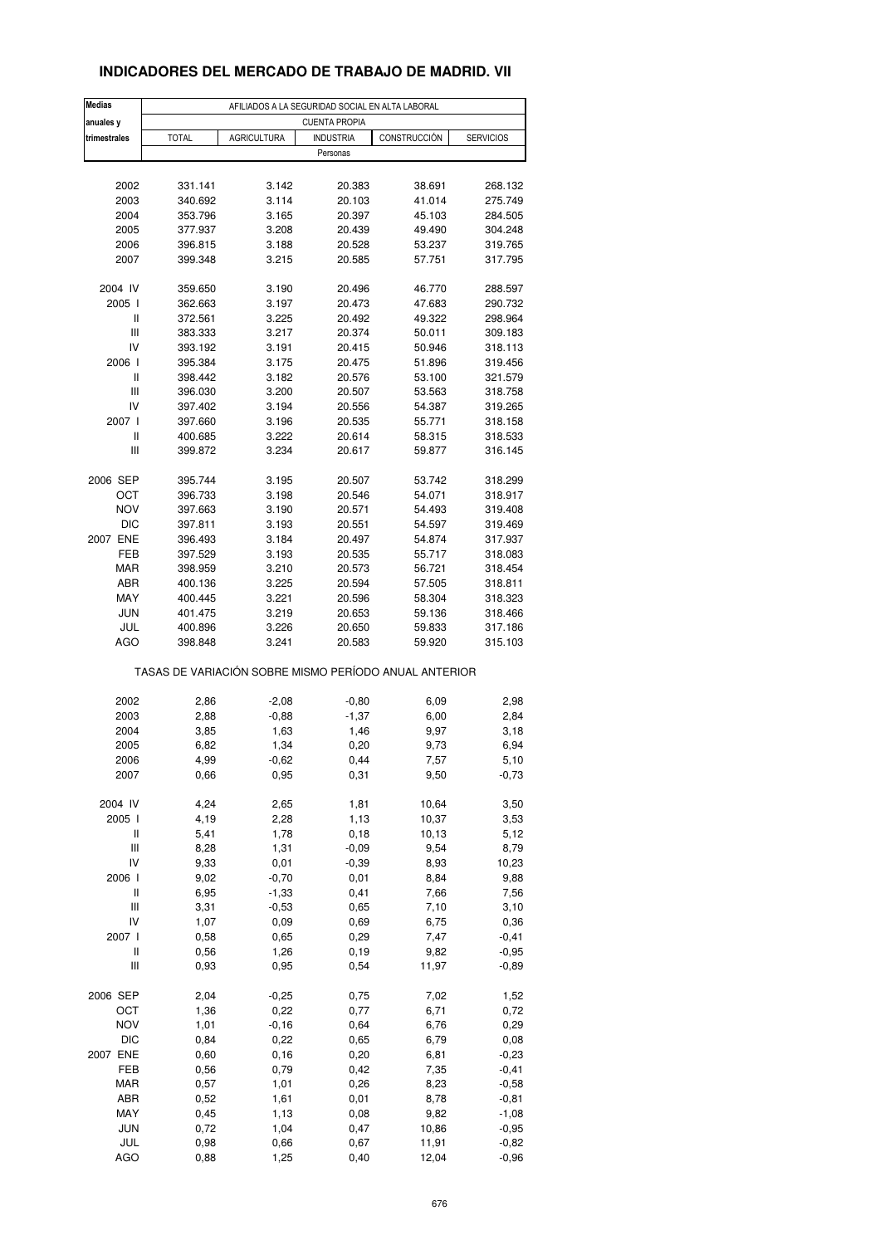### **INDICADORES DEL MERCADO DE TRABAJO DE MADRID. VII**

| <b>Medias</b><br>anuales y | AFILIADOS A LA SEGURIDAD SOCIAL EN ALTA LABORAL<br><b>CUENTA PROPIA</b> |                    |                              |        |         |  |  |
|----------------------------|-------------------------------------------------------------------------|--------------------|------------------------------|--------|---------|--|--|
| trimestrales               | <b>TOTAL</b>                                                            | CONSTRUCCIÓN       | <b>SERVICIOS</b>             |        |         |  |  |
|                            |                                                                         | <b>AGRICULTURA</b> | <b>INDUSTRIA</b><br>Personas |        |         |  |  |
|                            |                                                                         |                    |                              |        |         |  |  |
| 2002                       | 331.141                                                                 | 3.142              | 20.383                       | 38.691 | 268.132 |  |  |
| 2003                       | 340.692                                                                 | 3.114              | 20.103                       | 41.014 | 275.749 |  |  |
| 2004                       | 353.796                                                                 | 3.165              | 20.397                       | 45.103 | 284.505 |  |  |
| 2005                       | 377.937                                                                 | 3.208              | 20.439                       | 49.490 | 304.248 |  |  |
| 2006                       | 396.815                                                                 | 3.188              | 20.528                       | 53.237 | 319.765 |  |  |
| 2007                       | 399.348                                                                 | 3.215              | 20.585                       | 57.751 | 317.795 |  |  |
| 2004 IV                    | 359.650                                                                 | 3.190              | 20.496                       | 46.770 | 288.597 |  |  |
| 2005 l                     | 362.663                                                                 | 3.197              | 20.473                       | 47.683 | 290.732 |  |  |
| Ш                          | 372.561                                                                 | 3.225              | 20.492                       | 49.322 | 298.964 |  |  |
| Ш                          | 383.333                                                                 | 3.217              | 20.374                       | 50.011 | 309.183 |  |  |
| IV                         | 393.192                                                                 | 3.191              | 20.415                       | 50.946 | 318.113 |  |  |
| 2006 l                     | 395.384                                                                 | 3.175              | 20.475                       | 51.896 | 319.456 |  |  |
| Ш                          | 398.442                                                                 | 3.182              | 20.576                       | 53.100 | 321.579 |  |  |
| Ш                          | 396.030                                                                 | 3.200              | 20.507                       | 53.563 | 318.758 |  |  |
| IV                         | 397.402                                                                 | 3.194              | 20.556                       | 54.387 | 319.265 |  |  |
| 2007 l                     | 397.660                                                                 | 3.196              | 20.535                       | 55.771 | 318.158 |  |  |
| Ш                          | 400.685                                                                 | 3.222              | 20.614                       | 58.315 | 318.533 |  |  |
| Ш                          | 399.872                                                                 | 3.234              | 20.617                       | 59.877 | 316.145 |  |  |
| 2006 SEP                   | 395.744                                                                 | 3.195              | 20.507                       | 53.742 | 318.299 |  |  |
| OCT                        | 396.733                                                                 | 3.198              | 20.546                       | 54.071 | 318.917 |  |  |
| <b>NOV</b>                 | 397.663                                                                 | 3.190              | 20.571                       | 54.493 | 319.408 |  |  |
| <b>DIC</b>                 | 397.811                                                                 | 3.193              | 20.551                       | 54.597 | 319.469 |  |  |
| 2007 ENE                   | 396.493                                                                 | 3.184              | 20.497                       | 54.874 | 317.937 |  |  |
| FEB                        |                                                                         |                    |                              |        |         |  |  |
|                            | 397.529                                                                 | 3.193              | 20.535                       | 55.717 | 318.083 |  |  |
| <b>MAR</b>                 | 398.959                                                                 | 3.210              | 20.573                       | 56.721 | 318.454 |  |  |
| ABR                        | 400.136                                                                 | 3.225              | 20.594                       | 57.505 | 318.811 |  |  |
| MAY                        | 400.445                                                                 | 3.221              | 20.596                       | 58.304 | 318.323 |  |  |
| <b>JUN</b>                 | 401.475                                                                 | 3.219              | 20.653                       | 59.136 | 318.466 |  |  |
| JUL                        | 400.896                                                                 | 3.226              | 20.650                       | 59.833 | 317.186 |  |  |
| AGO                        | 398.848                                                                 | 3.241              | 20.583                       | 59.920 | 315.103 |  |  |
|                            | TASAS DE VARIACIÓN SOBRE MISMO PERÍODO ANUAL ANTERIOR                   |                    |                              |        |         |  |  |
| 2002                       | 2,86                                                                    | $-2,08$            | $-0,80$                      | 6,09   | 2,98    |  |  |
| 2003                       | 2,88                                                                    | $-0,88$            | $-1,37$                      | 6,00   | 2,84    |  |  |
| 2004                       | 3,85                                                                    | 1,63               | 1,46                         | 9,97   | 3,18    |  |  |
| 2005                       | 6,82                                                                    | 1,34               | 0,20                         | 9,73   | 6,94    |  |  |
| 2006                       | 4,99                                                                    | $-0,62$            | 0,44                         | 7,57   | 5,10    |  |  |
| 2007                       | 0,66                                                                    | 0,95               | 0,31                         | 9,50   | $-0,73$ |  |  |
| 2004 IV                    | 4,24                                                                    | 2,65               | 1,81                         | 10,64  | 3,50    |  |  |
| 2005 l                     | 4,19                                                                    | 2,28               | 1,13                         | 10,37  | 3,53    |  |  |
| Ш                          | 5,41                                                                    | 1,78               | 0, 18                        | 10,13  | 5,12    |  |  |
| Ш                          | 8,28                                                                    | 1,31               | $-0,09$                      | 9,54   | 8,79    |  |  |
| IV                         | 9,33                                                                    |                    | $-0,39$                      | 8,93   |         |  |  |
| 2006 l                     | 9,02                                                                    | 0,01<br>$-0,70$    | 0,01                         | 8,84   | 10,23   |  |  |
| $\sf II$                   |                                                                         |                    |                              |        | 9,88    |  |  |
|                            | 6,95                                                                    | $-1,33$            | 0,41                         | 7,66   | 7,56    |  |  |
| Ш                          | 3,31                                                                    | $-0,53$            | 0,65                         | 7,10   | 3,10    |  |  |
| IV                         | 1,07                                                                    | 0,09               | 0,69                         | 6,75   | 0,36    |  |  |
| 2007 l                     | 0,58                                                                    | 0,65               | 0,29                         | 7,47   | $-0,41$ |  |  |
| Ш                          | 0,56                                                                    | 1,26               | 0, 19                        | 9,82   | $-0,95$ |  |  |
| Ш                          | 0,93                                                                    | 0,95               | 0,54                         | 11,97  | $-0,89$ |  |  |
| 2006 SEP                   | 2,04                                                                    | $-0,25$            | 0,75                         | 7,02   | 1,52    |  |  |
| OCT                        | 1,36                                                                    | 0,22               | 0,77                         | 6,71   | 0,72    |  |  |
| <b>NOV</b>                 | 1,01                                                                    | $-0,16$            | 0,64                         | 6,76   | 0,29    |  |  |
| <b>DIC</b>                 | 0,84                                                                    | 0,22               | 0,65                         | 6,79   | 0,08    |  |  |
| 2007 ENE                   | 0,60                                                                    | 0, 16              | 0,20                         | 6,81   | $-0,23$ |  |  |
| FEB                        | 0,56                                                                    | 0,79               | 0,42                         | 7,35   | $-0,41$ |  |  |
| MAR                        | 0,57                                                                    | 1,01               | 0,26                         | 8,23   | $-0,58$ |  |  |
| ABR                        | 0,52                                                                    | 1,61               | 0,01                         | 8,78   | $-0,81$ |  |  |
| MAY                        | 0,45                                                                    | 1,13               | 0,08                         | 9,82   | $-1,08$ |  |  |
| <b>JUN</b>                 | 0,72                                                                    | 1,04               | 0,47                         | 10,86  | $-0,95$ |  |  |
| JUL                        | 0,98                                                                    | 0,66               | 0,67                         | 11,91  | $-0,82$ |  |  |
| <b>AGO</b>                 | 0,88                                                                    | 1,25               | 0,40                         | 12,04  | $-0,96$ |  |  |
|                            |                                                                         |                    |                              |        |         |  |  |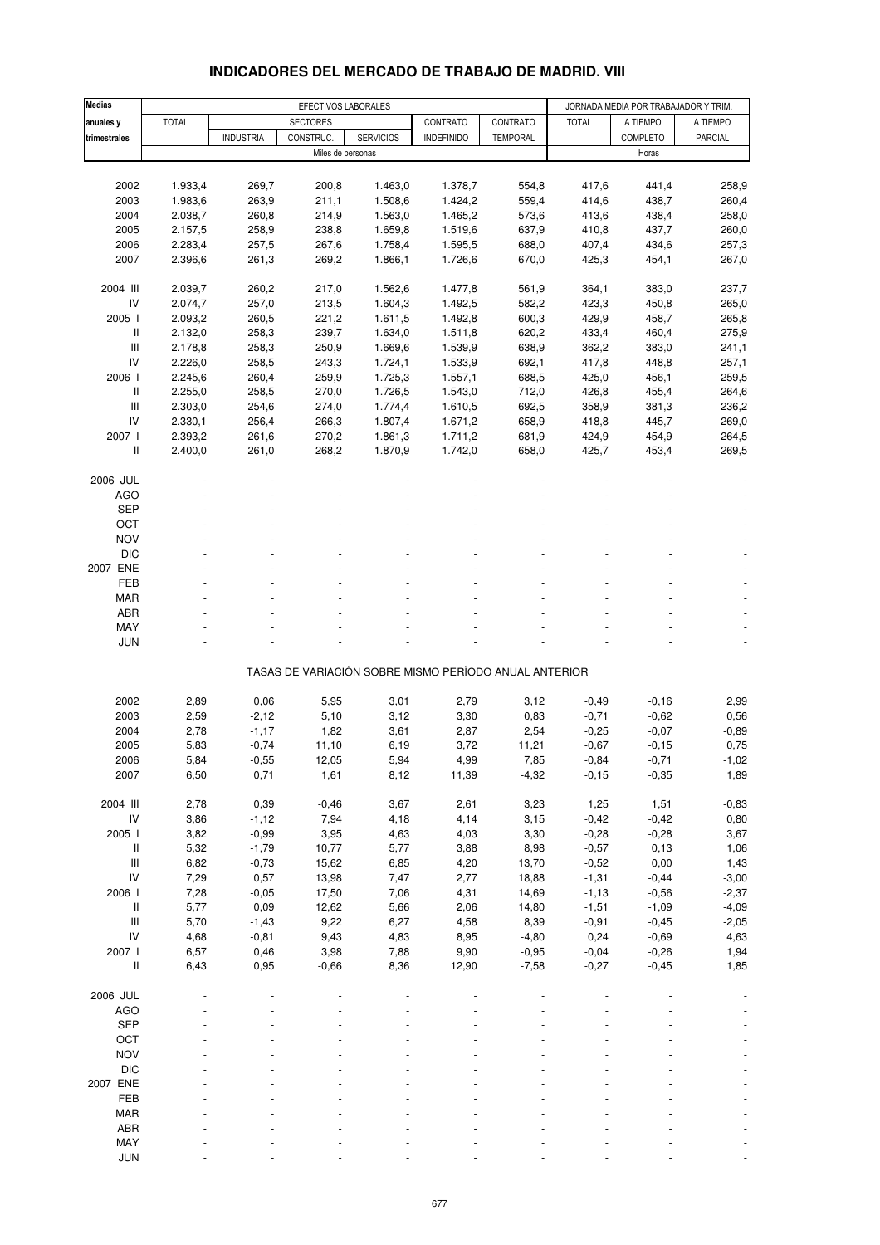| <b>Medias</b>                      |              | EFECTIVOS LABORALES |                   |                  |                                                       |                 | JORNADA MEDIA POR TRABAJADOR Y TRIM. |          |                |
|------------------------------------|--------------|---------------------|-------------------|------------------|-------------------------------------------------------|-----------------|--------------------------------------|----------|----------------|
| anuales y                          | <b>TOTAL</b> |                     | <b>SECTORES</b>   |                  | CONTRATO                                              | CONTRATO        | <b>TOTAL</b>                         | A TIEMPO | A TIEMPO       |
| trimestrales                       |              | <b>INDUSTRIA</b>    | CONSTRUC.         | <b>SERVICIOS</b> | <b>INDEFINIDO</b>                                     | <b>TEMPORAL</b> |                                      | COMPLETO | <b>PARCIAL</b> |
|                                    |              |                     | Miles de personas |                  |                                                       |                 |                                      | Horas    |                |
|                                    |              |                     |                   |                  |                                                       |                 |                                      |          |                |
| 2002                               | 1.933,4      | 269,7               | 200,8             | 1.463,0          | 1.378,7                                               | 554,8           | 417,6                                | 441,4    | 258,9          |
| 2003                               | 1.983,6      | 263,9               | 211,1             | 1.508,6          | 1.424,2                                               | 559,4           | 414,6                                | 438,7    | 260,4          |
| 2004                               | 2.038,7      | 260,8               | 214,9             | 1.563,0          | 1.465,2                                               | 573,6           | 413,6                                | 438,4    | 258,0          |
| 2005                               | 2.157,5      | 258,9               | 238,8             | 1.659,8          | 1.519,6                                               | 637,9           | 410,8                                | 437,7    | 260,0          |
|                                    |              |                     |                   |                  |                                                       |                 |                                      |          |                |
| 2006                               | 2.283,4      | 257,5               | 267,6             | 1.758,4          | 1.595,5                                               | 688,0           | 407,4                                | 434,6    | 257,3          |
| 2007                               | 2.396,6      | 261,3               | 269,2             | 1.866,1          | 1.726,6                                               | 670,0           | 425,3                                | 454,1    | 267,0          |
| 2004 III                           | 2.039,7      |                     |                   |                  |                                                       |                 |                                      |          |                |
|                                    |              | 260,2               | 217,0             | 1.562,6          | 1.477,8                                               | 561,9           | 364,1                                | 383,0    | 237,7          |
| IV                                 | 2.074,7      | 257,0               | 213,5             | 1.604,3          | 1.492,5                                               | 582,2           | 423,3                                | 450,8    | 265,0          |
| 2005                               | 2.093,2      | 260,5               | 221,2             | 1.611,5          | 1.492,8                                               | 600,3           | 429,9                                | 458,7    | 265,8          |
| II                                 | 2.132,0      | 258,3               | 239,7             | 1.634,0          | 1.511,8                                               | 620,2           | 433,4                                | 460,4    | 275,9          |
| Ш                                  | 2.178,8      | 258,3               | 250,9             | 1.669,6          | 1.539,9                                               | 638,9           | 362,2                                | 383,0    | 241,1          |
| IV                                 | 2.226,0      | 258,5               | 243,3             | 1.724,1          | 1.533,9                                               | 692,1           | 417,8                                | 448,8    | 257,1          |
| 2006                               | 2.245,6      | 260,4               | 259,9             | 1.725,3          | 1.557,1                                               | 688,5           | 425,0                                | 456,1    | 259,5          |
| Ш                                  | 2.255,0      | 258,5               | 270,0             | 1.726,5          | 1.543,0                                               | 712,0           | 426,8                                | 455,4    | 264,6          |
| $\ensuremath{\mathsf{III}}\xspace$ | 2.303,0      | 254,6               | 274,0             | 1.774,4          | 1.610,5                                               | 692,5           | 358,9                                | 381,3    | 236,2          |
| IV                                 | 2.330,1      | 256,4               | 266,3             | 1.807,4          | 1.671,2                                               | 658,9           | 418,8                                | 445,7    | 269,0          |
| 2007 l                             | 2.393,2      | 261,6               | 270,2             | 1.861,3          | 1.711,2                                               | 681,9           | 424,9                                | 454,9    | 264,5          |
| $\,$ $\,$ $\,$                     | 2.400,0      | 261,0               | 268,2             | 1.870,9          | 1.742.0                                               | 658,0           | 425,7                                | 453,4    | 269,5          |
|                                    |              |                     |                   |                  |                                                       |                 |                                      |          |                |
| 2006 JUL                           |              |                     |                   |                  |                                                       |                 |                                      |          |                |
| <b>AGO</b>                         |              |                     |                   |                  |                                                       |                 |                                      |          |                |
| <b>SEP</b>                         |              |                     |                   |                  |                                                       |                 |                                      |          |                |
| OCT                                |              |                     |                   |                  |                                                       |                 |                                      |          |                |
| <b>NOV</b>                         |              |                     |                   |                  |                                                       |                 |                                      |          |                |
| <b>DIC</b>                         |              |                     |                   |                  |                                                       |                 |                                      |          |                |
| 2007 ENE                           |              |                     |                   |                  |                                                       |                 |                                      |          |                |
| FEB                                |              |                     |                   |                  |                                                       |                 |                                      |          |                |
| MAR                                |              |                     |                   |                  |                                                       |                 |                                      |          |                |
| ABR                                |              |                     |                   |                  |                                                       |                 |                                      |          |                |
| MAY                                |              |                     |                   |                  |                                                       |                 |                                      |          |                |
| <b>JUN</b>                         |              |                     |                   |                  |                                                       |                 |                                      |          |                |
|                                    |              |                     |                   |                  |                                                       |                 |                                      |          |                |
|                                    |              |                     |                   |                  | TASAS DE VARIACIÓN SOBRE MISMO PERÍODO ANUAL ANTERIOR |                 |                                      |          |                |
|                                    |              |                     |                   |                  |                                                       |                 |                                      |          |                |
| 2002                               | 2,89         | 0,06                | 5,95              | 3,01             | 2,79                                                  | 3,12            | $-0,49$                              | $-0,16$  | 2,99           |
| 2003                               | 2,59         | $-2,12$             | 5,10              | 3,12             | 3,30                                                  | 0,83            | $-0,71$                              | $-0,62$  | 0,56           |
| 2004                               | 2,78         | $-1,17$             | 1,82              | 3,61             | 2,87                                                  | 2,54            | $-0,25$                              | $-0,07$  | $-0,89$        |
| 2005                               | 5,83         | $-0,74$             | 11,10             | 6,19             | 3,72                                                  | 11,21           | $-0,67$                              | $-0,15$  | 0,75           |
| 2006                               | 5,84         | -0,55               | 12,05             | 5,94             | 4,99                                                  | 7,85            | $-0,84$                              | -0,71    | $-1,02$        |
| 2007                               | 6,50         | 0,71                | 1,61              | 8,12             | 11,39                                                 | $-4,32$         | $-0, 15$                             | $-0,35$  | 1,89           |
|                                    |              |                     |                   |                  |                                                       |                 |                                      |          |                |
| 2004 III                           | 2,78         | 0,39                | $-0,46$           | 3,67             | 2,61                                                  | 3,23            | 1,25                                 | 1,51     | $-0,83$        |
| ${\sf IV}$                         | 3,86         | $-1,12$             | 7,94              | 4,18             | 4,14                                                  | 3,15            | $-0,42$                              | $-0,42$  | 0,80           |
| 2005 l                             | 3,82         | $-0,99$             | 3,95              | 4,63             | 4,03                                                  | 3,30            | $-0,28$                              | $-0,28$  | 3,67           |
| Ш                                  | 5,32         | $-1,79$             | 10,77             | 5,77             | 3,88                                                  | 8,98            | $-0,57$                              | 0, 13    | 1,06           |
| $\ensuremath{\mathsf{III}}\xspace$ | 6,82         | $-0,73$             | 15,62             | 6,85             | 4,20                                                  | 13,70           | $-0,52$                              | 0,00     | 1,43           |
| IV                                 | 7,29         | 0,57                | 13,98             | 7,47             | 2,77                                                  | 18,88           | $-1,31$                              | $-0,44$  | $-3,00$        |
| 2006                               | 7,28         | $-0,05$             | 17,50             | 7,06             | 4,31                                                  | 14,69           | $-1,13$                              | $-0,56$  | $-2,37$        |
| II                                 |              |                     |                   |                  |                                                       |                 |                                      |          |                |
|                                    | 5,77         | 0,09                | 12,62             | 5,66             | 2,06                                                  | 14,80           | $-1,51$                              | $-1,09$  | $-4,09$        |
| III                                | 5,70         | $-1,43$             | 9,22              | 6,27             | 4,58                                                  | 8,39            | $-0,91$                              | $-0,45$  | $-2,05$        |
| ${\sf IV}$                         | 4,68         | $-0,81$             | 9,43              | 4,83             | 8,95                                                  | $-4,80$         | 0,24                                 | $-0,69$  | 4,63           |
| 2007 l                             | 6,57         | 0,46                | 3,98              | 7,88             | 9,90                                                  | $-0,95$         | $-0,04$                              | $-0,26$  | 1,94           |
| II                                 | 6,43         | 0,95                | $-0,66$           | 8,36             | 12,90                                                 | $-7,58$         | $-0,27$                              | $-0,45$  | 1,85           |
|                                    |              |                     |                   |                  |                                                       |                 |                                      |          |                |
| 2006 JUL                           |              |                     |                   |                  |                                                       |                 |                                      |          |                |
| <b>AGO</b>                         |              |                     |                   |                  |                                                       |                 |                                      |          |                |
| <b>SEP</b>                         |              |                     |                   |                  |                                                       |                 |                                      |          |                |
| OCT                                |              |                     |                   |                  |                                                       |                 |                                      |          |                |
| <b>NOV</b>                         |              |                     |                   |                  |                                                       |                 |                                      |          |                |
| $\mathsf{DIC}$                     |              |                     |                   |                  |                                                       |                 |                                      |          |                |
| 2007 ENE                           |              |                     |                   |                  |                                                       |                 |                                      |          |                |
| FEB                                |              |                     |                   |                  |                                                       |                 |                                      |          |                |
| MAR                                |              |                     |                   |                  |                                                       |                 |                                      |          |                |
| ABR                                |              |                     |                   |                  |                                                       |                 |                                      |          |                |
| MAY                                |              |                     |                   |                  |                                                       |                 |                                      |          |                |
| <b>JUN</b>                         |              |                     |                   |                  |                                                       |                 |                                      |          |                |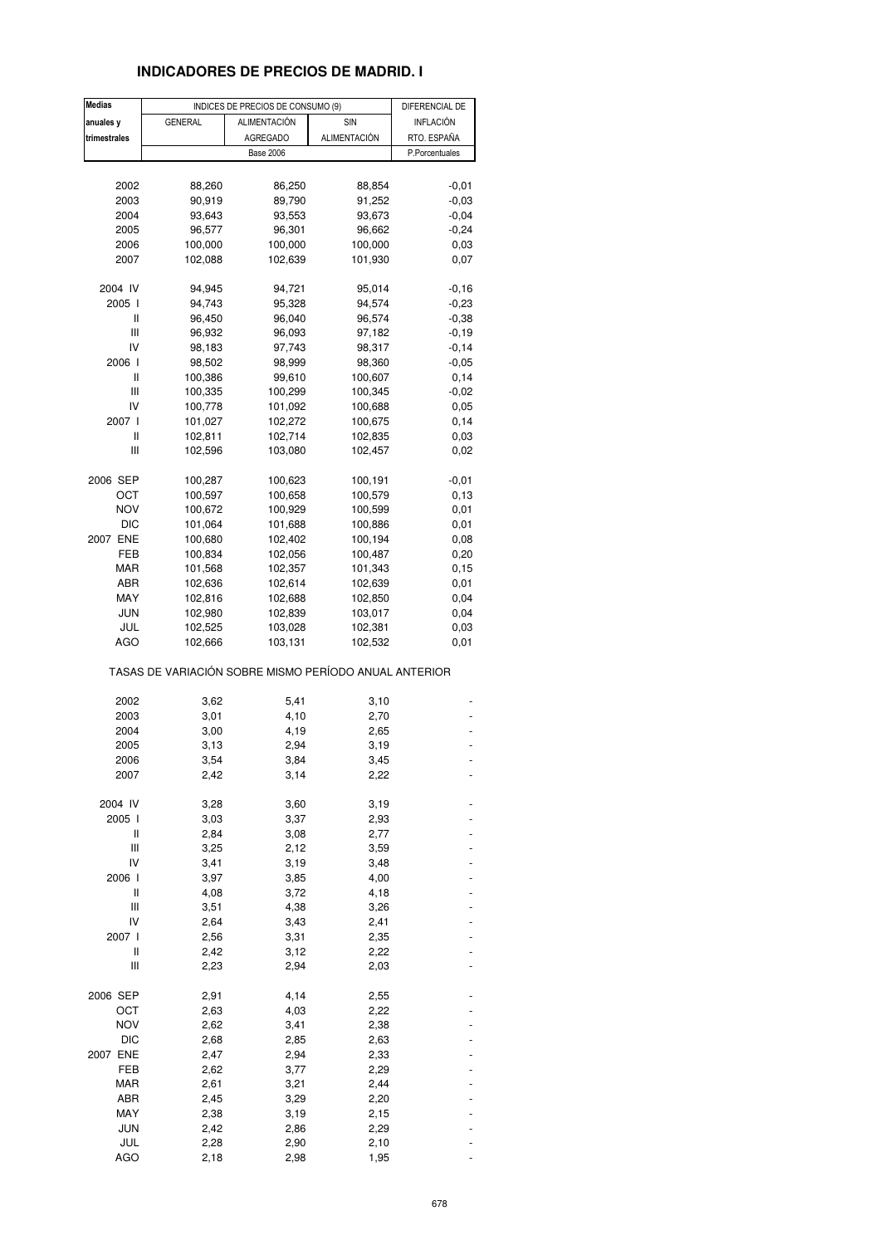### **INDICADORES DE PRECIOS DE MADRID. I**

| <b>Medias</b> |                                                       | INDICES DE PRECIOS DE CONSUMO (9) | DIFERENCIAL DE |                |
|---------------|-------------------------------------------------------|-----------------------------------|----------------|----------------|
| anuales y     | <b>GENERAL</b>                                        | <b>ALIMENTACIÓN</b>               | SIN            | INFLACIÓN      |
| trimestrales  |                                                       | AGREGADO                          | ALIMENTACIÓN   | RTO. ESPAÑA    |
|               |                                                       | <b>Base 2006</b>                  |                | P.Porcentuales |
|               |                                                       |                                   |                |                |
| 2002          | 88,260                                                | 86,250                            | 88,854         | $-0,01$        |
| 2003          | 90,919                                                | 89,790                            | 91,252         | $-0,03$        |
| 2004          | 93,643                                                | 93,553                            | 93,673         | $-0,04$        |
| 2005          | 96,577                                                | 96,301                            | 96,662         | $-0,24$        |
| 2006          | 100,000                                               | 100,000                           | 100,000        | 0,03           |
| 2007          | 102,088                                               | 102,639                           | 101,930        | 0,07           |
|               |                                                       |                                   |                |                |
| 2004 IV       | 94,945                                                | 94,721                            | 95,014         | $-0,16$        |
| 2005 l        | 94,743                                                | 95,328                            | 94,574         | $-0,23$        |
| Ш             | 96,450                                                | 96,040                            | 96,574         | $-0,38$        |
| Ш             | 96,932                                                | 96,093                            | 97,182         | $-0,19$        |
| IV            | 98,183                                                | 97,743                            | 98,317         | $-0,14$        |
| 2006 l        | 98,502                                                | 98,999                            | 98,360         | $-0,05$        |
| Ш             | 100,386                                               | 99,610                            | 100,607        | 0,14           |
| Ш             | 100,335                                               | 100,299                           | 100,345        | $-0,02$        |
| IV            | 100,778                                               | 101,092                           | 100,688        | 0,05           |
| 2007 l        | 101,027                                               | 102,272                           | 100,675        | 0,14           |
| Ш             |                                                       | 102,714                           |                |                |
|               | 102,811                                               |                                   | 102,835        | 0,03           |
| Ш             | 102,596                                               | 103,080                           | 102,457        | 0,02           |
| 2006 SEP      | 100,287                                               | 100,623                           | 100,191        | $-0,01$        |
| ост           | 100,597                                               | 100,658                           | 100,579        | 0,13           |
| <b>NOV</b>    | 100,672                                               | 100,929                           | 100,599        | 0,01           |
| <b>DIC</b>    | 101,064                                               | 101,688                           | 100,886        | 0,01           |
| 2007 ENE      | 100,680                                               | 102,402                           | 100,194        | 0,08           |
| FEB           |                                                       |                                   |                | 0,20           |
|               | 100,834                                               | 102,056                           | 100,487        |                |
| MAR           | 101,568                                               | 102,357                           | 101,343        | 0,15           |
| ABR           | 102,636                                               | 102,614                           | 102,639        | 0,01           |
| MAY           | 102,816                                               | 102,688                           | 102,850        | 0,04           |
| <b>JUN</b>    | 102,980                                               | 102,839                           | 103,017        | 0,04           |
| JUL           | 102,525                                               | 103,028                           | 102,381        | 0,03           |
| <b>AGO</b>    | 102,666                                               | 103,131                           | 102,532        | 0,01           |
|               | TASAS DE VARIACIÓN SOBRE MISMO PERÍODO ANUAL ANTERIOR |                                   |                |                |
| 2002          | 3,62                                                  | 5,41                              | 3,10           |                |
| 2003          | 3,01                                                  | 4,10                              | 2,70           |                |
| 2004          | 3,00                                                  | 4,19                              | 2,65           |                |
| 2005          | 3,13                                                  | 2,94                              | 3,19           |                |
|               |                                                       |                                   |                |                |
| 2006          | 3,54                                                  | 3,84                              | 3,45           |                |
| 2007          | 2,42                                                  | 3,14                              | 2,22           |                |
| 2004 IV       | 3,28                                                  | 3,60                              | 3,19           |                |
| 2005 l        | 3,03                                                  | 3,37                              | 2,93           |                |
| Ш             | 2,84                                                  | 3,08                              | 2,77           |                |
| Ш             | 3,25                                                  | 2,12                              | 3,59           |                |
| IV            | 3,41                                                  | 3,19                              | 3,48           |                |
| 2006 l        | 3,97                                                  | 3,85                              | 4,00           |                |
| Ш             | 4,08                                                  | 3,72                              | 4,18           |                |
| Ш             | 3,51                                                  | 4,38                              | 3,26           |                |
| IV            | 2,64                                                  | 3,43                              | 2,41           |                |
| 2007 l        | 2,56                                                  | 3,31                              | 2,35           |                |
| Ш             |                                                       |                                   |                |                |
| Ш             | 2,42<br>2,23                                          | 3,12<br>2,94                      | 2,22<br>2,03   |                |
|               |                                                       |                                   |                |                |
| 2006 SEP      | 2,91                                                  | 4,14                              | 2,55           |                |
| ост           | 2,63                                                  | 4,03                              | 2,22           |                |
| <b>NOV</b>    | 2,62                                                  | 3,41                              | 2,38           |                |
| DIC           | 2,68                                                  | 2,85                              | 2,63           |                |
| 2007 ENE      | 2,47                                                  | 2,94                              | 2,33           |                |
| FEB           | 2,62                                                  | 3,77                              | 2,29           |                |
| MAR           | 2,61                                                  | 3,21                              | 2,44           |                |
| ABR           | 2,45                                                  | 3,29                              | 2,20           |                |
| MAY           | 2,38                                                  | 3,19                              | 2,15           |                |
| JUN           | 2,42                                                  | 2,86                              | 2,29           |                |
| JUL           | 2,28                                                  | 2,90                              | 2,10           |                |
| <b>AGO</b>    | 2,18                                                  | 2,98                              | 1,95           |                |
|               |                                                       |                                   |                |                |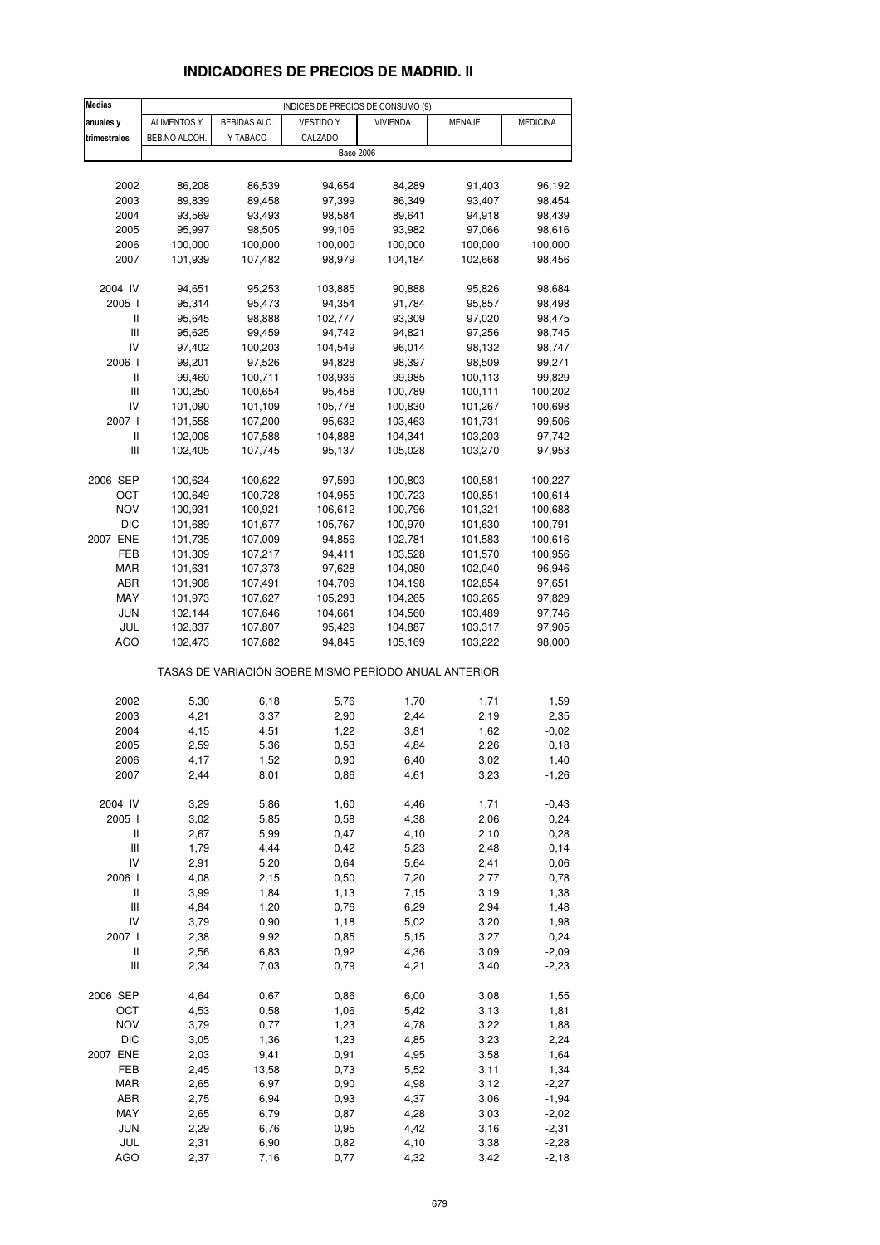# **INDICADORES DE PRECIOS DE MADRID. II**

| <b>Medias</b>                      | INDICES DE PRECIOS DE CONSUMO (9) |                     |                                                       |                 |               |                    |  |
|------------------------------------|-----------------------------------|---------------------|-------------------------------------------------------|-----------------|---------------|--------------------|--|
| anuales y                          | ALIMENTOS Y                       | <b>BEBIDAS ALC.</b> | <b>VESTIDO Y</b>                                      | <b>VIVIENDA</b> | <b>MENAJE</b> | <b>MEDICINA</b>    |  |
| trimestrales                       | BEB.NO ALCOH.                     | Y TABACO            | CALZADO                                               |                 |               |                    |  |
|                                    |                                   |                     | <b>Base 2006</b>                                      |                 |               |                    |  |
|                                    |                                   |                     |                                                       |                 |               |                    |  |
| 2002                               | 86,208                            | 86,539              | 94,654                                                | 84,289          | 91,403        | 96,192             |  |
| 2003                               | 89,839                            | 89,458              | 97,399                                                | 86,349          | 93,407        | 98,454             |  |
| 2004                               | 93,569                            | 93,493              | 98,584                                                | 89,641          | 94,918        | 98,439             |  |
| 2005                               | 95,997                            | 98,505              | 99,106                                                | 93,982          | 97,066        | 98,616             |  |
| 2006                               | 100,000                           | 100,000             | 100,000                                               | 100,000         | 100,000       | 100,000            |  |
| 2007                               | 101,939                           | 107,482             | 98,979                                                | 104,184         | 102,668       | 98,456             |  |
|                                    |                                   |                     |                                                       |                 |               |                    |  |
| 2004 IV                            | 94,651                            | 95,253              | 103,885                                               | 90,888          | 95,826        | 98,684             |  |
| 2005 l                             | 95,314                            | 95,473              | 94,354                                                | 91,784          | 95,857        | 98,498             |  |
| Ш                                  | 95,645                            | 98,888              | 102,777                                               | 93,309          | 97,020        | 98,475             |  |
| $\mathsf{III}$                     | 95,625                            | 99,459              | 94,742                                                | 94,821          | 97,256        | 98,745             |  |
| IV                                 | 97,402                            | 100,203             | 104,549                                               | 96,014          | 98,132        | 98,747             |  |
| 2006                               | 99,201                            | 97,526              | 94,828                                                | 98,397          | 98,509        | 99,271             |  |
| Ш                                  | 99,460                            | 100,711             | 103,936                                               | 99,985          | 100,113       | 99,829             |  |
| $\mathsf{III}$                     | 100,250                           | 100,654             | 95,458                                                | 100,789         | 100,111       | 100,202            |  |
| IV                                 | 101,090                           | 101,109             | 105,778                                               | 100,830         | 101,267       | 100,698            |  |
| 2007 l                             | 101,558                           | 107,200             | 95,632                                                | 103,463         | 101,731       | 99,506             |  |
| Ш                                  | 102,008                           | 107,588             | 104,888                                               | 104,341         | 103,203       | 97,742             |  |
| $\ensuremath{\mathsf{III}}\xspace$ | 102,405                           | 107,745             | 95,137                                                | 105,028         | 103,270       | 97,953             |  |
|                                    |                                   |                     |                                                       |                 |               |                    |  |
| 2006 SEP                           | 100,624                           | 100,622             | 97,599                                                | 100,803         | 100,581       | 100,227            |  |
| ост                                | 100,649                           | 100,728             | 104,955                                               | 100,723         | 100,851       | 100,614            |  |
| <b>NOV</b>                         | 100,931                           | 100,921             | 106,612                                               | 100,796         | 101,321       | 100,688            |  |
| DIC                                | 101,689                           | 101,677             | 105,767                                               | 100,970         | 101,630       | 100,791            |  |
| 2007 ENE                           | 101,735                           | 107,009             | 94,856                                                | 102,781         | 101,583       | 100,616            |  |
| FEB                                | 101,309                           | 107,217             | 94,411                                                | 103,528         | 101,570       | 100,956            |  |
| MAR                                | 101,631                           | 107,373             | 97,628                                                | 104,080         | 102,040       | 96,946             |  |
| ABR                                | 101,908                           | 107,491             | 104,709                                               | 104,198         | 102,854       | 97,651             |  |
| MAY                                | 101,973                           | 107,627             | 105,293                                               | 104,265         | 103,265       | 97,829             |  |
| JUN                                | 102,144                           | 107,646             | 104,661                                               | 104,560         | 103,489       | 97,746             |  |
| JUL                                | 102,337                           | 107,807             | 95,429                                                | 104,887         | 103,317       | 97,905             |  |
| AGO                                | 102,473                           | 107,682             | 94,845                                                | 105,169         | 103,222       | 98,000             |  |
|                                    |                                   |                     |                                                       |                 |               |                    |  |
|                                    |                                   |                     | TASAS DE VARIACIÓN SOBRE MISMO PERÍODO ANUAL ANTERIOR |                 |               |                    |  |
|                                    |                                   |                     |                                                       |                 |               |                    |  |
| 2002                               | 5,30                              | 6,18                | 5,76                                                  | 1,70            | 1,71          | 1,59               |  |
| 2003                               | 4,21                              | 3,37                | 2,90                                                  | 2,44            | 2,19          | 2,35               |  |
| 2004                               | 4,15                              | 4,51                | 1,22                                                  | 3,81            | 1,62          | $-0,02$            |  |
| 2005                               | 2,59                              | 5,36                | 0,53                                                  | 4,84            | 2,26          | 0, 18              |  |
| 2006                               | 4,17                              | 1,52                | 0,90                                                  | 6,40            | 3,02          | 1,40               |  |
| 2007                               | 2,44                              | 8,01                | 0,86                                                  | 4,61            | 3,23          | $-1,26$            |  |
|                                    |                                   |                     |                                                       |                 |               |                    |  |
| 2004 IV                            | 3,29                              | 5,86                | 1,60                                                  | 4,46            | 1,71          | $-0,43$            |  |
| 2005 l                             | 3,02                              | 5,85                | 0,58                                                  | 4,38            | 2,06          | 0,24               |  |
| Ш                                  | 2,67                              | 5,99                | 0,47                                                  | 4,10            | 2,10          | 0,28               |  |
| $\ensuremath{\mathsf{III}}\xspace$ | 1,79                              | 4,44                | 0,42                                                  | 5,23            | 2,48          | 0,14               |  |
| IV                                 | 2,91                              | 5,20                | 0,64                                                  | 5,64            | 2,41          | 0,06               |  |
| 2006                               | 4,08                              | 2,15                | 0,50                                                  | 7,20            | 2,77          | 0,78               |  |
| $\sf II$                           | 3,99                              | 1,84                | 1,13                                                  | 7,15            | 3,19          | 1,38               |  |
| $\ensuremath{\mathsf{III}}\xspace$ | 4,84                              | 1,20                | 0,76                                                  | 6,29            | 2,94          | 1,48               |  |
| IV                                 | 3,79                              | 0,90                | 1,18                                                  | 5,02            | 3,20          | 1,98               |  |
| 2007 l                             | 2,38                              | 9,92                | 0,85                                                  | 5,15            | 3,27          | 0,24               |  |
| $\sf II$                           | 2,56                              | 6,83                | 0,92                                                  | 4,36            | 3,09          | $-2,09$            |  |
| Ш                                  | 2,34                              | 7,03                | 0,79                                                  | 4,21            | 3,40          | $-2,23$            |  |
| 2006 SEP                           | 4,64                              | 0,67                | 0,86                                                  | 6,00            | 3,08          | 1,55               |  |
| OCT                                |                                   | 0,58                | 1,06                                                  | 5,42            |               |                    |  |
|                                    | 4,53                              |                     |                                                       |                 | 3,13          | 1,81               |  |
| <b>NOV</b><br><b>DIC</b>           | 3,79<br>3,05                      | 0,77<br>1,36        | 1,23<br>1,23                                          | 4,78<br>4,85    | 3,22<br>3,23  | 1,88<br>2,24       |  |
| 2007 ENE                           | 2,03                              | 9,41                |                                                       | 4,95            | 3,58          | 1,64               |  |
| FEB                                | 2,45                              | 13,58               | 0,91<br>0,73                                          | 5,52            | 3,11          |                    |  |
|                                    |                                   |                     |                                                       |                 |               | 1,34               |  |
| <b>MAR</b>                         | 2,65<br>2,75                      | 6,97<br>6,94        | 0,90                                                  | 4,98            | 3,12          | $-2,27$            |  |
| ABR                                |                                   |                     | 0,93                                                  | 4,37            | 3,06          | $-1,94$            |  |
| MAY                                | 2,65                              | 6,79                | 0,87                                                  | 4,28            | 3,03          | $-2,02$            |  |
| JUN                                | 2,29                              | 6,76                | 0,95                                                  | 4,42            | 3,16          | $-2,31$            |  |
| JUL<br><b>AGO</b>                  | 2,31<br>2,37                      | 6,90<br>7,16        | 0,82<br>0,77                                          | 4,10<br>4,32    | 3,38<br>3,42  | $-2,28$<br>$-2,18$ |  |
|                                    |                                   |                     |                                                       |                 |               |                    |  |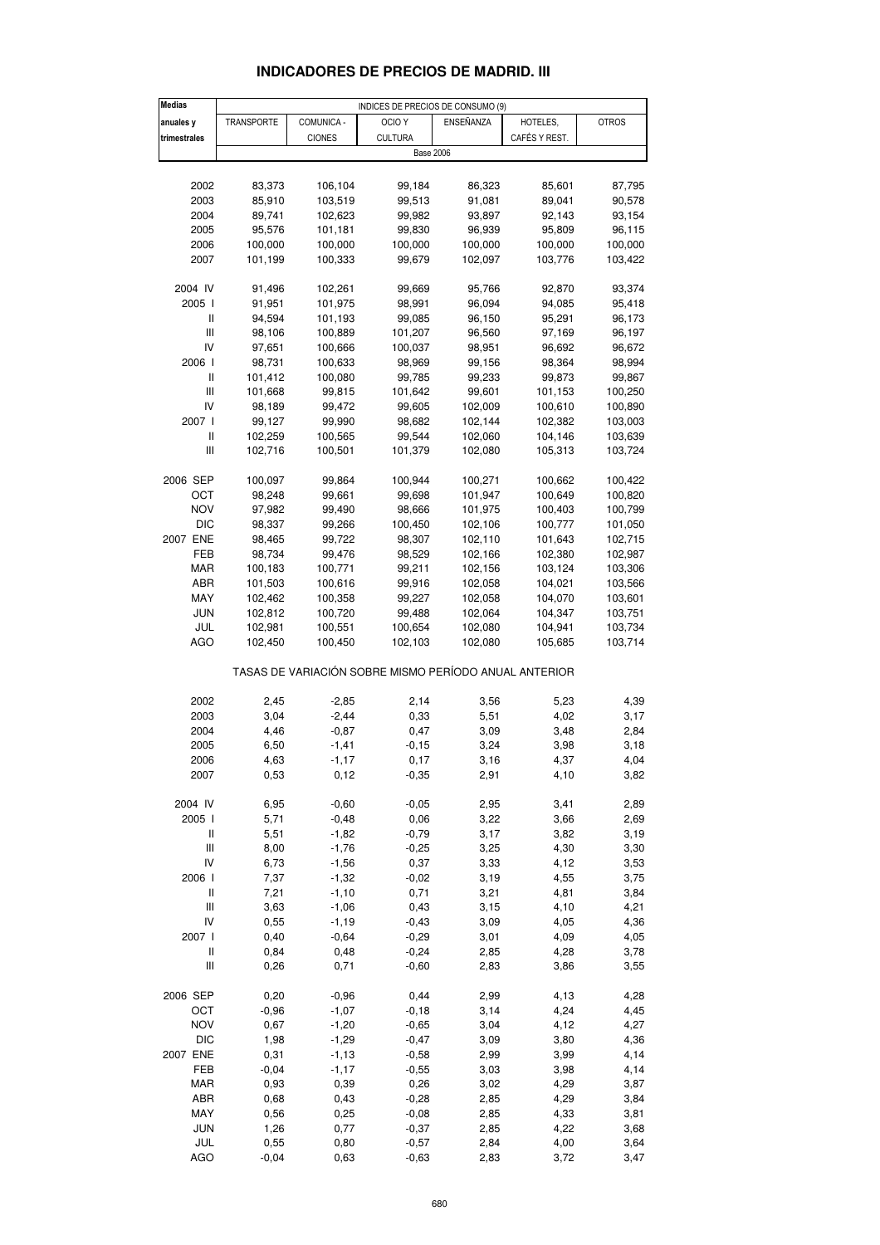| <b>Medias</b>                         |                   |                    | INDICES DE PRECIOS DE CONSUMO (9)                     |                    |               |                    |
|---------------------------------------|-------------------|--------------------|-------------------------------------------------------|--------------------|---------------|--------------------|
| anuales y                             | <b>TRANSPORTE</b> | COMUNICA -         | OCIO <sub>Y</sub>                                     | ENSEÑANZA          | HOTELES,      | <b>OTROS</b>       |
| trimestrales                          |                   | <b>CIONES</b>      | <b>CULTURA</b>                                        |                    | CAFÉS Y REST. |                    |
|                                       |                   |                    | <b>Base 2006</b>                                      |                    |               |                    |
|                                       |                   |                    |                                                       |                    |               |                    |
| 2002                                  | 83,373            | 106,104            | 99,184                                                | 86,323             | 85,601        | 87,795             |
| 2003                                  | 85,910            | 103,519            | 99,513                                                | 91,081             | 89,041        | 90,578             |
| 2004                                  | 89,741            | 102,623            | 99,982                                                | 93,897             | 92,143        | 93,154             |
| 2005                                  | 95,576            | 101,181            | 99,830                                                | 96,939             | 95,809        | 96,115             |
| 2006                                  | 100,000           | 100,000            | 100,000                                               | 100,000            | 100,000       | 100,000            |
| 2007                                  | 101,199           | 100,333            | 99,679                                                | 102,097            | 103,776       | 103,422            |
|                                       |                   |                    |                                                       |                    |               |                    |
| 2004 IV                               | 91,496            | 102,261            | 99,669                                                | 95,766             | 92,870        | 93,374             |
| 2005 l                                | 91,951            | 101,975            | 98,991                                                | 96,094             | 94,085        | 95,418             |
| Ш                                     | 94,594            | 101,193            | 99,085                                                | 96,150             | 95,291        | 96,173             |
| Ш                                     | 98,106            | 100,889            | 101,207                                               | 96,560             | 97,169        | 96,197             |
| IV                                    | 97,651            | 100,666            | 100,037                                               | 98,951             | 96,692        | 96,672             |
| 2006                                  | 98,731            | 100,633            | 98,969                                                | 99,156             | 98,364        | 98,994             |
| Ш                                     | 101,412           | 100,080            | 99,785                                                | 99,233             | 99,873        | 99,867             |
| Ш                                     | 101,668           | 99,815             | 101,642                                               | 99,601             | 101,153       | 100,250            |
| IV                                    | 98,189            | 99,472             | 99,605                                                | 102,009            | 100,610       | 100,890            |
| 2007 l                                | 99,127            | 99,990             | 98,682                                                | 102,144            | 102,382       | 103,003            |
| Ш                                     | 102,259           | 100,565            | 99,544                                                | 102,060            | 104,146       | 103,639            |
| $\begin{array}{c} \hline \end{array}$ | 102,716           | 100,501            | 101,379                                               | 102,080            | 105,313       | 103,724            |
| 2006 SEP                              | 100,097           | 99,864             | 100,944                                               | 100,271            | 100,662       | 100,422            |
| ОСТ                                   | 98,248            | 99,661             | 99,698                                                | 101,947            | 100,649       | 100,820            |
| <b>NOV</b>                            | 97,982            | 99,490             | 98,666                                                | 101,975            | 100,403       | 100,799            |
| <b>DIC</b>                            | 98,337            | 99,266             | 100,450                                               | 102,106            | 100,777       | 101,050            |
| 2007 ENE                              | 98,465            | 99,722             | 98,307                                                | 102,110            | 101,643       | 102,715            |
| FEB                                   | 98,734            | 99,476             | 98,529                                                | 102,166            | 102,380       | 102,987            |
| MAR                                   | 100,183           | 100,771            | 99,211                                                | 102,156            | 103,124       | 103,306            |
| ABR                                   | 101,503           |                    |                                                       |                    | 104,021       |                    |
| MAY                                   | 102,462           | 100,616<br>100,358 | 99,916<br>99,227                                      | 102,058<br>102,058 | 104,070       | 103,566<br>103,601 |
| JUN                                   | 102,812           | 100,720            | 99,488                                                | 102,064            | 104,347       | 103,751            |
| JUL                                   | 102,981           | 100,551            | 100,654                                               | 102,080            | 104,941       | 103,734            |
| AGO                                   | 102,450           | 100,450            | 102,103                                               | 102,080            | 105,685       | 103,714            |
|                                       |                   |                    |                                                       |                    |               |                    |
|                                       |                   |                    | TASAS DE VARIACIÓN SOBRE MISMO PERÍODO ANUAL ANTERIOR |                    |               |                    |
|                                       |                   |                    |                                                       |                    |               |                    |
| 2002                                  | 2,45              | $-2,85$            | 2,14                                                  | 3,56               | 5,23          | 4,39               |
| 2003                                  | 3,04              | $-2,44$            | 0,33                                                  | 5,51               | 4,02          | 3,17               |
| 2004                                  | 4,46              | $-0,87$            | 0,47                                                  | 3,09               | 3,48          | 2,84               |
| 2005                                  | 6,50              | $-1,41$            | $-0, 15$                                              | 3,24               | 3,98          | 3,18               |
| 2006                                  | 4,63              | -1,17              | 0,17                                                  | 3,16               | 4,37          | 4,04               |
| 2007                                  | 0,53              | 0,12               | $-0,35$                                               | 2,91               | 4,10          | 3,82               |
| 2004 IV                               | 6,95              | $-0,60$            | $-0,05$                                               | 2,95               | 3,41          | 2,89               |
| 2005 l                                | 5,71              | $-0,48$            | 0,06                                                  | 3,22               | 3,66          | 2,69               |
| Ш                                     | 5,51              | $-1,82$            | $-0,79$                                               | 3,17               | 3,82          | 3,19               |
| Ш                                     | 8,00              | $-1,76$            | $-0,25$                                               | 3,25               | 4,30          | 3,30               |
| IV                                    | 6,73              | $-1,56$            | 0,37                                                  | 3,33               | 4,12          | 3,53               |
| 2006 l                                | 7,37              | $-1,32$            | $-0,02$                                               | 3,19               | 4,55          | 3,75               |
| $\sf II$                              | 7,21              | $-1,10$            | 0,71                                                  | 3,21               | 4,81          | 3,84               |
| Ш                                     | 3,63              | $-1,06$            | 0,43                                                  | 3,15               | 4,10          | 4,21               |
| IV                                    | 0,55              | $-1, 19$           | $-0,43$                                               | 3,09               | 4,05          | 4,36               |
| 2007 l                                | 0,40              | $-0,64$            | $-0,29$                                               | 3,01               | 4,09          | 4,05               |
| $\sf II$                              | 0,84              | 0,48               | $-0,24$                                               | 2,85               | 4,28          | 3,78               |
| Ш                                     | 0,26              | 0,71               | $-0,60$                                               | 2,83               | 3,86          | 3,55               |
|                                       |                   |                    |                                                       |                    |               |                    |
| 2006 SEP                              | 0,20              | $-0,96$            | 0,44                                                  | 2,99               | 4,13          | 4,28               |
| OCT                                   | $-0,96$           | $-1,07$            | $-0,18$                                               | 3,14               | 4,24          | 4,45               |
| <b>NOV</b>                            | 0,67              | $-1,20$            | $-0,65$                                               | 3,04               | 4,12          | 4,27               |
| <b>DIC</b>                            | 1,98              | $-1,29$            | $-0,47$                                               | 3,09               | 3,80          | 4,36               |
| 2007 ENE                              | 0,31              | $-1, 13$           | $-0,58$                                               | 2,99               | 3,99          | 4,14               |
| FEB                                   | $-0,04$           | $-1,17$            | $-0,55$                                               | 3,03               | 3,98          | 4,14               |
| <b>MAR</b>                            | 0,93              | 0,39               | 0,26                                                  | 3,02               | 4,29          | 3,87               |
| ABR                                   | 0,68              | 0,43               | $-0,28$                                               | 2,85               | 4,29          | 3,84               |
| MAY                                   | 0,56              | 0,25               | $-0,08$                                               | 2,85               | 4,33          | 3,81               |
| JUN                                   | 1,26              | 0,77               | $-0,37$                                               | 2,85               | 4,22          | 3,68               |
| JUL                                   | 0,55              | 0,80               | $-0,57$                                               | 2,84               | 4,00          | 3,64               |
| <b>AGO</b>                            | $-0,04$           | 0,63               | $-0,63$                                               | 2,83               | 3,72          | 3,47               |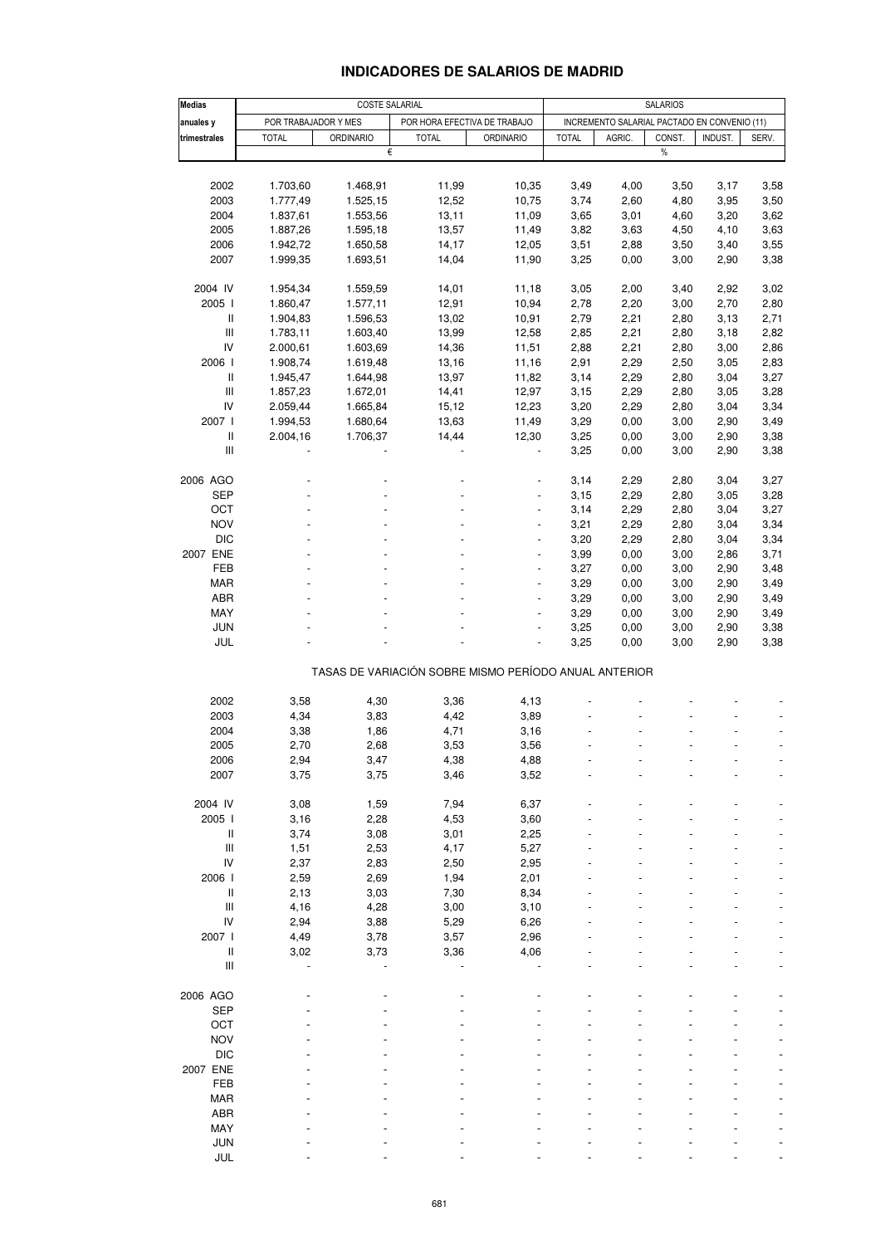### **INDICADORES DE SALARIOS DE MADRID**

| <b>Medias</b>                                         | COSTE SALARIAL       |                  |              |                              |              | <b>SALARIOS</b> |                                              |         |       |  |  |
|-------------------------------------------------------|----------------------|------------------|--------------|------------------------------|--------------|-----------------|----------------------------------------------|---------|-------|--|--|
| anuales y                                             | POR TRABAJADOR Y MES |                  |              | POR HORA EFECTIVA DE TRABAJO |              |                 | INCREMENTO SALARIAL PACTADO EN CONVENIO (11) |         |       |  |  |
| trimestrales                                          | <b>TOTAL</b>         | <b>ORDINARIO</b> | <b>TOTAL</b> | <b>ORDINARIO</b>             | <b>TOTAL</b> | AGRIC.          | CONST.                                       | INDUST. | SERV. |  |  |
|                                                       |                      | €                |              |                              |              |                 | $\%$                                         |         |       |  |  |
|                                                       |                      |                  |              |                              |              |                 |                                              |         |       |  |  |
| 2002                                                  | 1.703,60             | 1.468,91         | 11,99        | 10,35                        | 3,49         | 4,00            |                                              |         | 3,58  |  |  |
|                                                       |                      |                  |              |                              |              |                 | 3,50                                         | 3,17    |       |  |  |
| 2003                                                  | 1.777,49             | 1.525,15         | 12,52        | 10,75                        | 3,74         | 2,60            | 4,80                                         | 3,95    | 3,50  |  |  |
| 2004                                                  | 1.837,61             | 1.553,56         | 13,11        | 11,09                        | 3,65         | 3,01            | 4,60                                         | 3,20    | 3,62  |  |  |
| 2005                                                  | 1.887,26             | 1.595,18         | 13,57        | 11,49                        | 3,82         | 3,63            | 4,50                                         | 4,10    | 3,63  |  |  |
| 2006                                                  | 1.942,72             | 1.650,58         | 14,17        | 12,05                        | 3,51         | 2,88            | 3,50                                         | 3,40    | 3,55  |  |  |
| 2007                                                  | 1.999,35             | 1.693,51         | 14,04        | 11,90                        | 3,25         | 0,00            | 3,00                                         | 2,90    | 3,38  |  |  |
|                                                       |                      |                  |              |                              |              |                 |                                              |         |       |  |  |
| 2004 IV                                               | 1.954,34             | 1.559,59         | 14,01        | 11,18                        | 3,05         | 2,00            | 3,40                                         | 2,92    | 3,02  |  |  |
| 2005                                                  | 1.860,47             | 1.577,11         | 12,91        | 10,94                        | 2,78         | 2,20            | 3,00                                         | 2,70    | 2,80  |  |  |
| Ш                                                     | 1.904,83             | 1.596,53         | 13,02        | 10,91                        | 2,79         | 2,21            | 2,80                                         | 3,13    | 2,71  |  |  |
| Ш                                                     | 1.783,11             | 1.603,40         | 13,99        | 12,58                        | 2,85         | 2,21            | 2,80                                         | 3,18    | 2,82  |  |  |
| IV                                                    | 2.000,61             | 1.603,69         | 14,36        | 11,51                        | 2,88         | 2,21            | 2,80                                         | 3,00    | 2,86  |  |  |
| 2006                                                  | 1.908,74             | 1.619,48         | 13,16        | 11,16                        | 2,91         | 2,29            | 2,50                                         | 3,05    | 2,83  |  |  |
| Ш                                                     | 1.945,47             | 1.644,98         | 13,97        | 11,82                        | 3,14         | 2,29            | 2,80                                         | 3,04    | 3,27  |  |  |
| Ш                                                     | 1.857,23             | 1.672,01         | 14,41        | 12,97                        | 3,15         | 2,29            | 2,80                                         | 3,05    | 3,28  |  |  |
| IV                                                    | 2.059,44             |                  | 15,12        | 12,23                        | 3,20         | 2,29            |                                              | 3,04    | 3,34  |  |  |
| 2007 l                                                |                      | 1.665,84         |              |                              |              |                 | 2,80                                         |         |       |  |  |
|                                                       | 1.994,53             | 1.680,64         | 13,63        | 11,49                        | 3,29         | 0,00            | 3,00                                         | 2,90    | 3,49  |  |  |
| Ш                                                     | 2.004,16             | 1.706,37         | 14,44        | 12,30                        | 3,25         | 0,00            | 3,00                                         | 2,90    | 3,38  |  |  |
| Ш                                                     |                      |                  |              | $\blacksquare$               | 3,25         | 0,00            | 3,00                                         | 2,90    | 3,38  |  |  |
|                                                       |                      |                  |              |                              |              |                 |                                              |         |       |  |  |
| 2006 AGO                                              |                      |                  |              |                              | 3,14         | 2,29            | 2,80                                         | 3,04    | 3,27  |  |  |
| <b>SEP</b>                                            |                      |                  |              | ÷,                           | 3,15         | 2,29            | 2,80                                         | 3,05    | 3,28  |  |  |
| OCT                                                   |                      |                  |              |                              | 3,14         | 2,29            | 2,80                                         | 3,04    | 3,27  |  |  |
| <b>NOV</b>                                            |                      |                  |              | $\blacksquare$               | 3,21         | 2,29            | 2,80                                         | 3,04    | 3,34  |  |  |
| <b>DIC</b>                                            |                      |                  |              |                              | 3,20         | 2,29            | 2,80                                         | 3,04    | 3,34  |  |  |
| 2007 ENE                                              |                      |                  |              | ÷,                           | 3,99         | 0,00            | 3,00                                         | 2,86    | 3,71  |  |  |
| FEB                                                   |                      |                  |              | $\blacksquare$               | 3,27         | 0,00            | 3,00                                         | 2,90    | 3,48  |  |  |
| <b>MAR</b>                                            |                      |                  |              |                              | 3,29         | 0,00            | 3,00                                         | 2,90    | 3,49  |  |  |
| ABR                                                   |                      |                  |              | ÷,                           | 3,29         | 0,00            | 3,00                                         | 2,90    | 3,49  |  |  |
| MAY                                                   |                      |                  |              |                              | 3,29         |                 |                                              |         |       |  |  |
| <b>JUN</b>                                            |                      |                  |              | $\blacksquare$               |              | 0,00            | 3,00                                         | 2,90    | 3,49  |  |  |
|                                                       |                      |                  |              |                              | 3,25         | 0,00            | 3,00                                         | 2,90    | 3,38  |  |  |
| JUL                                                   |                      |                  |              |                              | 3,25         | 0,00            | 3,00                                         | 2,90    | 3,38  |  |  |
| TASAS DE VARIACIÓN SOBRE MISMO PERÍODO ANUAL ANTERIOR |                      |                  |              |                              |              |                 |                                              |         |       |  |  |
|                                                       |                      |                  |              |                              |              |                 |                                              |         |       |  |  |
| 2002                                                  | 3,58                 | 4,30             | 3,36         | 4,13                         |              |                 |                                              |         |       |  |  |
| 2003                                                  | 4,34                 | 3,83             | 4,42         | 3,89                         |              |                 |                                              |         |       |  |  |
| 2004                                                  | 3,38                 | 1,86             | 4,71         | 3,16                         |              |                 |                                              |         |       |  |  |
| 2005                                                  | 2,70                 | 2,68             | 3,53         | 3,56                         |              |                 |                                              |         |       |  |  |
|                                                       |                      |                  |              |                              |              |                 |                                              |         |       |  |  |
| 2006                                                  | 2,94                 | 3,47             | 4,38         | 4,88                         |              |                 |                                              |         |       |  |  |
| 2007                                                  | 3,75                 | 3,75             | 3,46         | 3,52                         |              |                 |                                              |         |       |  |  |
|                                                       |                      |                  |              |                              |              |                 |                                              |         |       |  |  |
| 2004 IV                                               | 3,08                 | 1,59             | 7,94         | 6,37                         |              |                 |                                              |         |       |  |  |
| 2005                                                  | 3,16                 | 2,28             | 4,53         | 3,60                         |              |                 |                                              |         |       |  |  |
| Ш                                                     | 3,74                 | 3,08             | 3,01         | 2,25                         |              |                 |                                              |         |       |  |  |
| Ш                                                     | 1,51                 | 2,53             | 4,17         | 5,27                         |              |                 |                                              |         |       |  |  |
| IV                                                    | 2,37                 | 2,83             | 2,50         | 2,95                         |              |                 |                                              |         |       |  |  |
| 2006 l                                                | 2,59                 | 2,69             | 1,94         | 2,01                         |              |                 |                                              |         |       |  |  |
| Ш                                                     | 2,13                 | 3,03             | 7,30         | 8,34                         |              |                 |                                              |         |       |  |  |
| Ш                                                     | 4,16                 | 4,28             | 3,00         | 3,10                         |              |                 |                                              |         |       |  |  |
| IV                                                    | 2,94                 | 3,88             | 5,29         | 6,26                         |              |                 |                                              |         |       |  |  |
| 2007 l                                                | 4,49                 | 3,78             | 3,57         | 2,96                         |              |                 |                                              |         |       |  |  |
| Ш                                                     | 3,02                 | 3,73             | 3,36         | 4,06                         |              |                 |                                              |         |       |  |  |
| Ш                                                     |                      |                  |              |                              |              |                 |                                              |         |       |  |  |
|                                                       |                      |                  |              |                              |              |                 |                                              |         |       |  |  |
|                                                       |                      |                  |              |                              |              |                 |                                              |         |       |  |  |
| 2006 AGO                                              |                      |                  |              |                              |              |                 |                                              |         |       |  |  |
| <b>SEP</b>                                            |                      |                  |              |                              |              |                 |                                              |         |       |  |  |
| OCT                                                   |                      |                  |              |                              |              |                 |                                              |         |       |  |  |
| <b>NOV</b>                                            |                      |                  |              |                              |              |                 |                                              |         |       |  |  |
| <b>DIC</b>                                            |                      |                  |              |                              |              |                 |                                              |         |       |  |  |
| 2007 ENE                                              |                      |                  |              |                              |              |                 |                                              |         |       |  |  |
| <b>FEB</b>                                            |                      |                  |              |                              |              |                 |                                              |         |       |  |  |
| <b>MAR</b>                                            |                      |                  |              |                              |              |                 |                                              |         |       |  |  |
| <b>ABR</b>                                            |                      |                  |              |                              |              |                 |                                              |         |       |  |  |
| MAY                                                   |                      |                  |              |                              |              |                 |                                              |         |       |  |  |
| <b>JUN</b>                                            |                      |                  |              |                              |              |                 |                                              |         |       |  |  |
| JUL                                                   |                      |                  |              |                              |              |                 |                                              |         |       |  |  |
|                                                       |                      |                  |              |                              |              |                 |                                              |         |       |  |  |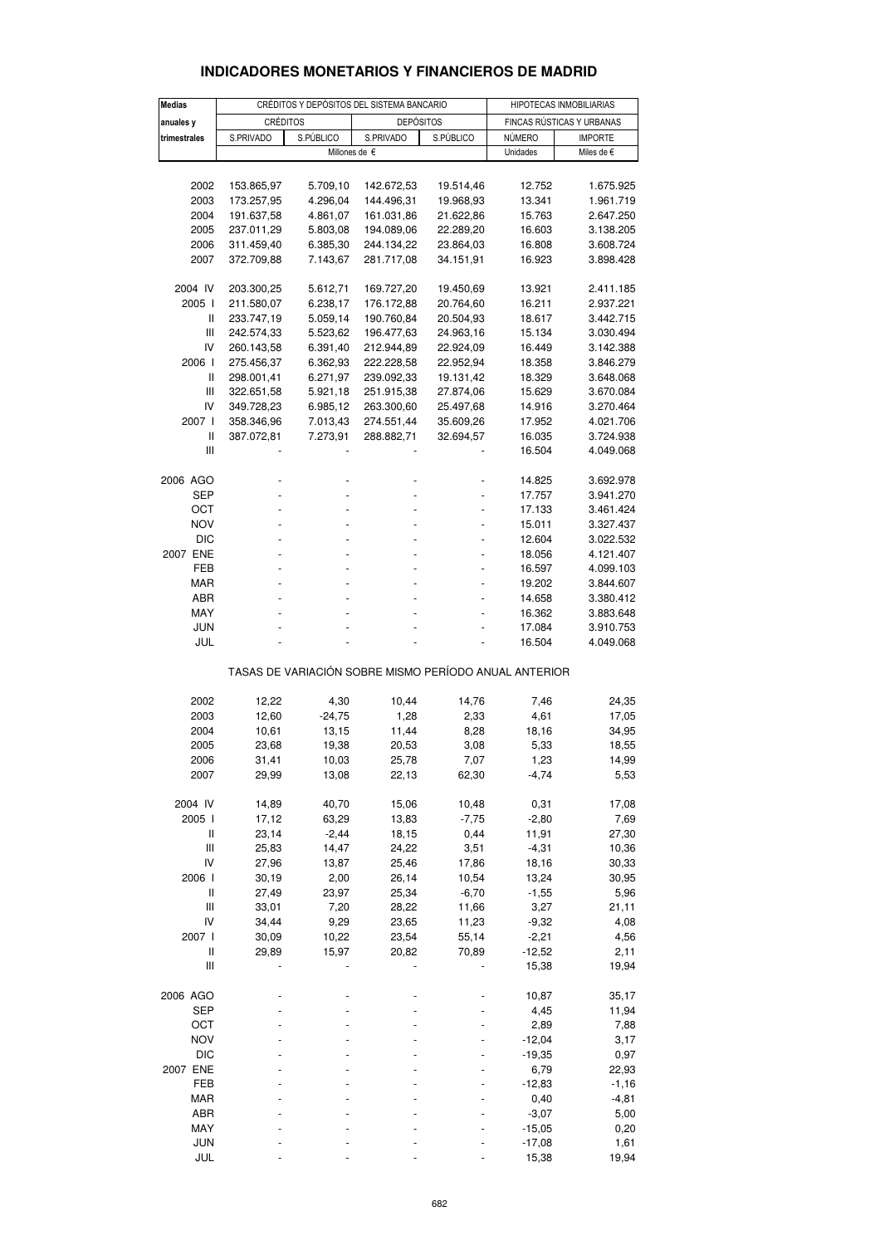| <b>Medias</b>                         |                 | CRÉDITOS Y DEPÓSITOS DEL SISTEMA BANCARIO | HIPOTECAS INMOBILIARIAS                               |           |                           |                     |  |
|---------------------------------------|-----------------|-------------------------------------------|-------------------------------------------------------|-----------|---------------------------|---------------------|--|
| anuales y                             | <b>CRÉDITOS</b> |                                           | <b>DEPÓSITOS</b>                                      |           | FINCAS RÚSTICAS Y URBANAS |                     |  |
| trimestrales                          | S.PRIVADO       | S.PÚBLICO                                 | S.PRIVADO                                             | S.PÚBLICO | NÚMERO                    | <b>IMPORTE</b>      |  |
|                                       |                 |                                           | Millones de $\epsilon$                                |           | Unidades                  | Miles de $\epsilon$ |  |
|                                       |                 |                                           |                                                       |           |                           |                     |  |
| 2002                                  | 153.865,97      | 5.709,10                                  | 142.672,53                                            | 19.514,46 | 12.752                    | 1.675.925           |  |
| 2003                                  | 173.257,95      | 4.296,04                                  | 144.496,31                                            | 19.968,93 | 13.341                    | 1.961.719           |  |
| 2004                                  | 191.637,58      | 4.861,07                                  | 161.031,86                                            | 21.622,86 | 15.763                    | 2.647.250           |  |
| 2005                                  | 237.011,29      | 5.803,08                                  | 194.089,06                                            | 22.289,20 | 16.603                    | 3.138.205           |  |
| 2006                                  | 311.459,40      | 6.385,30                                  | 244.134,22                                            | 23.864,03 | 16.808                    | 3.608.724           |  |
| 2007                                  | 372.709,88      | 7.143,67                                  | 281.717,08                                            | 34.151,91 | 16.923                    | 3.898.428           |  |
| 2004 IV                               | 203.300,25      | 5.612,71                                  | 169.727,20                                            | 19.450,69 | 13.921                    | 2.411.185           |  |
| 2005                                  | 211.580,07      | 6.238,17                                  | 176.172,88                                            | 20.764,60 | 16.211                    | 2.937.221           |  |
| Ш                                     | 233.747,19      | 5.059,14                                  | 190.760,84                                            | 20.504,93 | 18.617                    | 3.442.715           |  |
| Ш                                     | 242.574,33      | 5.523,62                                  | 196.477,63                                            | 24.963,16 | 15.134                    | 3.030.494           |  |
| IV                                    | 260.143,58      | 6.391,40                                  | 212.944,89                                            | 22.924,09 | 16.449                    | 3.142.388           |  |
| 2006 l                                | 275.456,37      | 6.362,93                                  | 222.228,58                                            | 22.952,94 | 18.358                    | 3.846.279           |  |
| Ш                                     | 298.001,41      | 6.271,97                                  | 239.092,33                                            | 19.131,42 | 18.329                    | 3.648.068           |  |
| Ш                                     | 322.651,58      | 5.921,18                                  | 251.915,38                                            | 27.874,06 | 15.629                    | 3.670.084           |  |
| IV                                    | 349.728,23      | 6.985,12                                  | 263.300,60                                            | 25.497,68 | 14.916                    | 3.270.464           |  |
| 2007 l                                | 358.346,96      | 7.013,43                                  | 274.551,44                                            | 35.609,26 | 17.952                    | 4.021.706           |  |
| $\ensuremath{\mathsf{II}}$            | 387.072,81      | 7.273,91                                  | 288.882,71                                            | 32.694,57 | 16.035                    | 3.724.938           |  |
| Ш                                     |                 |                                           |                                                       |           | 16.504                    | 4.049.068           |  |
| 2006 AGO                              |                 |                                           |                                                       |           | 14.825                    | 3.692.978           |  |
| SEP                                   |                 |                                           |                                                       |           | 17.757                    | 3.941.270           |  |
| OCT                                   |                 |                                           |                                                       |           | 17.133                    | 3.461.424           |  |
| <b>NOV</b>                            |                 |                                           |                                                       |           | 15.011                    | 3.327.437           |  |
| <b>DIC</b>                            |                 |                                           |                                                       |           | 12.604                    | 3.022.532           |  |
| 2007 ENE                              |                 |                                           |                                                       |           | 18.056                    | 4.121.407           |  |
| FEB                                   |                 |                                           |                                                       |           | 16.597                    | 4.099.103           |  |
| <b>MAR</b>                            |                 |                                           |                                                       |           | 19.202                    | 3.844.607           |  |
| ABR                                   |                 |                                           |                                                       |           | 14.658                    | 3.380.412           |  |
| MAY                                   |                 |                                           |                                                       |           | 16.362                    | 3.883.648           |  |
| JUN                                   |                 |                                           |                                                       |           | 17.084                    | 3.910.753           |  |
| JUL                                   |                 |                                           |                                                       |           | 16.504                    | 4.049.068           |  |
|                                       |                 |                                           | TASAS DE VARIACIÓN SOBRE MISMO PERÍODO ANUAL ANTERIOR |           |                           |                     |  |
|                                       |                 |                                           |                                                       |           |                           |                     |  |
| 2002                                  | 12,22           | 4,30                                      | 10,44                                                 | 14,76     | 7,46                      | 24,35               |  |
| 2003                                  | 12,60           | $-24,75$                                  | 1,28                                                  | 2,33      | 4,61                      | 17,05               |  |
| 2004                                  | 10,61           | 13,15                                     | 11,44                                                 | 8,28      | 18,16                     | 34,95               |  |
| 2005                                  | 23,68           | 19,38                                     | 20,53                                                 | 3,08      | 5,33                      | 18,55               |  |
| 2006                                  | 31,41           | 10,03                                     | 25,78                                                 | 7,07      | 1,23                      | 14,99               |  |
| 2007                                  | 29,99           | 13,08                                     | 22,13                                                 | 62,30     | $-4,74$                   | 5,53                |  |
| 2004 IV                               | 14,89           | 40,70                                     | 15,06                                                 | 10,48     | 0,31                      | 17,08               |  |
| 2005 l                                | 17,12           | 63,29                                     | 13,83                                                 | $-7,75$   | $-2,80$                   | 7,69                |  |
| $\sf II$                              | 23,14           | $-2,44$                                   | 18,15                                                 | 0,44      | 11,91                     | 27,30               |  |
| $\mathbf{III}$                        | 25,83           | 14,47                                     | 24,22                                                 | 3,51      | $-4,31$                   | 10,36               |  |
| IV                                    | 27,96           | 13,87                                     | 25,46                                                 | 17,86     | 18,16                     | 30,33               |  |
| 2006 l                                | 30,19           | 2,00                                      | 26,14                                                 | 10,54     | 13,24                     | 30,95               |  |
| $\begin{array}{c} \hline \end{array}$ | 27,49           | 23,97                                     | 25,34                                                 | $-6,70$   | $-1,55$                   | 5,96                |  |
| Ш                                     | 33,01           | 7,20                                      | 28,22                                                 | 11,66     | 3,27                      | 21,11               |  |
| IV                                    | 34,44           | 9,29                                      | 23,65                                                 | 11,23     | $-9,32$                   | 4,08                |  |
| 2007 l                                | 30,09           | 10,22                                     | 23,54                                                 | 55,14     | $-2,21$                   | 4,56                |  |
| Ш                                     | 29,89           | 15,97                                     | 20,82                                                 | 70,89     | $-12,52$                  | 2,11                |  |
| $\mathop{  }$                         |                 |                                           |                                                       |           | 15,38                     | 19,94               |  |
| 2006 AGO                              |                 |                                           |                                                       |           | 10,87                     | 35,17               |  |
| <b>SEP</b>                            |                 |                                           |                                                       |           | 4,45                      | 11,94               |  |
| ОСТ                                   |                 |                                           |                                                       |           | 2,89                      | 7,88                |  |
| <b>NOV</b>                            |                 |                                           |                                                       |           | $-12,04$                  | 3,17                |  |
| <b>DIC</b>                            |                 |                                           |                                                       |           | $-19,35$                  | 0,97                |  |
| 2007 ENE                              |                 |                                           |                                                       |           | 6,79                      | 22,93               |  |
| FEB                                   |                 |                                           |                                                       |           | $-12,83$                  |                     |  |
| <b>MAR</b>                            |                 |                                           |                                                       |           | 0,40                      | $-1,16$             |  |
| ABR                                   |                 |                                           |                                                       |           | $-3,07$                   | $-4,81$             |  |
| MAY                                   |                 |                                           |                                                       |           | $-15,05$                  | 5,00<br>0,20        |  |
|                                       |                 |                                           |                                                       |           |                           |                     |  |

# **INDICADORES MONETARIOS Y FINANCIEROS DE MADRID**

 JUN - - - - -17,08 1,61 JUL - - - - 15,38 19,94